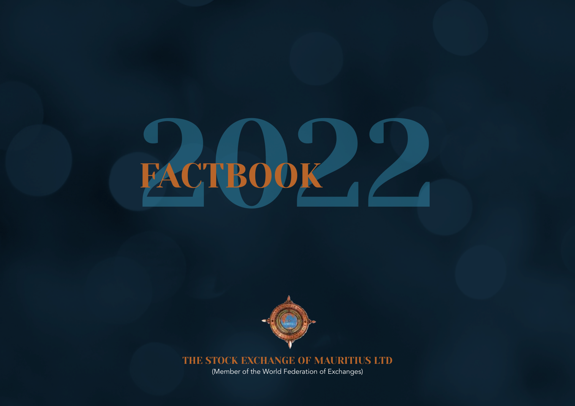# FACTBOO



THE STOCK EXCHANGE OF MAURITIUS LTD

(Member of the World Federation of Exchanges)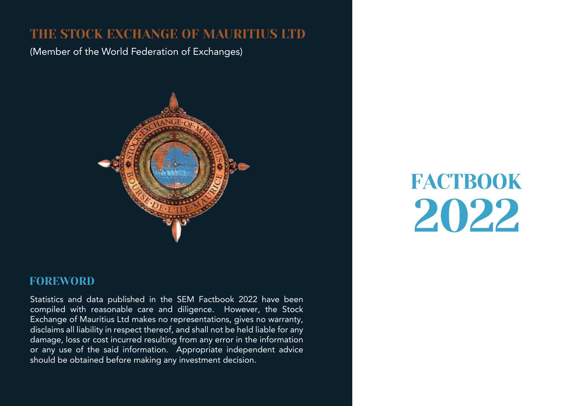### THE STOCK EXCHANGE OF MAURITIUS LTD

(Member of the World Federation of Exchanges)



### FOREWORD

Statistics and data published in the SEM Factbook 2022 have been compiled with reasonable care and diligence. However, the Stock Exchange of Mauritius Ltd makes no representations, gives no warranty, disclaims all liability in respect thereof, and shall not be held liable for any damage, loss or cost incurred resulting from any error in the information or any use of the said information. Appropriate independent advice should be obtained before making any investment decision.

**FACTBOOK** 2022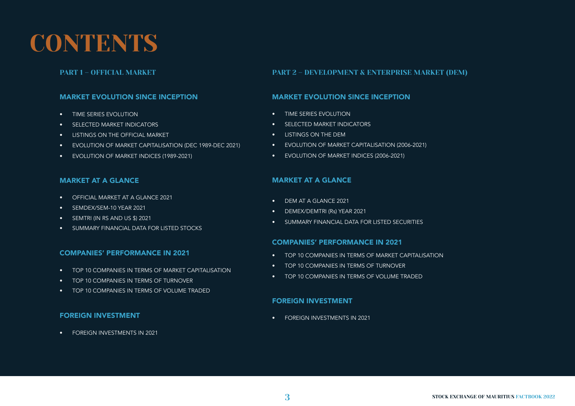### **CONTENTS**

#### MARKET EVOLUTION SINCE INCEPTION

- TIME SERIES EVOLUTION
- SELECTED MARKET INDICATORS
- LISTINGS ON THE OFFICIAL MARKET
- EVOLUTION OF MARKET CAPITALISATION (DEC 1989-DEC 2021)
- EVOLUTION OF MARKET INDICES (1989-2021)

#### MARKET AT A GLANCE

- OFFICIAL MARKET AT A GLANCE 2021
- SEMDEX/SEM-10 YEAR 2021
- SEMTRI (IN RS AND US \$) 2021
- SUMMARY FINANCIAL DATA FOR LISTED STOCKS

#### COMPANIES' PERFORMANCE IN 2021

- TOP 10 COMPANIES IN TERMS OF MARKET CAPITALISATION
- TOP 10 COMPANIES IN TERMS OF TURNOVER
- TOP 10 COMPANIES IN TERMS OF VOLUME TRADED

#### FOREIGN INVESTMENT

• FOREIGN INVESTMENTS IN 2021

#### PART 1 – OFFICIAL MARKET PART 2 – DEVELOPMENT & ENTERPRISE MARKET (DEM)

#### MARKET EVOLUTION SINCE INCEPTION

- TIME SERIES EVOLUTION
- SELECTED MARKET INDICATORS
- LISTINGS ON THE DEM
- EVOLUTION OF MARKET CAPITALISATION (2006-2021)
- EVOLUTION OF MARKET INDICES (2006-2021)

#### MARKET AT A GLANCE

- DEM AT A GLANCE 2021
- DEMEX/DEMTRI (Rs) YEAR 2021
- SUMMARY FINANCIAL DATA FOR LISTED SECURITIES

#### COMPANIES' PERFORMANCE IN 2021

- TOP 10 COMPANIES IN TERMS OF MARKET CAPITALISATION
- TOP 10 COMPANIES IN TERMS OF TURNOVER
- TOP 10 COMPANIES IN TERMS OF VOLUME TRADED

#### FOREIGN INVESTMENT

• FOREIGN INVESTMENTS IN 2021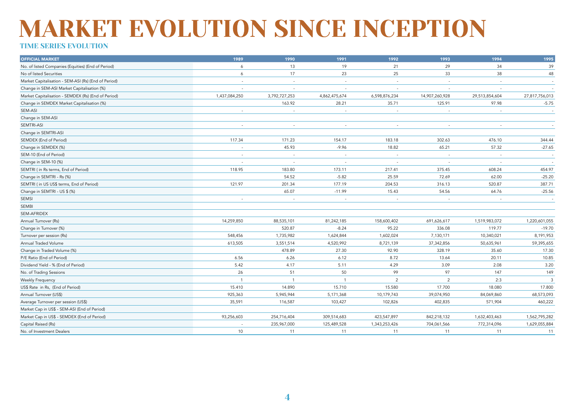### TIME SERIES EVOLUTION

| <b>OFFICIAL MARKET</b>                               | 1989           | 1990                     | 1991                     | 1992                     | 1993           | 1994                     | 1995           |
|------------------------------------------------------|----------------|--------------------------|--------------------------|--------------------------|----------------|--------------------------|----------------|
| No. of listed Companies (Equities) (End of Period)   | 6              | 13                       | 19                       | 21                       | 29             | 34                       | 39             |
| No of listed Securities                              | 6              | 17                       | 23                       | 25                       | 33             | 38                       | 48             |
| Market Capitalisation - SEM-ASI (Rs) (End of Period) |                | $\sim$                   | $\sim$                   | $\sim$                   |                | $\overline{\phantom{a}}$ | $\sim$         |
| Change in SEM-ASI Market Capitalisation (%)          |                | $\overline{\phantom{a}}$ | $\sim$                   |                          |                |                          | $\sim$         |
| Market Capitalisation - SEMDEX (Rs) (End of Period)  | 1,437,084,250  | 3,792,727,253            | 4,862,475,674            | 6,598,876,234            | 14,907,260,928 | 29,513,854,604           | 27,817,756,013 |
| Change in SEMDEX Market Capitalisation (%)           |                | 163.92                   | 28.21                    | 35.71                    | 125.91         | 97.98                    | $-5.75$        |
| SEM-ASI                                              |                |                          | $\sim$                   |                          |                |                          | $\sim$         |
| Change in SEM-ASI                                    |                |                          |                          |                          |                |                          |                |
| SEMTRI-ASI                                           |                |                          |                          |                          |                |                          |                |
| Change in SEMTRI-ASI                                 |                |                          |                          |                          |                |                          |                |
| SEMDEX (End of Period)                               | 117.34         | 171.23                   | 154.17                   | 183.18                   | 302.63         | 476.10                   | 344.44         |
| Change in SEMDEX (%)                                 | $\sim$         | 45.93                    | $-9.96$                  | 18.82                    | 65.21          | 57.32                    | $-27.65$       |
| SEM-10 (End of Period)                               |                |                          | $\sim$                   | $\sim$                   |                |                          | $\sim$         |
| Change in SEM-10 (%)                                 |                | $\overline{\phantom{a}}$ | $\overline{\phantom{a}}$ | $\overline{\phantom{a}}$ |                | $\sim$                   | $\sim$         |
| SEMTRI (in Rs terms, End of Period)                  | 118.95         | 183.80                   | 173.11                   | 217.41                   | 375.45         | 608.24                   | 454.97         |
| Change in SEMTRI - Rs (%)                            |                | 54.52                    | $-5.82$                  | 25.59                    | 72.69          | 62.00                    | $-25.20$       |
| SEMTRI ( in US US\$ terms, End of Period)            | 121.97         | 201.34                   | 177.19                   | 204.53                   | 316.13         | 520.87                   | 387.71         |
| Change in SEMTRI - US \$ (%)                         |                | 65.07                    | $-11.99$                 | 15.43                    | 54.56          | 64.76                    | $-25.56$       |
| SEMSI                                                |                |                          | $\sim$                   | $\sim$                   |                | $\sim$                   |                |
| <b>SEMBI</b>                                         |                |                          |                          |                          |                |                          |                |
| SEM-AFRIDEX                                          |                |                          |                          |                          |                |                          |                |
| Annual Turnover (Rs)                                 | 14,259,850     | 88,535,101               | 81,242,185               | 158,600,402              | 691,626,617    | 1,519,983,072            | 1,220,601,055  |
| Change in Turnover (%)                               |                | 520.87                   | $-8.24$                  | 95.22                    | 336.08         | 119.77                   | $-19.70$       |
| Turnover per session (Rs)                            | 548,456        | 1,735,982                | 1,624,844                | 1,602,024                | 7,130,171      | 10,340,021               | 8,191,953      |
| Annual Traded Volume                                 | 613,505        | 3,551,514                | 4,520,992                | 8,721,139                | 37,342,856     | 50,635,961               | 59,395,655     |
| Change in Traded Volume (%)                          |                | 478.89                   | 27.30                    | 92.90                    | 328.19         | 35.60                    | 17.30          |
| P/E Ratio (End of Period)                            | 6.56           | 6.26                     | 6.12                     | 8.72                     | 13.64          | 20.11                    | 10.85          |
| Dividend Yield - % (End of Period)                   | 5.42           | 4.17                     | 5.11                     | 4.29                     | 3.09           | 2.08                     | 3.20           |
| No. of Trading Sessions                              | 26             | 51                       | 50                       | 99                       | 97             | 147                      | 149            |
| <b>Weekly Frequency</b>                              | $\overline{1}$ | $\overline{1}$           | $\overline{1}$           | $\overline{2}$           | $\overline{2}$ | 2:3                      | $\overline{3}$ |
| US\$ Rate in Rs, (End of Period)                     | 15.410         | 14.890                   | 15.710                   | 15.580                   | 17.700         | 18.080                   | 17.800         |
| Annual Turnover (US\$)                               | 925,363        | 5,945,944                | 5,171,368                | 10,179,743               | 39,074,950     | 84,069,860               | 68,573,093     |
| Average Turnover per session (US\$)                  | 35,591         | 116,587                  | 103,427                  | 102,826                  | 402,835        | 571,904                  | 460,222        |
| Market Cap in US\$ - SEM-ASI (End of Period)         |                |                          |                          |                          |                |                          |                |
| Market Cap in US\$ - SEMDEX (End of Period)          | 93,256,603     | 254,716,404              | 309,514,683              | 423,547,897              | 842,218,132    | 1,632,403,463            | 1,562,795,282  |
| Capital Raised (Rs)                                  |                | 235,967,000              | 125,489,528              | 1,343,253,426            | 704,061,566    | 772,314,096              | 1,629,055,884  |
| No. of Investment Dealers                            | 10             | 11                       | 11                       | 11                       | 11             | 11                       | 11             |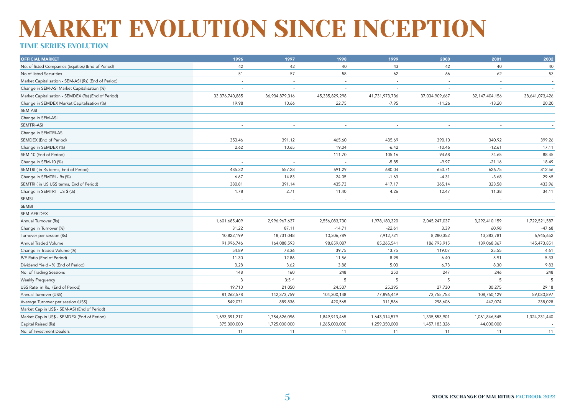### MARKET EVOLUTION SINCE INCEPTION TIME SERIES EVOLUTION

#### OFFICIAL MARKET 1996 1997 1998 1999 2000 2001 2002 No. of listed Companies (Equities) (End of Period) 42 42 40 43 42 40 40 No of listed Securities 51 57 58 62 66 62 53 Market Capitalisation - SEM-ASI (Rs) (End of Period) and the control of the control of Period) and the control of Period and the control of Period) and the control of Period and the control of Period and the control of Per Change in SEM-ASI Market Capitalisation (%) and the contract of the contract of the contract of the contract of the contract of the contract of the contract of the contract of the contract of the contract of the contract o Market Capitalisation - SEMDEX (Rs) (End of Period) 33,376,740,885 36,934,879,316 45,335,829,298 41,731,973,736 37,034,909,667 32,147,404,156 38,641,073,426 Change in SEMDEX Market Capitalisation (%) 19.98 10.66 22.75 -11.26 -11.26 -13.20 -13.20 -13.20 -13.20 -13.20 SEM-ASI - - - - - - - Change in SEM-ASI SEMTRI-ASI - - - - - - - Change in SEMTRI-ASI SEMDEX (End of Period) 353.46 465.60 435.69 390.10 340.92 399.26 Change in SEMDEX (%) 2.62 10.65 19.04 -6.42 -10.46 -12.61 17.11 SEM-10 (End of Period) - - 111.70 105.16 94.68 74.65 88.45 Change in SEM-10 (%) - - - -5.85 -9.97 -21.16 18.49 SEMTRI ( in Rs terms, End of Period) and the control of the state of the state of the state of the state of the state of the state of the state of the state of the state of the state of the state of the state of the state Change in SEMTRI - Rs (%) 6.67 14.83 -1.63 -3.68 29.65 SEMTRI ( in US US\$ terms, End of Period) 380.81 435.73 417.17 325.58 433.96 Change in SEMTRI - US \$ (%) 1.78 11.40 34.11 SEMSI - - - - - - - SEMBI SEM-AFRIDEX Annual Turnover (Rs) 1,601,685,409 2,996,967,637 1,556,083,730 2,045,247,037 3,292,410,159 1,722,521,587 Change in Turnover (%) 31.22 87.11 -14.71 -22.61 3.39 60.98 -47.68 Turnover per session (Rs) 10,822,199 18,731,048 10,306,789 7,912,721 8,280,352 13,383,781 6,945,652 Annual Traded Volume 91,996,746 164,088,593 98,859,087 85,265,541 186,793,915 139,068,367 145,473,851 Change in Traded Volume (%) 54.89 13.75 119.07 4.61 P/E Ratio (End of Period) 11.30 12.86 11.56 8.98 6.40 5.91 5.33 Dividend Yield - % (End of Period) 3.28 3.62 3.88 5.03 6.73 8.30 9.83 No. of Trading Sessions 148 160 248 227 246 248 Weekly Frequency 3 3:5 ^ 5 5 5 5 5 US\$ Rate in Rs, (End of Period) 19.710 21.050 24.507 25.395 27.730 30.275 29.18 Annual Turnover (US\$) 81,262,578 142,373,759 104,300,148 77,896,449 73,755,753 108,750,129 59,030,897 Average Turnover per session (US\$) 549,071 889,836 420,565 311,586 298,606 442,074 238,028 Market Cap in US\$ - SEM-ASI (End of Period) Market Cap in US\$ - SEMDEX (End of Period) 1,693,391,217 1,693,391,217 1,754,626,096 1,849,913,465 1,643,314,579 1,335,553,901 1,061,846,545 1,324,231,440 - 375,300,000 1,725,000,000 1,265,000,000 1,265,000,000 1,259,350,000 1,259,350,000 1,457,183,326 44,000,000 44,000,000 - 1,265,000 1,265,000,000 1,269,350,000 1,457,183,326 44,000,000 1,457,183,326 44,000,000 1,259,350,0 No. of Investment Dealers 11 11 11 11 11 11 11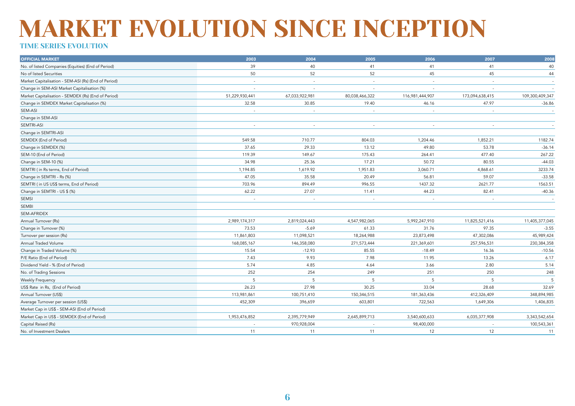### TIME SERIES EVOLUTION

| <b>OFFICIAL MARKET</b>                               | 2003                     | 2004                     | 2005                     | 2006            | 2007                     | 2008            |
|------------------------------------------------------|--------------------------|--------------------------|--------------------------|-----------------|--------------------------|-----------------|
| No. of listed Companies (Equities) (End of Period)   | 39                       | 40                       | 41                       | 41              | 41                       | 40              |
| No of listed Securities                              | 50                       | 52                       | 52                       | 45              | 45                       | 44              |
| Market Capitalisation - SEM-ASI (Rs) (End of Period) | $\overline{\phantom{a}}$ | $\overline{\phantom{a}}$ | ٠                        | $\sim$          | $\overline{\phantom{a}}$ | $\sim$          |
| Change in SEM-ASI Market Capitalisation (%)          |                          | $\sim$                   | $\overline{\phantom{a}}$ |                 |                          | $\overline{a}$  |
| Market Capitalisation - SEMDEX (Rs) (End of Period)  | 51,229,930,441           | 67,033,922,981           | 80,038,466,322           | 116,981,444,907 | 173,094,638,415          | 109,300,409,347 |
| Change in SEMDEX Market Capitalisation (%)           | 32.58                    | 30.85                    | 19.40                    | 46.16           | 47.97                    | $-36.86$        |
| <b>SEM-ASI</b>                                       |                          |                          | $\overline{a}$           |                 |                          | $\sim$          |
| Change in SEM-ASI                                    |                          |                          |                          |                 |                          |                 |
| SEMTRI-ASI                                           | $\sim$                   |                          | ٠                        |                 |                          |                 |
| Change in SEMTRI-ASI                                 |                          |                          |                          |                 |                          |                 |
| SEMDEX (End of Period)                               | 549.58                   | 710.77                   | 804.03                   | 1,204.46        | 1,852.21                 | 1182.74         |
| Change in SEMDEX (%)                                 | 37.65                    | 29.33                    | 13.12                    | 49.80           | 53.78                    | $-36.14$        |
| SEM-10 (End of Period)                               | 119.39                   | 149.67                   | 175.43                   | 264.41          | 477.40                   | 267.22          |
| Change in SEM-10 (%)                                 | 34.98                    | 25.36                    | 17.21                    | 50.72           | 80.55                    | $-44.03$        |
| SEMTRI (in Rs terms, End of Period)                  | 1,194.85                 | 1,619.92                 | 1,951.83                 | 3,060.71        | 4,868.61                 | 3233.74         |
| Change in SEMTRI - Rs (%)                            | 47.05                    | 35.58                    | 20.49                    | 56.81           | 59.07                    | $-33.58$        |
| SEMTRI (in US US\$ terms, End of Period)             | 703.96                   | 894.49                   | 996.55                   | 1437.32         | 2621.77                  | 1563.51         |
| Change in SEMTRI - US \$ (%)                         | 62.22                    | 27.07                    | 11.41                    | 44.23           | 82.41                    | $-40.36$        |
| SEMSI                                                | $\overline{\phantom{a}}$ | $\sim$                   |                          |                 |                          |                 |
| SEMBI                                                |                          |                          |                          |                 |                          |                 |
| SEM-AFRIDEX                                          |                          |                          |                          |                 |                          |                 |
| Annual Turnover (Rs)                                 | 2,989,174,317            | 2,819,024,443            | 4,547,982,065            | 5,992,247,910   | 11,825,521,416           | 11,405,377,045  |
| Change in Turnover (%)                               | 73.53                    | $-5.69$                  | 61.33                    | 31.76           | 97.35                    | $-3.55$         |
| Turnover per session (Rs)                            | 11,861,803               | 11,098,521               | 18,264,988               | 23,873,498      | 47,302,086               | 45,989,424      |
| Annual Traded Volume                                 | 168,085,167              | 146,358,080              | 271,573,444              | 221,369,601     | 257,596,531              | 230,384,358     |
| Change in Traded Volume (%)                          | 15.54                    | $-12.93$                 | 85.55                    | $-18.49$        | 16.36                    | $-10.56$        |
| P/E Ratio (End of Period)                            | 7.43                     | 9.93                     | 7.98                     | 11.95           | 13.26                    | 6.17            |
| Dividend Yield - % (End of Period)                   | 5.74                     | 4.85                     | 4.64                     | 3.66            | 2.80                     | 5.14            |
| No. of Trading Sessions                              | 252                      | 254                      | 249                      | 251             | 250                      | 248             |
| Weekly Frequency                                     | 5                        | 5                        | .5                       | 5               | 5                        | 5               |
| US\$ Rate in Rs, (End of Period)                     | 26.23                    | 27.98                    | 30.25                    | 33.04           | 28.68                    | 32.69           |
| Annual Turnover (US\$)                               | 113,981,861              | 100,751,410              | 150,346,515              | 181,363,436     | 412,326,409              | 348,894,985     |
| Average Turnover per session (US\$)                  | 452,309                  | 396,659                  | 603,801                  | 722,563         | 1,649,306                | 1,406,835       |
| Market Cap in US\$ - SEM-ASI (End of Period)         |                          |                          |                          |                 |                          |                 |
| Market Cap in US\$ - SEMDEX (End of Period)          | 1,953,476,852            | 2,395,779,949            | 2,645,899,713            | 3,540,600,633   | 6,035,377,908            | 3,343,542,654   |
| Capital Raised (Rs)                                  |                          | 970,928,004              |                          | 98,400,000      |                          | 100,543,361     |
| No. of Investment Dealers                            | 11                       | 11                       | 11                       | 12              | 12                       | 11              |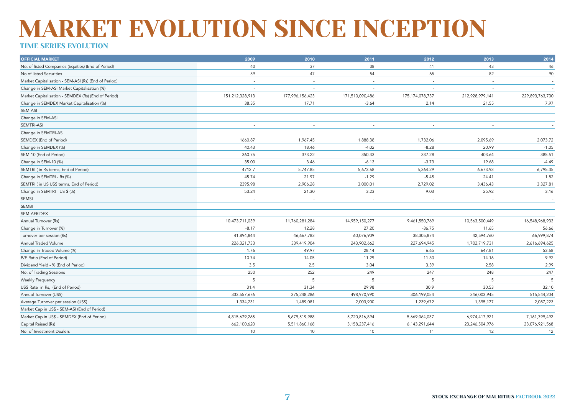### TIME SERIES EVOLUTION

| <b>OFFICIAL MARKET</b>                               | 2009            | 2010            | 2011                     | 2012                     | 2013            | 2014                     |
|------------------------------------------------------|-----------------|-----------------|--------------------------|--------------------------|-----------------|--------------------------|
| No. of listed Companies (Equities) (End of Period)   | 40              | 37              | 38                       | 41                       | 43              | 46                       |
| No of listed Securities                              | 59              | 47              | 54                       | 65                       | 82              | 90                       |
| Market Capitalisation - SEM-ASI (Rs) (End of Period) | $\sim$          |                 | $\overline{\phantom{a}}$ | $\overline{\phantom{a}}$ |                 | $\sim$                   |
| Change in SEM-ASI Market Capitalisation (%)          |                 |                 |                          |                          |                 |                          |
| Market Capitalisation - SEMDEX (Rs) (End of Period)  | 151,212,328,913 | 177,996,156,423 | 171,510,090,486          | 175,174,078,737          | 212,928,979,141 | 229,893,763,700          |
| Change in SEMDEX Market Capitalisation (%)           | 38.35           | 17.71           | $-3.64$                  | 2.14                     | 21.55           | 7.97                     |
| SEM-ASI                                              |                 |                 |                          |                          |                 | $\overline{\phantom{a}}$ |
| Change in SEM-ASI                                    |                 |                 |                          |                          |                 |                          |
| SEMTRI-ASI                                           | $\sim$          | $\sim$          |                          | ٠                        |                 |                          |
| Change in SEMTRI-ASI                                 |                 |                 |                          |                          |                 |                          |
| SEMDEX (End of Period)                               | 1660.87         | 1,967.45        | 1,888.38                 | 1,732.06                 | 2,095.69        | 2,073.72                 |
| Change in SEMDEX (%)                                 | 40.43           | 18.46           | $-4.02$                  | $-8.28$                  | 20.99           | $-1.05$                  |
| SEM-10 (End of Period)                               | 360.75          | 373.22          | 350.33                   | 337.28                   | 403.64          | 385.51                   |
| Change in SEM-10 (%)                                 | 35.00           | 3.46            | $-6.13$                  | $-3.73$                  | 19.68           | $-4.49$                  |
| SEMTRI (in Rs terms, End of Period)                  | 4712.7          | 5,747.85        | 5,673.68                 | 5,364.29                 | 6,673.93        | 6,795.35                 |
| Change in SEMTRI - Rs (%)                            | 45.74           | 21.97           | $-1.29$                  | $-5.45$                  | 24.41           | 1.82                     |
| SEMTRI ( in US US\$ terms, End of Period)            | 2395.98         | 2,906.28        | 3,000.01                 | 2,729.02                 | 3,436.43        | 3,327.81                 |
| Change in SEMTRI - US \$ (%)                         | 53.24           | 21.30           | 3.23                     | $-9.03$                  | 25.92           | $-3.16$                  |
| SEMSI                                                |                 |                 |                          |                          |                 |                          |
| <b>SEMBI</b>                                         |                 |                 |                          |                          |                 |                          |
| SEM-AFRIDEX                                          |                 |                 |                          |                          |                 |                          |
| Annual Turnover (Rs)                                 | 10,473,711,039  | 11,760,281,284  | 14,959,150,277           | 9,461,550,769            | 10,563,500,449  | 16,548,968,933           |
| Change in Turnover (%)                               | $-8.17$         | 12.28           | 27.20                    | $-36.75$                 | 11.65           | 56.66                    |
| Turnover per session (Rs)                            | 41,894,844      | 46,667,783      | 60,076,909               | 38,305,874               | 42,594,760      | 66,999,874               |
| Annual Traded Volume                                 | 226,321,733     | 339,419,904     | 243,902,662              | 227,694,945              | 1,702,719,731   | 2,616,694,625            |
| Change in Traded Volume (%)                          | $-1.76$         | 49.97           | $-28.14$                 | $-6.65$                  | 647.81          | 53.68                    |
| P/E Ratio (End of Period)                            | 10.74           | 14.05           | 11.29                    | 11.30                    | 14.16           | 9.92                     |
| Dividend Yield - % (End of Period)                   | 3.5             | 2.5             | 3.04                     | 3.39                     | 2.58            | 2.99                     |
| No. of Trading Sessions                              | 250             | 252             | 249                      | 247                      | 248             | 247                      |
| Weekly Frequency                                     | 5               | 5               | 5                        | 5                        | 5               | .5                       |
| US\$ Rate in Rs, (End of Period)                     | 31.4            | 31.34           | 29.98                    | 30.9                     | 30.53           | 32.10                    |
| Annual Turnover (US\$)                               | 333, 557, 676   | 375,248,286     | 498,970,990              | 306,199,054              | 346,003,945     | 515,544,204              |
| Average Turnover per session (US\$)                  | 1,334,231       | 1,489,081       | 2,003,900                | 1,239,672                | 1,395,177       | 2,087,223                |
| Market Cap in US\$ - SEM-ASI (End of Period)         |                 |                 |                          |                          |                 |                          |
| Market Cap in US\$ - SEMDEX (End of Period)          | 4,815,679,265   | 5,679,519,988   | 5,720,816,894            | 5,669,064,037            | 6,974,417,921   | 7,161,799,492            |
| Capital Raised (Rs)                                  | 662,100,620     | 5,511,860,168   | 3,158,237,416            | 6,143,291,644            | 23,246,504,976  | 23,076,921,568           |
| No. of Investment Dealers                            | 10              | 10              | 10                       | 11                       | 12              | 12                       |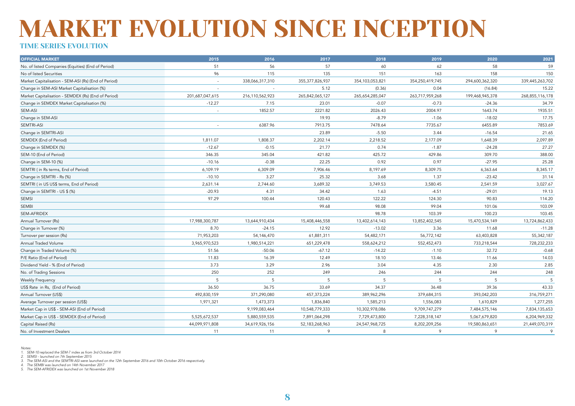#### TIME SERIES EVOLUTION

| <b>OFFICIAL MARKET</b>                               | 2015            | 2016            | 2017               | 2018            | 2019            | 2020            | 2021            |
|------------------------------------------------------|-----------------|-----------------|--------------------|-----------------|-----------------|-----------------|-----------------|
| No. of listed Companies (Equities) (End of Period)   | 51              | 56              | 57                 | 60              | 62              | 58              | 59              |
| No of listed Securities                              | 96              | 115             | 135                | 151             | 163             | 158             | 150             |
| Market Capitalisation - SEM-ASI (Rs) (End of Period) | $\sim$          | 338,066,317,310 | 355, 377, 826, 937 | 354,103,053,821 | 354,250,419,745 | 294,600,362,320 | 339,445,263,702 |
| Change in SEM-ASI Market Capitalisation (%)          |                 |                 | 5.12               | (0.36)          | 0.04            | (16.84)         | 15.22           |
| Market Capitalisation - SEMDEX (Rs) (End of Period)  | 201,687,047,615 | 216,110,562,923 | 265,842,065,127    | 265,654,285,047 | 263,717,959,268 | 199,468,945,378 | 268,855,116,178 |
| Change in SEMDEX Market Capitalisation (%)           | $-12.27$        | 7.15            | 23.01              | $-0.07$         | $-0.73$         | $-24.36$        | 34.79           |
| SEM-ASI                                              |                 | 1852.57         | 2221.82            | 2026.43         | 2004.97         | 1643.74         | 1935.51         |
| Change in SEM-ASI                                    |                 |                 | 19.93              | $-8.79$         | $-1.06$         | $-18.02$        | 17.75           |
| SEMTRI-ASI                                           |                 | 6387.96         | 7913.75            | 7478.64         | 7735.67         | 6455.89         | 7853.69         |
| Change in SEMTRI-ASI                                 |                 |                 | 23.89              | $-5.50$         | 3.44            | $-16.54$        | 21.65           |
| SEMDEX (End of Period)                               | 1,811.07        | 1,808.37        | 2,202.14           | 2,218.52        | 2,177.09        | 1,648.39        | 2,097.89        |
| Change in SEMDEX (%)                                 | $-12.67$        | $-0.15$         | 21.77              | 0.74            | $-1.87$         | $-24.28$        | 27.27           |
| SEM-10 (End of Period)                               | 346.35          | 345.04          | 421.82             | 425.72          | 429.86          | 309.70          | 388.00          |
| Change in SEM-10 (%)                                 | $-10.16$        | $-0.38$         | 22.25              | 0.92            | 0.97            | $-27.95$        | 25.28           |
| SEMTRI (in Rs terms, End of Period)                  | 6,109.19        | 6,309.09        | 7,906.46           | 8,197.69        | 8,309.75        | 6,363.64        | 8,345.17        |
| Change in SEMTRI - Rs (%)                            | $-10.10$        | 3.27            | 25.32              | 3.68            | 1.37            | $-23.42$        | 31.14           |
| SEMTRI ( in US US\$ terms, End of Period)            | 2,631.14        | 2,744.60        | 3,689.32           | 3,749.53        | 3,580.45        | 2,541.59        | 3,027.67        |
| Change in SEMTRI - US \$ (%)                         | $-20.93$        | 4.31            | 34.42              | 1.63            | $-4.51$         | $-29.01$        | 19.13           |
| SEMSI                                                | 97.29           | 100.44          | 120.43             | 122.22          | 124.30          | 90.83           | 114.20          |
| SEMBI                                                |                 |                 | 99.68              | 98.08           | 99.04           | 101.06          | 103.09          |
| SEM-AFRIDEX                                          |                 |                 |                    | 98.78           | 103.39          | 100.23          | 103.45          |
| Annual Turnover (Rs)                                 | 17,988,300,787  | 13,644,910,434  | 15,408,446,558     | 13,402,614,143  | 13,852,402,545  | 15,470,534,149  | 13,724,862,433  |
| Change in Turnover (%)                               | 8.70            | $-24.15$        | 12.92              | $-13.02$        | 3.36            | 11.68           | $-11.28$        |
| Turnover per session (Rs)                            | 71,953,203      | 54,146,470      | 61,881,311         | 54,482,171      | 56,772,142      | 63,403,828      | 55,342,187      |
| Annual Traded Volume                                 | 3,965,970,523   | 1,980,514,221   | 651,229,478        | 558,624,212     | 552,452,473     | 733,218,544     | 728,232,233     |
| Change in Traded Volume (%)                          | 51.56           | $-50.06$        | $-67.12$           | $-14.22$        | $-1.10$         | 32.72           | $-0.68$         |
| P/E Ratio (End of Period)                            | 11.83           | 16.39           | 12.49              | 18.10           | 13.46           | 11.66           | 14.03           |
| Dividend Yield - % (End of Period)                   | 3.73            | 3.29            | 2.96               | 3.04            | 4.35            | 2.30            | 2.85            |
| No. of Trading Sessions                              | 250             | 252             | 249                | 246             | 244             | 244             | 248             |
| <b>Weekly Frequency</b>                              | 5               | .5              | 5                  | 5               | 5               | 5               | -5              |
| US\$ Rate in Rs, (End of Period)                     | 36.50           | 36.75           | 33.69              | 34.37           | 36.48           | 39.36           | 43.33           |
| Annual Turnover (US\$)                               | 492,830,159     | 371,290,080     | 457,373,224        | 389,962,296     | 379,684,315     | 393,042,203     | 316,759,271     |
| Average Turnover per session (US\$)                  | 1,971,321       | 1,473,373       | 1,836,840          | 1,585,213       | 1,556,083       | 1,610,829       | 1,277,255       |
| Market Cap in US\$ - SEM-ASI (End of Period)         |                 | 9,199,083,464   | 10,548,779,333     | 10,302,978,086  | 9,709,747,279   | 7,484,575,146   | 7,834,135,653   |
| Market Cap in US\$ - SEMDEX (End of Period)          | 5,525,672,537   | 5,880,559,535   | 7,891,064,298      | 7,729,473,800   | 7,228,318,147   | 5,067,679,820   | 6,204,969,332   |
| Capital Raised (Rs)                                  | 44,099,971,808  | 34,619,926,156  | 52,183,268,963     | 24,547,968,725  | 8,202,209,256   | 19,580,863,651  | 21,449,070,319  |
| No. of Investment Dealers                            | 11              | 11              | 9                  | 8               | 9               | 9               | 9               |

*Notes:*

*2. SEMSI - launched on 7th September 2015*

*3. The SEM-ASI and the SEMTRI-ASI were launched on the 12th September 2016 and 10th October 2016 respectively. 4. The SEMBI was launched on 14th November 2017*

*5. The SEM-AFRIDEX was launched on 1st November 2018*

*<sup>1.</sup> SEM-10 replaced the SEM-7 index as from 3rd October 2014*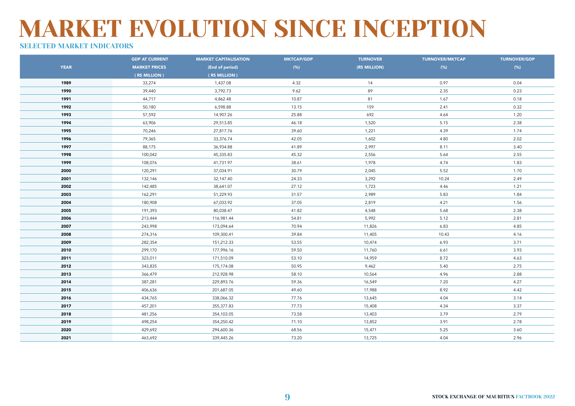### SELECTED MARKET INDICATORS

|             | <b>GDP AT CURRENT</b> | <b>MARKET CAPITALISATION</b> | <b>MKTCAP/GDP</b> | <b>TURNOVER</b> | <b>TURNOVER/MKTCAP</b> | <b>TURNOVER/GDP</b> |
|-------------|-----------------------|------------------------------|-------------------|-----------------|------------------------|---------------------|
| <b>YEAR</b> | <b>MARKET PRICES</b>  | (End of period)              | (% )              | (RS MILLION)    | $(\%)$                 | $(\%)$              |
|             | (RS MILLION)          | (RS MILLION)                 |                   |                 |                        |                     |
| 1989        | 33,274                | 1,437.08                     | 4.32              | 14              | 0.97                   | 0.04                |
| 1990        | 39,440                | 3,792.73                     | 9.62              | 89              | 2.35                   | 0.23                |
| 1991        | 44,717                | 4,862.48                     | 10.87             | 81              | 1.67                   | 0.18                |
| 1992        | 50,180                | 6,598.88                     | 13.15             | 159             | 2.41                   | 0.32                |
| 1993        | 57,592                | 14,907.26                    | 25.88             | 692             | 4.64                   | 1.20                |
| 1994        | 63,906                | 29,513.85                    | 46.18             | 1,520           | 5.15                   | 2.38                |
| 1995        | 70,246                | 27,817.76                    | 39.60             | 1,221           | 4.39                   | 1.74                |
| 1996        | 79,365                | 33,376.74                    | 42.05             | 1,602           | 4.80                   | 2.02                |
| 1997        | 88,175                | 36,934.88                    | 41.89             | 2,997           | 8.11                   | 3.40                |
| 1998        | 100,042               | 45,335.83                    | 45.32             | 2,556           | 5.64                   | 2.55                |
| 1999        | 108,076               | 41,731.97                    | 38.61             | 1,978           | 4.74                   | 1.83                |
| 2000        | 120,291               | 37,034.91                    | 30.79             | 2,045           | 5.52                   | 1.70                |
| 2001        | 132,146               | 32,147.40                    | 24.33             | 3,292           | 10.24                  | 2.49                |
| 2002        | 142,485               | 38,641.07                    | 27.12             | 1,723           | 4.46                   | 1.21                |
| 2003        | 162,291               | 51,229.93                    | 31.57             | 2,989           | 5.83                   | 1.84                |
| 2004        | 180,908               | 67,033.92                    | 37.05             | 2,819           | 4.21                   | 1.56                |
| 2005        | 191,393               | 80,038.47                    | 41.82             | 4,548           | 5.68                   | 2.38                |
| 2006        | 213,444               | 116,981.44                   | 54.81             | 5,992           | 5.12                   | 2.81                |
| 2007        | 243,998               | 173,094.64                   | 70.94             | 11,826          | 6.83                   | 4.85                |
| 2008        | 274,316               | 109,300.41                   | 39.84             | 11,405          | 10.43                  | 4.16                |
| 2009        | 282,354               | 151,212.33                   | 53.55             | 10,474          | 6.93                   | 3.71                |
| 2010        | 299,170               | 177,996.16                   | 59.50             | 11,760          | 6.61                   | 3.93                |
| 2011        | 323,011               | 171,510.09                   | 53.10             | 14,959          | 8.72                   | 4.63                |
| 2012        | 343,835               | 175,174.08                   | 50.95             | 9,462           | 5.40                   | 2.75                |
| 2013        | 366,479               | 212,928.98                   | 58.10             | 10,564          | 4.96                   | 2.88                |
| 2014        | 387,281               | 229,893.76                   | 59.36             | 16,549          | 7.20                   | 4.27                |
| 2015        | 406,636               | 201,687.05                   | 49.60             | 17,988          | 8.92                   | 4.42                |
| 2016        | 434,765               | 338,066.32                   | 77.76             | 13,645          | 4.04                   | 3.14                |
| 2017        | 457,201               | 355,377.83                   | 77.73             | 15,408          | 4.34                   | 3.37                |
| 2018        | 481,256               | 354,103.05                   | 73.58             | 13,403          | 3.79                   | 2.79                |
| 2019        | 498,254               | 354,250.42                   | 71.10             | 13,852          | 3.91                   | 2.78                |
| 2020        | 429,692               | 294,600.36                   | 68.56             | 15,471          | 5.25                   | 3.60                |
| 2021        | 463,692               | 339,445.26                   | 73.20             | 13,725          | 4.04                   | 2.96                |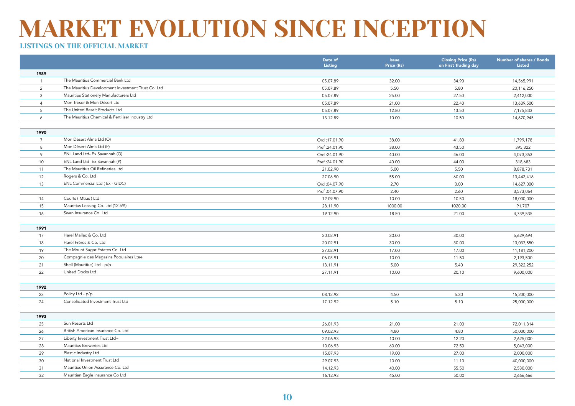|                |                                                    | Date of<br><b>Listing</b> | <b>Issue</b><br>Price (Rs) | <b>Closing Price (Rs)</b><br>on First Trading day | <b>Number of shares / Bonds</b><br><b>Listed</b> |
|----------------|----------------------------------------------------|---------------------------|----------------------------|---------------------------------------------------|--------------------------------------------------|
| 1989           |                                                    |                           |                            |                                                   |                                                  |
| $\overline{1}$ | The Mauritius Commercial Bank Ltd                  | 05.07.89                  | 32.00                      | 34.90                                             | 14,565,991                                       |
| 2              | The Mauritius Development Investment Trust Co. Ltd | 05.07.89                  | 5.50                       | 5.80                                              | 20,116,250                                       |
| 3              | Mauritius Stationery Manufacturers Ltd             | 05.07.89                  | 25.00                      | 27.50                                             | 2,412,000                                        |
| $\overline{4}$ | Mon Trésor & Mon Désert Ltd                        | 05.07.89                  | 21.00                      | 22.40                                             | 13,639,500                                       |
| 5              | The United Basalt Products Ltd                     | 05.07.89                  | 12.80                      | 13.50                                             | 7,175,833                                        |
| 6              | The Mauritius Chemical & Fertilizer Industry Ltd   | 13.12.89                  | 10.00                      | 10.50                                             | 14,670,945                                       |
|                |                                                    |                           |                            |                                                   |                                                  |
| 1990           |                                                    |                           |                            |                                                   |                                                  |
| $\overline{7}$ | Mon Désert Alma Ltd (O)                            | Ord: 17.01.90             | 38.00                      | 41.80                                             | 1,799,178                                        |
| 8              | Mon Désert Alma Ltd (P)                            | Pref: 24.01.90            | 38.00                      | 43.50                                             | 395,322                                          |
| 9              | ENL Land Ltd- Ex Savannah (O)                      | Ord:24.01.90              | 40.00                      | 46.00                                             | 4,073,353                                        |
| 10             | ENL Land Ltd- Ex Savannah (P)                      | Pref: 24.01.90            | 40.00                      | 44.00                                             | 318,683                                          |
| 11             | The Mauritius Oil Refineries Ltd                   | 21.02.90                  | 5.00                       | 5.50                                              | 8,878,731                                        |
| 12             | Rogers & Co. Ltd                                   | 27.06.90                  | 55.00                      | 60.00                                             | 13,442,416                                       |
| 13             | ENL Commercial Ltd (Ex - GIDC)                     | Ord:04.07.90              | 2.70                       | 3.00                                              | 14,627,000                                       |
|                |                                                    | Pref: 04.07.90            | 2.40                       | 2.60                                              | 3,573,064                                        |
| 14             | Courts (Mtius) Ltd                                 | 12.09.90                  | 10.00                      | 10.50                                             | 18,000,000                                       |
| 15             | Mauritius Leasing Co. Ltd (12.5%)                  | 28.11.90                  | 1000.00                    | 1020.00                                           | 91,707                                           |
| 16             | Swan Insurance Co. Ltd                             | 19.12.90                  | 18.50                      | 21.00                                             | 4,739,535                                        |
|                |                                                    |                           |                            |                                                   |                                                  |
| 1991           |                                                    |                           |                            |                                                   |                                                  |
| 17             | Harel Mallac & Co. Ltd                             | 20.02.91                  | 30.00                      | 30.00                                             | 5,629,694                                        |
| 18             | Harel Frères & Co. Ltd                             | 20.02.91                  | 30.00                      | 30.00                                             | 13,037,550                                       |
| 19             | The Mount Sugar Estates Co. Ltd                    | 27.02.91                  | 17.00                      | 17.00                                             | 11,181,200                                       |
| 20             | Compagnie des Magasins Populaires Ltee             | 06.03.91                  | 10.00                      | 11.50                                             | 2,193,500                                        |
| 21             | Shell (Mauritius) Ltd - p/p                        | 13.11.91                  | 5.00                       | 5.40                                              | 29,322,252                                       |
| 22             | United Docks Ltd                                   | 27.11.91                  | 10.00                      | 20.10                                             | 9,600,000                                        |
|                |                                                    |                           |                            |                                                   |                                                  |
| 1992           |                                                    |                           |                            |                                                   |                                                  |
| 23             | Policy Ltd - p/p                                   | 08.12.92                  | 4.50                       | 5.30                                              | 15,200,000                                       |
| 24             | Consolidated Investment Trust Ltd                  | 17.12.92                  | 5.10                       | 5.10                                              | 25,000,000                                       |
|                |                                                    |                           |                            |                                                   |                                                  |
| 1993           |                                                    |                           |                            |                                                   |                                                  |
| 25             | Sun Resorts Ltd                                    | 26.01.93                  | 21.00                      | 21.00                                             | 72,011,314                                       |
| 26             | British American Insurance Co. Ltd                 | 09.02.93                  | 4.80                       | 4.80                                              | 50,000,000                                       |
| 27             | Liberty Investment Trust Ltd~                      | 22.06.93                  | 10.00                      | 12.20                                             | 2,625,000                                        |
| 28             | Mauritius Breweries Ltd                            | 10.06.93                  | 60.00                      | 72.50                                             | 5,043,000                                        |
| 29             | Plastic Industry Ltd                               | 15.07.93                  | 19.00                      | 27.00                                             | 2,000,000                                        |
| 30             | National Investment Trust Ltd                      | 29.07.93                  | 10.00                      | 11.10                                             | 40,000,000                                       |
| 31             | Mauritius Union Assurance Co. Ltd                  | 14.12.93                  | 40.00                      | 55.50                                             | 2,530,000                                        |
| 32             | Mauritian Eagle Insurance Co Ltd                   | 16.12.93                  | 45.00                      | 50.00                                             | 2,666,666                                        |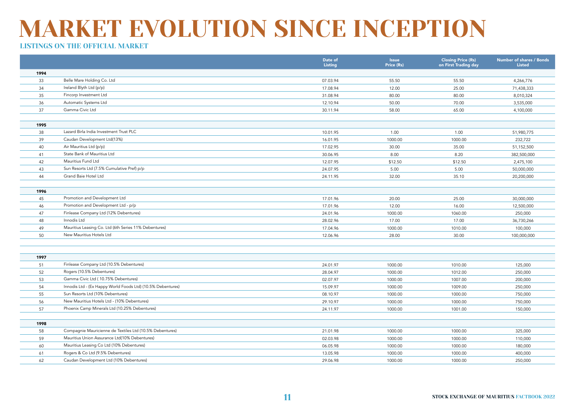|      |                                                             | Date of<br>Listing | <b>Issue</b><br>Price (Rs) | <b>Closing Price (Rs)</b><br>on First Trading day | Number of shares / Bonds<br><b>Listed</b> |
|------|-------------------------------------------------------------|--------------------|----------------------------|---------------------------------------------------|-------------------------------------------|
| 1994 |                                                             |                    |                            |                                                   |                                           |
| 33   | Belle Mare Holding Co. Ltd                                  | 07.03.94           | 55.50                      | 55.50                                             | 4,266,776                                 |
| 34   | Ireland Blyth Ltd (p/p)                                     | 17.08.94           | 12.00                      | 25.00                                             | 71,438,333                                |
| 35   | Fincorp Investment Ltd                                      | 31.08.94           | 80.00                      | 80.00                                             | 8,010,324                                 |
| 36   | Automatic Systems Ltd                                       | 12.10.94           | 50.00                      | 70.00                                             | 3,535,000                                 |
| 37   | Gamma Civic Ltd                                             | 30.11.94           | 58.00                      | 65.00                                             | 4,100,000                                 |
|      |                                                             |                    |                            |                                                   |                                           |
| 1995 |                                                             |                    |                            |                                                   |                                           |
| 38   | Lazard Birla India Investment Trust PLC                     | 10.01.95           | 1.00                       | 1.00                                              | 51,980,775                                |
| 39   | Caudan Development Ltd(13%)                                 | 16.01.95           | 1000.00                    | 1000.00                                           | 232,722                                   |
| 40   | Air Mauritius Ltd (p/p)                                     | 17.02.95           | 30.00                      | 35.00                                             | 51,152,500                                |
| 41   | State Bank of Mauritius Ltd                                 | 30.06.95           | 8.00                       | 8.20                                              | 382,500,000                               |
| 42   | Mauritius Fund Ltd                                          | 12.07.95           | \$12.50                    | \$12.50                                           | 2,475,100                                 |
| 43   | Sun Resorts Ltd (7.5% Cumulative Pref) p/p                  | 24.07.95           | 5.00                       | 5.00                                              | 50,000,000                                |
| 44   | Grand Baie Hotel Ltd                                        | 24.11.95           | 32.00                      | 35.10                                             | 20,200,000                                |
|      |                                                             |                    |                            |                                                   |                                           |
| 1996 |                                                             |                    |                            |                                                   |                                           |
| 45   | Promotion and Development Ltd                               | 17.01.96           | 20.00                      | 25.00                                             | 30,000,000                                |
| 46   | Promotion and Development Ltd - p/p                         | 17.01.96           | 12.00                      | 16.00                                             | 12,500,000                                |
| 47   | Finlease Company Ltd (12% Debentures)                       | 24.01.96           | 1000.00                    | 1060.00                                           | 250,000                                   |
| 48   | Innodis Ltd                                                 | 28.02.96           | 17.00                      | 17.00                                             | 36,730,266                                |
| 49   | Mauritius Leasing Co. Ltd (6th Series 11% Debentures)       | 17.04.96           | 1000.00                    | 1010.00                                           | 100,000                                   |
| 50   | New Mauritius Hotels Ltd                                    | 12.06.96           | 28.00                      | 30.00                                             | 100,000,000                               |
|      |                                                             |                    |                            |                                                   |                                           |
|      |                                                             |                    |                            |                                                   |                                           |
| 1997 |                                                             |                    |                            |                                                   |                                           |
| 51   | Finlease Company Ltd (10.5% Debentures)                     | 24.01.97           | 1000.00                    | 1010.00                                           | 125,000                                   |
| 52   | Rogers (10.5% Debentures)                                   | 28.04.97           | 1000.00                    | 1012.00                                           | 250,000                                   |
| 53   | Gamma Civic Ltd (10.75% Debentures)                         | 02.07.97           | 1000.00                    | 1007.00                                           | 200,000                                   |
| 54   | Innodis Ltd - (Ex Happy World Foods Ltd) (10.5% Debentures) | 15.09.97           | 1000.00                    | 1009.00                                           | 250,000                                   |
| 55   | Sun Resorts Ltd (10% Debentures)                            | 08.10.97           | 1000.00                    | 1000.00                                           | 750,000                                   |
| 56   | New Mauritius Hotels Ltd - (10% Debentures)                 | 29.10.97           | 1000.00                    | 1000.00                                           | 750,000                                   |
| 57   | Phoenix Camp Minerals Ltd (10.25% Debentures)               | 24.11.97           | 1000.00                    | 1001.00                                           | 150,000                                   |
|      |                                                             |                    |                            |                                                   |                                           |
| 1998 |                                                             |                    |                            |                                                   |                                           |
| 58   | Compagnie Mauricienne de Textiles Ltd (10.5% Debentures)    | 21.01.98           | 1000.00                    | 1000.00                                           | 325,000                                   |
| 59   | Mauritius Union Assurance Ltd(10% Debentures)               | 02.03.98           | 1000.00                    | 1000.00                                           | 110,000                                   |
| 60   | Mauritius Leasing Co Ltd (10% Debentures)                   | 06.05.98           | 1000.00                    | 1000.00                                           | 180,000                                   |
| 61   | Rogers & Co Ltd (9.5% Debentures)                           | 13.05.98           | 1000.00                    | 1000.00                                           | 400,000                                   |
| 62   | Caudan Development Ltd (10% Debentures)                     | 29.06.98           | 1000.00                    | 1000.00                                           | 250,000                                   |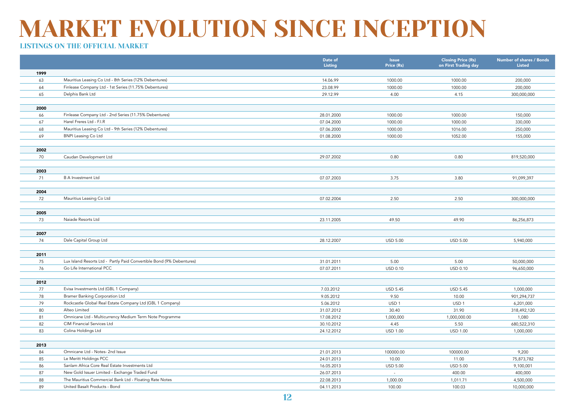|      |                                                                                                    | Date of<br>Listing | <b>Issue</b><br>Price (Rs) | <b>Closing Price (Rs)</b><br>on First Trading day | <b>Number of shares / Bonds</b><br><b>Listed</b> |
|------|----------------------------------------------------------------------------------------------------|--------------------|----------------------------|---------------------------------------------------|--------------------------------------------------|
| 1999 |                                                                                                    |                    |                            |                                                   |                                                  |
| 63   | Mauritius Leasing Co Ltd - 8th Series (12% Debentures)                                             | 14.06.99           | 1000.00                    | 1000.00                                           | 200,000                                          |
| 64   | Finlease Company Ltd - 1st Series (11.75% Debentures)                                              | 23.08.99           | 1000.00                    | 1000.00                                           | 200,000                                          |
| 65   | Delphis Bank Ltd                                                                                   | 29.12.99           | 4.00                       | 4.15                                              | 300,000,000                                      |
|      |                                                                                                    |                    |                            |                                                   |                                                  |
| 2000 |                                                                                                    |                    |                            |                                                   |                                                  |
| 66   | Finlease Company Ltd - 2nd Series (11.75% Debentures)                                              | 28.01.2000         | 1000.00                    | 1000.00                                           | 150,000                                          |
| 67   | Harel Freres Ltd - F.I.R                                                                           | 07.04.2000         | 1000.00                    | 1000.00                                           | 330,000                                          |
| 68   | Mauritius Leasing Co Ltd - 9th Series (12% Debentures)                                             | 07.06.2000         | 1000.00                    | 1016.00                                           | 250,000                                          |
| 69   | <b>BNPI Leasing Co Ltd</b>                                                                         | 01.08.2000         | 1000.00                    | 1052.00                                           | 155,000                                          |
|      |                                                                                                    |                    |                            |                                                   |                                                  |
| 2002 |                                                                                                    |                    |                            |                                                   |                                                  |
| 70   | Caudan Development Ltd                                                                             | 29.07.2002         | 0.80                       | 0.80                                              | 819,520,000                                      |
|      |                                                                                                    |                    |                            |                                                   |                                                  |
| 2003 |                                                                                                    |                    |                            |                                                   |                                                  |
| 71   | <b>B A Investment Ltd</b>                                                                          | 07.07.2003         | 3.75                       | 3.80                                              | 91,099,397                                       |
|      |                                                                                                    |                    |                            |                                                   |                                                  |
| 2004 |                                                                                                    |                    |                            |                                                   |                                                  |
| 72   | Mauritius Leasing Co Ltd                                                                           | 07.02.2004         | 2.50                       | 2.50                                              | 300,000,000                                      |
|      |                                                                                                    |                    |                            |                                                   |                                                  |
| 2005 |                                                                                                    |                    |                            |                                                   |                                                  |
| 73   | Naiade Resorts Ltd                                                                                 | 23.11.2005         | 49.50                      | 49.90                                             | 86,256,873                                       |
|      |                                                                                                    |                    |                            |                                                   |                                                  |
| 2007 |                                                                                                    |                    |                            |                                                   |                                                  |
| 74   | Dale Capital Group Ltd                                                                             | 28.12.2007         | <b>USD 5.00</b>            | <b>USD 5.00</b>                                   | 5,940,000                                        |
|      |                                                                                                    |                    |                            |                                                   |                                                  |
| 2011 |                                                                                                    |                    |                            |                                                   |                                                  |
| 75   | Lux Island Resorts Ltd - Partly Paid Convertible Bond (9% Debentures)<br>Go Life International PCC | 31.01.2011         | 5.00                       | 5.00                                              | 50,000,000                                       |
| 76   |                                                                                                    | 07.07.2011         | <b>USD 0.10</b>            | USD 0.10                                          | 96,650,000                                       |
| 2012 |                                                                                                    |                    |                            |                                                   |                                                  |
| 77   | Evisa Investments Ltd (GBL 1 Company)                                                              | 7.03.2012          | <b>USD 5.45</b>            | <b>USD 5.45</b>                                   | 1,000,000                                        |
| 78   | <b>Bramer Banking Corporation Ltd</b>                                                              | 9.05.2012          | 9.50                       | 10.00                                             | 901,294,737                                      |
| 79   | Rockcastle Global Real Estate Company Ltd (GBL 1 Company)                                          | 5.06.2012          | USD <sub>1</sub>           | USD <sub>1</sub>                                  | 6,201,000                                        |
| 80   | Alteo Limited                                                                                      | 31.07.2012         | 30.40                      | 31.90                                             | 318,492,120                                      |
| 81   | Omnicane Ltd - Multicurrency Medium Term Note Programme                                            | 17.08.2012         | 1,000,000                  | 1,000,000.00                                      | 1,080                                            |
| 82   | CIM Financial Services Ltd                                                                         | 30.10.2012         | 4.45                       | 5.50                                              | 680,522,310                                      |
| 83   | Colina Holdings Ltd                                                                                | 24.12.2012         | <b>USD 1.00</b>            | <b>USD 1.00</b>                                   | 1,000,000                                        |
|      |                                                                                                    |                    |                            |                                                   |                                                  |
| 2013 |                                                                                                    |                    |                            |                                                   |                                                  |
| 84   | Omnicane Ltd - Notes- 2nd Issue                                                                    | 21.01.2013         | 100000.00                  | 100000.00                                         | 9,200                                            |
| 85   | Le Meritt Holdings PCC                                                                             | 24.01.2013         | 10.00                      | 11.00                                             | 75,873,782                                       |
| 86   | Sanlam Africa Core Real Estate Investments Ltd                                                     | 16.05.2013         | <b>USD 5.00</b>            | <b>USD 5.00</b>                                   | 9,100,001                                        |
| 87   | New Gold Issuer Limited - Exchange Traded Fund                                                     | 26.07.2013         | $\sim$                     | 400.00                                            | 400,000                                          |
| 88   | The Mauritius Commercial Bank Ltd - Floating Rate Notes                                            | 22.08.2013         | 1,000.00                   | 1,011.71                                          | 4,500,000                                        |
| 89   | United Basalt Products - Bond                                                                      | 04.11.2013         | 100.00                     | 100.03                                            | 10,000,000                                       |
|      |                                                                                                    |                    |                            |                                                   |                                                  |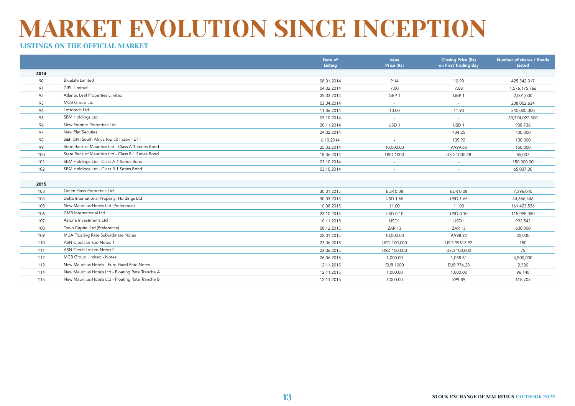|      |                                                     | Date of<br><b>Listing</b> | <b>Issue</b><br>Price (Rs) | <b>Closing Price (Rs)</b><br>on First Trading day | <b>Number of shares / Bonds</b><br><b>Listed</b> |
|------|-----------------------------------------------------|---------------------------|----------------------------|---------------------------------------------------|--------------------------------------------------|
| 2014 |                                                     |                           |                            |                                                   |                                                  |
| 90   | <b>BlueLife Limited</b>                             | 08.01.2014                | 9.14                       | 10.90                                             | 425,342,317                                      |
| 91   | <b>CIEL Limited</b>                                 | 04.02.2014                | 7.00                       | 7.88                                              | 1,576,175,766                                    |
| 92   | Atlantic Leaf Properties Limited                    | 25.03.2014                | GBP <sub>1</sub>           | GBP <sub>1</sub>                                  | 2,001,000                                        |
| 93   | MCB Group Ltd                                       | 03.04.2014                | $\sim$                     | $\sim$                                            | 238,002,634                                      |
| 94   | Lottotech Ltd                                       | 11.06.2014                | 10.00                      | 11.90                                             | 340,000,000                                      |
| 95   | SBM Holdings Ltd                                    | 03.10.2014                | $\sim$                     | $\sim$                                            | 30,374,022,300                                   |
| 96   | New Frontier Properties Ltd                         | 28.11.2014                | USD <sub>1</sub>           | USD <sub>1</sub>                                  | 938,736                                          |
| 97   | New Plat Secuties                                   | 24.02.2014                | $\sim$                     | 434.25                                            | 400,000                                          |
| 98   | S&P GIVI South Africa top 50 Index - ETF            | 6.10.2014                 | $\overline{\phantom{a}}$   | 135.92                                            | 100,000                                          |
| 99   | State Bank of Mauritius Ltd - Class A 1 Series Bond | 25.03.2014                | 10,000.00                  | 9,999.60                                          | 150,000                                          |
| 100  | State Bank of Mauritius Ltd - Class B 1 Series Bond | 18.06.2014                | <b>USD 1000</b>            | USD 1000.48                                       | 65,037                                           |
| 101  | SBM Holdings Ltd - Class A 1 Series Bond            | 03.10.2014                | $\sim$                     | $\sim$                                            | 150,000.00                                       |
| 102  | SBM Holdings Ltd - Class B 1 Series Bond            | 03.10.2014                | $\sim$                     | $\sim$                                            | 65,037.00                                        |
|      |                                                     |                           |                            |                                                   |                                                  |
| 2015 |                                                     |                           |                            |                                                   |                                                  |
| 103  | Green Flash Properties Ltd                          | 30.01.2015                | <b>EUR 0.08</b>            | <b>EUR 0.08</b>                                   | 7,396,040                                        |
| 104  | Delta International Property Holdings Ltd           | 30.03.2015                | <b>USD 1.65</b>            | <b>USD 1.65</b>                                   | 44,656,446                                       |
| 105  | New Mauritius Hotels Ltd (Preference)               | 10.08.2015                | 11.00                      | 11.00                                             | 161,423,536                                      |
| 106  | CMB International Ltd                               | 23.10.2015                | <b>USD 0.10</b>            | USD 0.10                                          | 115,098,380                                      |
| 107  | Astoria Investments Ltd                             | 10.11.2015                | USD1                       | USD1                                              | 992,542                                          |
| 108  | Trevo Capital Ltd (Preference)                      | 08.12.2015                | ZAR 13                     | ZAR <sub>13</sub>                                 | 600,000                                          |
| 109  | MUA Floating Rate Subordinate Notes                 | 22.01.2015                | 10,000.00                  | 9,998.92                                          | 20,000                                           |
| 110  | ASN Credit Linked Notes 1                           | 23.06.2015                | USD 100,000                | USD 99513.92                                      | 150                                              |
| 111  | ASN Credit Linked Notes 2                           | 23.06.2015                | USD 100,000                | USD 100,000                                       | 75                                               |
| 112  | MCB Group Limited - Notes                           | 26.06.2015                | 1,000.00                   | 1,038.61                                          | 4,500,000                                        |
| 113  | New Mauritius Hotels - Euro Fixed Rate Notes        | 12.11.2015                | <b>EUR 1000</b>            | EUR 976.28                                        | 2,530                                            |
| 114  | New Mauritius Hotels Ltd - Floating Rate Tranche A  | 12.11.2015                | 1,000.00                   | 1,000.00                                          | 96,140                                           |
| 115  | New Mauritius Hotels Ltd - Floating Rate Tranche B  | 12.11.2015                | 1,000.00                   | 999.89                                            | 618,703                                          |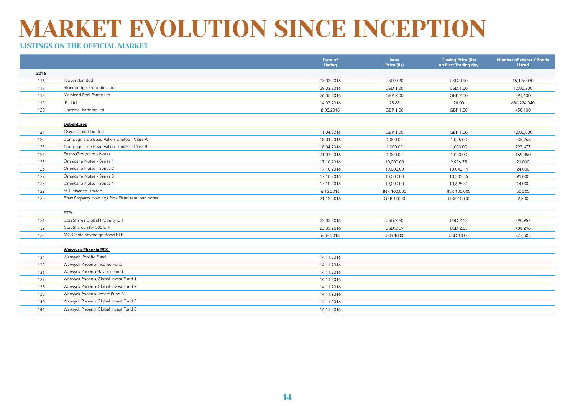|      |                                                    | Date of<br>Listing | <b>Issue</b><br>Price (Rs) | <b>Closing Price (Rs)</b><br>on First Trading day | Number of shares / Bonds<br><b>Listed</b> |
|------|----------------------------------------------------|--------------------|----------------------------|---------------------------------------------------|-------------------------------------------|
| 2016 |                                                    |                    |                            |                                                   |                                           |
| 116  | <b>Tadvest Limited</b>                             | 03.02.2016         | USD 0.90                   | USD 0.90                                          | 15,196,030                                |
| 117  | Stonebridge Properties Ltd                         | 29.03.2016         | <b>USD 1.00</b>            | <b>USD 1.00</b>                                   | 1,000,200                                 |
| 118  | Mainland Real Estate Ltd                           | 26.05.2016         | GBP 2.00                   | GBP 2.00                                          | 591,100                                   |
| 119  | <b>IBL Ltd</b>                                     | 14.07.2016         | 25.65                      | 28.00                                             | 680,224,040                               |
| 120  | Universal Partners Ltd                             | 8.08.2016          | GBP 1.00                   | GBP 1.00                                          | 450,100                                   |
|      |                                                    |                    |                            |                                                   |                                           |
|      | <b>Debentures</b>                                  |                    |                            |                                                   |                                           |
| 121  | Oswa Capital Limited                               | 11.04.2016         | GBP 1.00                   | GBP 1.00                                          | 1,000,000                                 |
| 122  | Compagnie de Beau Vallon Limitée - Class A         | 18.04.2016         | 1,000.00                   | 1,025.00                                          | 235,768                                   |
| 123  | Compagnie de Beau Vallon Limitée - Class B         | 18.04.2016         | 1,000.00                   | 1,000.00                                          | 797,477                                   |
| 124  | Evaco Group Ltd - Notes                            | 01.07.2016         | 1,000.00                   | 1,000.00                                          | 169,050                                   |
| 125  | Omnicane Notes - Series 1                          | 17.10.2016         | 10,000.00                  | 9,996.78                                          | 21,000                                    |
| 126  | Omnicane Notes - Series 2                          | 17.10.2016         | 10,000.00                  | 10,043.19                                         | 24,000                                    |
| 127  | Omnicane Notes - Series 3                          | 17.10.2016         | 10,000.00                  | 10,505.55                                         | 91,000                                    |
| 128  | Omnicane Notes - Series 4                          | 17.10.2016         | 10,000.00                  | 10,625.31                                         | 44,000                                    |
| 129  | <b>ECL Finance Limited</b>                         | 6.12.2016          | INR 100,000                | INR 100,000                                       | 50,200                                    |
| 130  | Braw Property Holdings Plc - Fixed rate loan notes | 21.12.2016         | GBP 10000                  | GBP 10000                                         | 2,500                                     |
|      |                                                    |                    |                            |                                                   |                                           |
|      | <b>ETFs</b>                                        |                    |                            |                                                   |                                           |
| 131  | CoreShares Global Property ETF                     | 23.05.2016         | <b>USD 2.60</b>            | <b>USD 2.53</b>                                   | 390,957                                   |
| 132  | CoreShares S&P 500 ETF                             | 23.05.2016         | <b>USD 2.09</b>            | <b>USD 2.05</b>                                   | 488,296                                   |
| 133  | MCB India Sovereign Bond ETF                       | 6.06.2016          | <b>USD 10.00</b>           | <b>USD 10.05</b>                                  | 875,505                                   |
|      |                                                    |                    |                            |                                                   |                                           |
|      | <b>Warwyck Phoenix PCC</b>                         |                    |                            |                                                   |                                           |
| 134  | Warwyck Prolific Fund                              | 14.11.2016         |                            |                                                   |                                           |
| 135  | Warwyck Phoenix Income Fund                        | 14.11.2016         |                            |                                                   |                                           |
| 136  | Warwyck Phoenix Balance Fund                       | 14.11.2016         |                            |                                                   |                                           |
| 137  | Warwyck Phoenix Global Invest Fund 1               | 14.11.2016         |                            |                                                   |                                           |
| 138  | Warwyck Phoenix Global Invest Fund 2               | 14.11.2016         |                            |                                                   |                                           |
| 139  | Warwyck Phoenix Invest Fund 3                      | 14.11.2016         |                            |                                                   |                                           |
| 140  | Warwyck Phoenix Global Invest Fund 5               | 14.11.2016         |                            |                                                   |                                           |
| 141  | Warwyck Phoenix Global Invest Fund 6               | 14.11.2016         |                            |                                                   |                                           |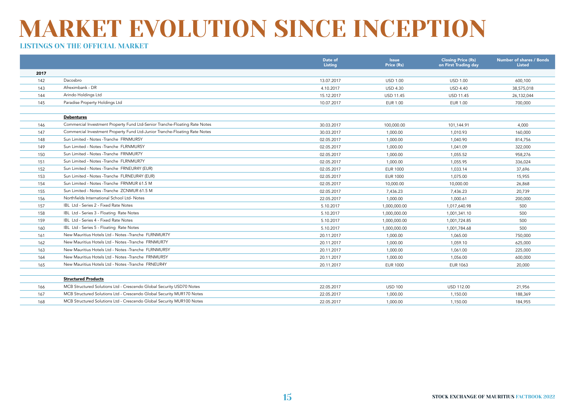|      |                                                                            | Date of<br>Listing | <b>Issue</b><br>Price (Rs) | <b>Closing Price (Rs)</b><br>on First Trading day | Number of shares / Bonds<br>Listed |
|------|----------------------------------------------------------------------------|--------------------|----------------------------|---------------------------------------------------|------------------------------------|
| 2017 |                                                                            |                    |                            |                                                   |                                    |
| 142  | Dacosbro                                                                   | 13.07.2017         | <b>USD 1.00</b>            | <b>USD 1.00</b>                                   | 600,100                            |
| 143  | Afreximbank - DR                                                           | 4.10.2017          | <b>USD 4.30</b>            | <b>USD 4.40</b>                                   | 38,575,018                         |
| 144  | Arindo Holdings Ltd                                                        | 15.12.2017         | <b>USD 11.45</b>           | <b>USD 11.45</b>                                  | 26,132,044                         |
| 145  | Paradise Property Holdings Ltd                                             | 10.07.2017         | EUR 1.00                   | <b>EUR 1.00</b>                                   | 700,000                            |
|      |                                                                            |                    |                            |                                                   |                                    |
|      | <b>Debentures</b>                                                          |                    |                            |                                                   |                                    |
| 146  | Commercial Investment Property Fund Ltd-Senior Tranche-Floating Rate Notes | 30.03.2017         | 100,000.00                 | 101,144.91                                        | 4,000                              |
| 147  | Commercial Investment Property Fund Ltd-Junior Tranche-Floating Rate Notes | 30.03.2017         | 1,000.00                   | 1,010.93                                          | 160,000                            |
| 148  | Sun Limited - Notes - Tranche FRNMUR5Y                                     | 02.05.2017         | 1,000.00                   | 1,040.90                                          | 814,756                            |
| 149  | Sun Limited - Notes - Tranche FLRNMUR5Y                                    | 02.05.2017         | 1,000.00                   | 1,041.09                                          | 322,000                            |
| 150  | Sun Limited - Notes -Tranche FRNMUR7Y                                      | 02.05.2017         | 1,000.00                   | 1,055.52                                          | 958,276                            |
| 151  | Sun Limited - Notes -Tranche FLRNMUR7Y                                     | 02.05.2017         | 1,000.00                   | 1,055.95                                          | 336,024                            |
| 152  | Sun Limited - Notes - Tranche FRNEUR4Y (EUR)                               | 02.05.2017         | <b>EUR 1000</b>            | 1,033.14                                          | 37,696                             |
| 153  | Sun Limited - Notes - Tranche FLRNEUR4Y (EUR)                              | 02.05.2017         | <b>EUR 1000</b>            | 1,075.00                                          | 15,955                             |
| 154  | Sun Limited - Notes - Tranche FRNMUR 61.5 M                                | 02.05.2017         | 10,000.00                  | 10,000.00                                         | 26,868                             |
| 155  | Sun Limited - Notes - Tranche ZCNMUR 61.5 M                                | 02.05.2017         | 7,436.23                   | 7,436.23                                          | 20,739                             |
| 156  | Northfields International School Ltd- Notes                                | 22.05.2017         | 1,000.00                   | 1,000.61                                          | 200,000                            |
| 157  | IBL Ltd - Series 2 - Fixed Rate Notes                                      | 5.10.2017          | 1,000,000.00               | 1,017,640.98                                      | 500                                |
| 158  | IBL Ltd - Series 3 - Floating Rate Notes                                   | 5.10.2017          | 1,000,000.00               | 1,001,341.10                                      | 500                                |
| 159  | IBL Ltd - Series 4 - Fixed Rate Notes                                      | 5.10.2017          | 1,000,000.00               | 1,001,724.85                                      | 500                                |
| 160  | IBL Ltd - Series 5 - Floating Rate Notes                                   | 5.10.2017          | 1,000,000.00               | 1,001,784.68                                      | 500                                |
| 161  | New Mauritius Hotels Ltd - Notes -Tranche FLRNMUR7Y                        | 20.11.2017         | 1,000.00                   | 1,065.00                                          | 750,000                            |
| 162  | New Mauritius Hotels Ltd - Notes -Tranche FRNMUR7Y                         | 20.11.2017         | 1,000.00                   | 1,059.10                                          | 625,000                            |
| 163  | New Mauritius Hotels Ltd - Notes - Tranche FLRNMUR5Y                       | 20.11.2017         | 1,000.00                   | 1,061.00                                          | 225,000                            |
| 164  | New Mauritius Hotels Ltd - Notes -Tranche FRNMUR5Y                         | 20.11.2017         | 1,000.00                   | 1,056.00                                          | 600,000                            |
| 165  | New Mauritius Hotels Ltd - Notes -Tranche FRNEUR4Y                         | 20.11.2017         | EUR 1000                   | <b>EUR 1063</b>                                   | 20,000                             |
|      |                                                                            |                    |                            |                                                   |                                    |
|      | <b>Structured Products</b>                                                 |                    |                            |                                                   |                                    |
| 166  | MCB Structured Solutions Ltd - Crescendo Global Security USD70 Notes       | 22.05.2017         | <b>USD 100</b>             | USD 112.00                                        | 21,956                             |
| 167  | MCB Structured Solutions Ltd - Crescendo Global Security MUR170 Notes      | 22.05.2017         | 1,000.00                   | 1,150.00                                          | 188,369                            |
| 168  | MCB Structured Solutions Ltd - Crescendo Global Security MUR100 Notes      | 22.05.2017         | 1,000.00                   | 1,150.00                                          | 184,955                            |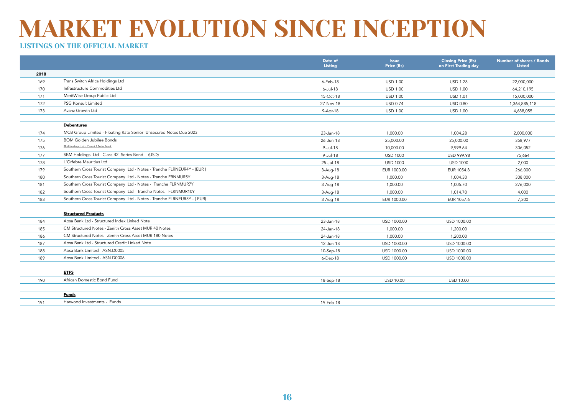|      |                                                                        | Date of<br>Listing | <b>Issue</b><br>Price (Rs) | <b>Closing Price (Rs)</b><br>on First Trading day | <b>Number of shares / Bonds</b><br><b>Listed</b> |
|------|------------------------------------------------------------------------|--------------------|----------------------------|---------------------------------------------------|--------------------------------------------------|
| 2018 |                                                                        |                    |                            |                                                   |                                                  |
| 169  | Trans Switch Africa Holdings Ltd                                       | $6$ -Feb-18        | <b>USD 1.00</b>            | <b>USD 1.28</b>                                   | 22,000,000                                       |
| 170  | Infrastructure Commodities Ltd                                         | 6-Jul-18           | <b>USD 1.00</b>            | <b>USD 1.00</b>                                   | 64,210,195                                       |
| 171  | MeritWise Group Public Ltd                                             | 15-Oct-18          | <b>USD 1.00</b>            | <b>USD 1.01</b>                                   | 15,000,000                                       |
| 172  | PSG Konsult Limited                                                    | 27-Nov-18          | <b>USD 0.74</b>            | <b>USD 0.80</b>                                   | 1,364,885,118                                    |
| 173  | Avanz Growth Ltd                                                       | 9-Apr-18           | <b>USD 1.00</b>            | <b>USD 1.00</b>                                   | 4,688,055                                        |
|      | <b>Debentures</b>                                                      |                    |                            |                                                   |                                                  |
| 174  | MCB Group Limited - Floating Rate Senior Unsecured Notes Due 2023      | 23-Jan-18          | 1,000.00                   | 1,004.28                                          | 2,000,000                                        |
| 175  | <b>BOM Golden Jubilee Bonds</b>                                        | 26-Jun-18          | 25,000.00                  | 25,000.00                                         | 358,977                                          |
| 176  | SBM Holdings Ltd - Class A 2 Series Bond                               | 9-Jul-18           | 10,000.00                  | 9,999.64                                          | 306,052                                          |
| 177  | SBM Holdings Ltd - Class B2 Series Bond - (USD)                        | 9-Jul-18           | <b>USD 1000</b>            | <b>USD 999.98</b>                                 | 75,664                                           |
| 178  | L'Orfebre Mauritius Ltd                                                | 25-Jul-18          | <b>USD 1000</b>            | <b>USD 1000</b>                                   | 2,000                                            |
| 179  | Southern Cross Tourist Company Ltd - Notes - Tranche FLRNEUR4Y - (EUR) | $3-Auq-18$         | EUR 1000.00                | EUR 1054.8                                        | 266,000                                          |
| 180  | Southern Cross Tourist Company Ltd - Notes - Tranche FRNMUR5Y          | 3-Aug-18           | 1,000.00                   | 1,004.30                                          | 308,000                                          |
| 181  | Southern Cross Tourist Company Ltd - Notes - Tranche FLRNMUR7Y         | $3-Auq-18$         | 1,000.00                   | 1,005.70                                          | 276,000                                          |
| 182  | Southern Cross Tourist Company Ltd - Tranche Notes - FLRNMUR10Y        | 3-Aug-18           | 1,000.00                   | 1,014.70                                          | 4,000                                            |
| 183  | Southern Cross Tourist Company Ltd - Notes - Tranche FLRNEUR5Y - (EUR) | 3-Aug-18           | EUR 1000.00                | EUR 1057.6                                        | 7,300                                            |
|      | <b>Structured Products</b>                                             |                    |                            |                                                   |                                                  |
| 184  | Absa Bank Ltd - Structured Index Linked Note                           | 23-Jan-18          | USD 1000.00                | USD 1000.00                                       |                                                  |
| 185  | CM Structured Notes - Zenith Cross Asset MUR 40 Notes                  | 24-Jan-18          | 1,000.00                   | 1,200.00                                          |                                                  |
| 186  | CM Structured Notes - Zenith Cross Asset MUR 180 Notes                 | 24-Jan-18          | 1,000.00                   | 1,200.00                                          |                                                  |
| 187  | Absa Bank Ltd - Structured Credit Linked Note                          | 12-Jun-18          | USD 1000.00                | USD 1000.00                                       |                                                  |
| 188  | Absa Bank Limited - ASN.D0005                                          | 10-Sep-18          | USD 1000.00                | USD 1000.00                                       |                                                  |
| 189  | Absa Bank Limited - ASN.D0006                                          | $6$ -Dec-18        | USD 1000.00                | USD 1000.00                                       |                                                  |
|      | <b>ETFS</b>                                                            |                    |                            |                                                   |                                                  |
| 190  | African Domestic Bond Fund                                             | 18-Sep-18          | <b>USD 10.00</b>           | <b>USD 10.00</b>                                  |                                                  |
|      | <b>Funds</b>                                                           |                    |                            |                                                   |                                                  |
| 191  | Harwood Investments - Funds                                            | 19-Feb-18          |                            |                                                   |                                                  |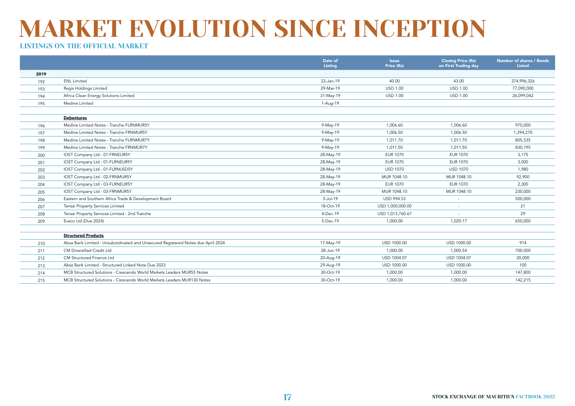|      |                                                                                  | Date of<br>Listing | <b>Issue</b><br>Price (Rs) | <b>Closing Price (Rs)</b><br>on First Trading day | Number of shares / Bonds<br><b>Listed</b> |
|------|----------------------------------------------------------------------------------|--------------------|----------------------------|---------------------------------------------------|-------------------------------------------|
| 2019 |                                                                                  |                    |                            |                                                   |                                           |
| 192  | <b>ENL Limited</b>                                                               | 23-Jan-19          | 40.00                      | 43.00                                             | 374,996,326                               |
| 193  | Regis Holdings Limited                                                           | 29-Mar-19          | <b>USD 1.00</b>            | <b>USD 1.00</b>                                   | 77,090,000                                |
| 194  | Africa Clean Energy Solutions Limited                                            | 31-May-19          | <b>USD 1.00</b>            | <b>USD 1.00</b>                                   | 26,099,042                                |
| 195  | Medine Limited                                                                   | 1-Aug-19           |                            |                                                   |                                           |
|      |                                                                                  |                    |                            |                                                   |                                           |
|      | <b>Debentures</b>                                                                |                    |                            |                                                   |                                           |
| 196  | Medine Limited Notes - Tranche FLRNMUR5Y                                         | 9-May-19           | 1,006.60                   | 1,006.60                                          | 970,000                                   |
| 197  | Medine Limited Notes - Tranche FRNMUR5Y                                          | 9-May-19           | 1,006.50                   | 1,006.50                                          | 1,394,270                                 |
| 198  | Medine Limited Notes - Tranche FLRNMUR7Y                                         | 9-May-19           | 1,011.70                   | 1,011.70                                          | 805,535                                   |
| 199  | Medine Limited Notes - Tranche FRNMUR7Y                                          | 9-May-19           | 1,011.50                   | 1,011.50                                          | 830,195                                   |
| 200  | IOST Company Ltd - 01-FRNEUR5Y                                                   | 28-May-19          | <b>EUR 1070</b>            | <b>EUR 1070</b>                                   | 3,175                                     |
| 201  | IOST Company Ltd - 01-FLRNEUR5Y                                                  | 28-May-19          | <b>EUR 1070</b>            | <b>EUR 1070</b>                                   | 3,000                                     |
| 202  | IOST Company Ltd - 01-FLRNUSD5Y                                                  | 28-May-19          | <b>USD 1070</b>            | <b>USD 1070</b>                                   | 1,980                                     |
| 203  | IOST Company Ltd - 02-FRNMUR5Y                                                   | 28-May-19          | MUR 1048.10                | MUR 1048.10                                       | 92,900                                    |
| 204  | IOST Company Ltd - 03-FLRNEUR5Y                                                  | 28-May-19          | <b>EUR 1070</b>            | <b>EUR 1070</b>                                   | 2,300                                     |
| 205  | IOST Company Ltd - 03-FRNMUR5Y                                                   | 28-May-19          | MUR 1048.10                | MUR 1048.10                                       | 230,000                                   |
| 206  | Eastern and Southern Africa Trade & Development Board                            | 3-Jul-19           | <b>USD 994.53</b>          |                                                   | 500,000                                   |
| 207  | Tensai Property Services Limited                                                 | 18-Oct-19          | USD 1,000,000.00           |                                                   | 21                                        |
| 208  | Tensai Property Services Limited - 2nd Tranche                                   | 4-Dec-19           | USD 1,013,760.67           |                                                   | 29                                        |
| 209  | Evaco Ltd (Due 2024)                                                             | 5-Dec-19           | 1.000.00                   | 1.020.17                                          | 650,000                                   |
|      |                                                                                  |                    |                            |                                                   |                                           |
|      | <b>Structured Products</b>                                                       |                    |                            |                                                   |                                           |
| 210  | Absa Bank Limited - Unsubordinated and Unsecured Registered Notes due April 2024 | 17-May-19          | USD 1000.00                | USD 1000.00                                       | 914                                       |
| 211  | CM Diversified Credit Ltd                                                        | 28-Jun-19          | 1.000.00                   | 1,000.54                                          | 700,000                                   |
| 212  | CM Structured Finance Ltd                                                        | 20-Aug-19          | USD 1004.07                | USD 1004.07                                       | 20,000                                    |
| 213  | Absa Bank Limited - Structured Linked Note Due 2023                              | 29-Aug-19          | USD 1000.00                | USD 1000.00                                       | 100                                       |
| 214  | MCB Structured Solutions - Crescendo World Markets Leaders MUR55 Notes           | 30-Oct-19          | 1,000.00                   | 1,000.00                                          | 147,800                                   |
| 215  | MCB Structured Solutions - Crescendo World Markets Leaders MUR130 Notes          | 30-Oct-19          | 1,000.00                   | 1,000.00                                          | 142,215                                   |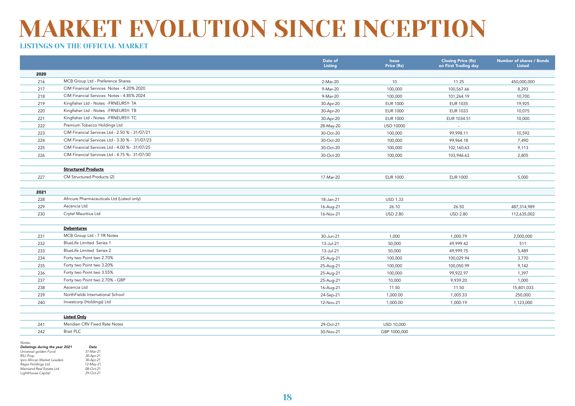### LISTINGS ON THE OFFICIAL MARKET

|      |                                                | Date of<br>Listing | <b>Issue</b><br>Price (Rs) | <b>Closing Price (Rs)</b><br>on First Trading day | Number of shares / Bonds<br><b>Listed</b> |
|------|------------------------------------------------|--------------------|----------------------------|---------------------------------------------------|-------------------------------------------|
| 2020 |                                                |                    |                            |                                                   |                                           |
| 216  | MCB Group Ltd - Preference Shares              | 2-Mar-20           | 10                         | 11.25                                             | 450,000,000                               |
| 217  | CIM Financial Services Notes - 4.20% 2020      | 9-Mar-20           | 100,000                    | 100,567.66                                        | 8,293                                     |
| 218  | CIM Financial Services Notes - 4.85% 2024      | 9-Mar-20           | 100,000                    | 101,264.19                                        | 10,700                                    |
| 219  | Kingfisher Ltd - Notes -FRNEUR5Y- TA           | 30-Apr-20          | <b>EUR 1000</b>            | <b>EUR 1035</b>                                   | 19,925                                    |
| 220  | Kingfisher Ltd - Notes -FRNEUR5Y- TB           | 30-Apr-20          | <b>EUR 1000</b>            | <b>EUR 1033</b>                                   | 10,075                                    |
| 221  | Kingfisher Ltd - Notes -FRNEUR5Y- TC           | 30-Apr-20          | <b>EUR 1000</b>            | EUR 1034.51                                       | 10,000                                    |
| 222  | Premium Tobacco Holdings Ltd                   | 28-May-20          | USD 10000                  | $\sim$                                            |                                           |
| 223  | CIM Financial Services Ltd - 2.50 % - 31/07/21 | 30-Oct-20          | 100,000                    | 99,998.11                                         | 10,592                                    |
| 224  | CIM Financial Services Ltd - 3.30 % - 31/07/23 | 30-Oct-20          | 100,000                    | 99,964.18                                         | 7,490                                     |
| 225  | CIM Financial Services Ltd - 4.00 %- 31/07/25  | 30-Oct-20          | 100,000                    | 102,160.63                                        | 9,113                                     |
| 226  | CIM Financial Services Ltd - 4.75 %- 31/07/30  | 30-Oct-20          | 100,000                    | 103,946.63                                        | 2,805                                     |
|      |                                                |                    |                            |                                                   |                                           |
|      | <b>Structured Products</b>                     |                    |                            |                                                   |                                           |
| 227  | CM Structured Products (2)                     | 17-Mar-20          | <b>EUR 1000</b>            | <b>EUR 1000</b>                                   | 5,000                                     |
|      |                                                |                    |                            |                                                   |                                           |
| 2021 |                                                |                    |                            |                                                   |                                           |
| 228  | Africure Pharmaceuticals Ltd (Listed only)     | 18-Jan-21          | <b>USD 1.33</b>            |                                                   |                                           |
| 229  | Ascencia Ltd                                   | 16-Aug-21          | 26.10                      | 26.50                                             | 487,314,989                               |
| 230  | Crytel Mauritius Ltd                           | 16-Nov-21          | <b>USD 2.80</b>            | <b>USD 2.80</b>                                   | 112,635,002                               |
|      |                                                |                    |                            |                                                   |                                           |
|      | <b>Debentures</b>                              |                    |                            |                                                   |                                           |
| 231  | MCB Group Ltd - 7 YR Notes                     | 30-Jun-21          | 1,000                      | 1,000.79                                          | 2,000,000                                 |
| 232  | <b>BlueLife Limited Series 1</b>               | 13-Jul-21          | 50,000                     | 49,999.42                                         | 511                                       |
| 233  | <b>BlueLife Limited Series 2</b>               | 13-Jul-21          | 50,000                     | 49,999.75                                         | 5,489                                     |
| 234  | Forty two Point two 2.70%                      | 25-Aug-21          | 100,000                    | 100,029.94                                        | 3,770                                     |
| 235  | Forty two Point two 3.20%                      | 25-Aug-21          | 100,000                    | 100,050.99                                        | 9,142                                     |
| 236  | Forty two Point two 3.55%                      | 25-Aug-21          | 100,000                    | 99,922.97                                         | 1,397                                     |
| 237  | Forty two Point two 2.70% - GBP                | 25-Aug-21          | 10,000                     | 9,939.20                                          | 1,000                                     |
| 238  | Ascencia Ltd                                   | 16-Aug-21          | 11.50                      | 11.50                                             | 15,801,033                                |
| 239  | NorthFields International School               | 24-Sep-21          | 1,000.00                   | 1,005.33                                          | 250,000                                   |
| 240  | Investcorp (Holdings) Ltd                      | 12-Nov-21          | 1,000.00                   | 1,000.19                                          | 1,123,000                                 |
|      |                                                |                    |                            |                                                   |                                           |
|      | <b>Listed Only</b>                             |                    |                            |                                                   |                                           |
| 241  | Meridian CRV Fixed Rate Notes                  | 29-Oct-21          | USD 10,000                 |                                                   |                                           |

18

*Notes:* 

| Delistings during the year 2021 | Date      |
|---------------------------------|-----------|
| Universal golden Fund           | 31-Mar-21 |
| <b>RSJ Prop</b>                 | 30-Apr-21 |
| Ipro African Market Leaders     | 30-Apr-21 |
| Regis Holdings Ltd              | 12-May-21 |
| Mainland Real Estate Ltd        | 08-Oct-21 |
| LightHouse Capital              | 29-Oct-21 |
|                                 |           |

242 Brait PLC 30-Nov-21 GBP 1000,000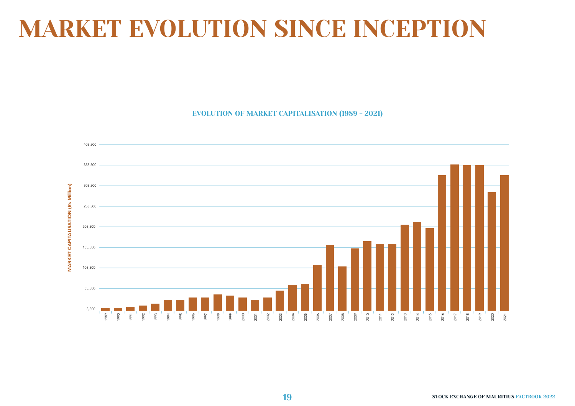EVOLUTION OF MARKET CAPITALISATION (1989 - 2021)

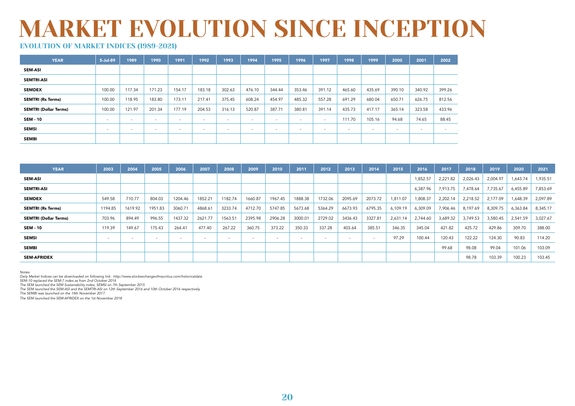### EVOLUTION OF MARKET INDICES (1989-2021)

| <b>YEAR</b>                  | 5-Jul-89 | 1989                     | 1990                     | 1991                     | 1992                     | 1993   | 1994                     | 1995   | 1996                     | 1997   | 1998                     | 1999                     | 2000   | 2001                     | 2002                     |
|------------------------------|----------|--------------------------|--------------------------|--------------------------|--------------------------|--------|--------------------------|--------|--------------------------|--------|--------------------------|--------------------------|--------|--------------------------|--------------------------|
| <b>SEM ASI</b>               |          |                          |                          |                          |                          |        |                          |        |                          |        |                          |                          |        |                          |                          |
| <b>SEMTRI ASI</b>            |          |                          |                          |                          |                          |        |                          |        |                          |        |                          |                          |        |                          |                          |
| <b>SEMDEX</b>                | 100.00   | 117.34                   | 171.23                   | 154.17                   | 183.18                   | 302.63 | 476.10                   | 344.44 | 353.46                   | 391.12 | 465.60                   | 435.69                   | 390.10 | 340.92                   | 399.26                   |
| <b>SEMTRI (Rs Terms)</b>     | 100.00   | 118.95                   | 183.80                   | 173.11                   | 217.41                   | 375.45 | 608.24                   | 454.97 | 485.32                   | 557.28 | 691.29                   | 680.04                   | 650.71 | 626.75                   | 812.56                   |
| <b>SEMTRI (Dollar Terms)</b> | 100.00   | 121.97                   | 201.34                   | 177.19                   | 204.53                   | 316.13 | 520.87                   | 387.71 | 380.81                   | 391.14 | 435.73                   | 417.17                   | 365.14 | 323.58                   | 433.96                   |
| <b>SEM 10</b>                | . .      | $\overline{\phantom{a}}$ | $\overline{\phantom{a}}$ | $\overline{\phantom{a}}$ | $\overline{\phantom{a}}$ | . .    | $\overline{\phantom{a}}$ | . .    | $\,$                     | $\sim$ | 111.70                   | 105.16                   | 94.68  | 74.65                    | 88.45                    |
| <b>SEMSI</b>                 | . .      | $\overline{\phantom{a}}$ | $\sim$                   |                          | $\overline{\phantom{a}}$ | . .    | $\overline{\phantom{a}}$ | . .    | $\overline{\phantom{a}}$ |        | $\overline{\phantom{a}}$ | $\overline{\phantom{a}}$ |        | $\overline{\phantom{a}}$ | $\overline{\phantom{a}}$ |
| <b>SEMBI</b>                 |          |                          |                          |                          |                          |        |                          |        |                          |        |                          |                          |        |                          |                          |

| <b>YEAR</b>                  | 2003                     | 2004    | 2005                     | 2006                     | 2007                     | 2008    | 2009    | 2010    | 2011    | 2012    | 2013    | 2014                     | 2015     | 2016     | 2017     | 2018     | 2019     | 2020     | 2021     |
|------------------------------|--------------------------|---------|--------------------------|--------------------------|--------------------------|---------|---------|---------|---------|---------|---------|--------------------------|----------|----------|----------|----------|----------|----------|----------|
| <b>SEM ASI</b>               |                          |         |                          |                          |                          |         |         |         |         |         |         |                          |          | ,852.57  | 2,221.82 | 2,026.43 | 2,004.97 | 1,643.74 | 1,935.51 |
| <b>SEMTRI ASI</b>            |                          |         |                          |                          |                          |         |         |         |         |         |         |                          |          | 6,387.96 | 7,913.75 | 7,478.64 | 7,735.67 | 6,455.89 | 7,853.69 |
| <b>SEMDEX</b>                | 549.58                   | 710.77  | 804.03                   | 1204.46                  | 1852.21                  | 1182.74 | 1660.87 | 1967.45 | 1888.38 | 1732.06 | 2095.69 | 2073.72                  | 1,811.07 | ,808.37  | 2,202.14 | 2,218.52 | 2,177.09 | 1,648.39 | 2,097.89 |
| <b>SEMTRI (Rs Terms)</b>     | 1194.85                  | 1619.92 | 1951.83                  | 3060.71                  | 4868.61                  | 3233.74 | 4712.70 | 5747.85 | 5673.68 | 5364.29 | 6673.93 | 6795.35                  | 6,109.19 | 6,309.09 | 7,906.46 | 8,197.69 | 8,309.75 | 6,363.84 | 8,345.17 |
| <b>SEMTRI (Dollar Terms)</b> | 703.96                   | 894.49  | 996.55                   | 1437.32                  | 2621.77                  | 1563.51 | 2395.98 | 2906.28 | 3000.01 | 2729.02 | 3436.43 | 3327.81                  | 2,631.14 | 2,744.60 | 3,689.32 | 3,749.53 | 3,580.45 | 2,541.59 | 3,027.67 |
| <b>SEM - 10</b>              | 119.39                   | 149.67  | 175.43                   | 264.41                   | 477.40                   | 267.22  | 360.75  | 373.22  | 350.33  | 337.28  | 403.64  | 385.51                   | 346.35   | 345.04   | 421.82   | 425.72   | 429.86   | 309.70   | 388.00   |
| <b>SEMSI</b>                 | $\overline{\phantom{a}}$ |         | $\overline{\phantom{a}}$ | $\overline{\phantom{a}}$ | $\overline{\phantom{a}}$ |         | $\sim$  |         | $\sim$  |         | $\sim$  | $\overline{\phantom{a}}$ | 97.29    | 100.44   | 120.43   | 122.22   | 124.30   | 90.83    | 114.20   |
| <b>SEMBI</b>                 |                          |         |                          |                          |                          |         |         |         |         |         |         |                          |          |          | 99.68    | 98.08    | 99.04    | 101.06   | 103.09   |
| <b>SEM-AFRIDEX</b>           |                          |         |                          |                          |                          |         |         |         |         |         |         |                          |          |          |          | 98.78    | 103.39   | 100.23   | 103.45   |

*Notes:* 

*Daily Market Indices can be downloaded on following link : http://www.stockexchangeofmauritius.com/historicaldata*

*SEM-10 replaced the SEM-7 index as from 2nd October 2014* 

*The SEM launched the SEM Sustainability index, SEMSI on 7th September 2015* 

*The SEM launched the SEM-ASI and the SEMTRI-ASI on 12th September 2016 and 10th October 2016 respectively.*

*The SEMBI was launched on the 14th November 2017.* 

*The SEM launched the SEM-AFRIDEX on the 1st November 2018*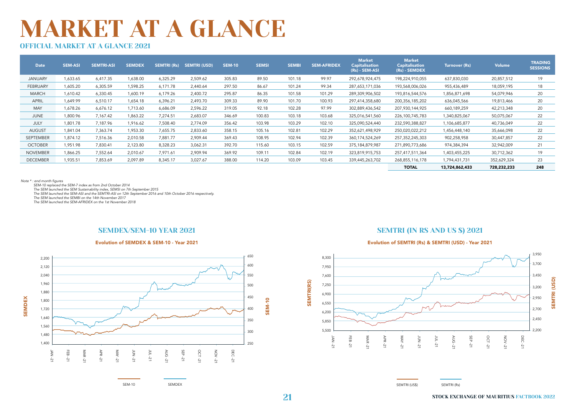### OFFICIAL MARKET AT A GLANCE 2021

| Date            | <b>SEM-ASI</b> | <b>SEMTRI-ASI</b> | <b>SEMDEX</b> | <b>SEMTRI (Rs)</b> | <b>SEMTRI (USD)</b> | <b>SEM-10</b> | <b>SEMSI</b> | <b>SEMBI</b> | <b>SEM-AFRIDEX</b> | <b>Market</b><br><b>Capitalisation</b><br>$(Rs) - SEM-ASI$ | <b>Market</b><br><b>Capitalisation</b><br>$(Rs) - SEMDEX$ | Turnover (Rs)  | Volume      | <b>TRADING</b><br><b>SESSIONS</b> |
|-----------------|----------------|-------------------|---------------|--------------------|---------------------|---------------|--------------|--------------|--------------------|------------------------------------------------------------|-----------------------------------------------------------|----------------|-------------|-----------------------------------|
| <b>JANUARY</b>  | 633.65         | 6,417.35          | 1,638.00      | 6,325.29           | 2,509.62            | 305.83        | 89.50        | 101.18       | 99.97              | 292,678,924,475                                            | 198,224,910,055                                           | 637,830,030    | 20,857,512  | 19                                |
| FEBRUARY        | 1,605.20       | 6,305.59          | 1,598.25      | 6,171.78           | 2.440.64            | 297.50        | 86.67        | 101.24       | 99.34              | 287,653,171,036                                            | 193,568,006,026                                           | 955,436,489    | 18,059,195  | 18                                |
| <b>MARCH</b>    | 1,610.42       | 6,330.45          | 1,600.19      | 6,179.26           | 2,400.72            | 295.87        | 86.35        | 101.58       | 101.29             | 289,309,906,502                                            | 193,816,544,576                                           | 1,856,871,698  | 54,079,946  | 20                                |
| <b>APRIL</b>    | 1,649.99       | 6,510.17          | 1,654.18      | 6,396.21           | 2,493.70            | 309.33        | 89.90        | 101.70       | 100.93             | 297,414,358,680                                            | 200,356,185,202                                           | 636,045,566    | 19,813,466  | 20                                |
| MAY             | 1,678.26       | 6,676.12          | 1,713.60      | 6,686.09           | 2,596.22            | 319.05        | 92.18        | 102.28       | 97.99              | 302,889,436,542                                            | 207,930,144,925                                           | 660,189,259    | 42,213,348  | 20                                |
| JUNE            | 1,800.96       | 7,167.42          | 1,863.22      | 7,274.51           | 2,683.07            | 346.69        | 100.83       | 103.18       | 103.68             | 325,016,541,560                                            | 226,100,745,783                                           | 1,340,825,067  | 50,075,067  | 22                                |
| JULY            | 1,801.78       | 7,187.96          | 1,916.62      | 7,508.40           | 2,774.09            | 356.42        | 103.98       | 103.29       | 102.10             | 325,090,524,440                                            | 232,590,388,827                                           | 1,106,685,877  | 40,736,049  | 22                                |
| <b>AUGUST</b>   | 1,841.04       | 7,363.74          | 1,953.30      | 7,655.75           | 2,833.60            | 358.15        | 105.16       | 102.81       | 102.29             | 352,621,498,929                                            | 250,020,022,212                                           | 1,456,448,140  | 35,666,098  | 22                                |
| SEPTEMBER       | 1,874.12       | 7,516.36          | 2,010.58      | 7,881.77           | 2,909.44            | 369.43        | 108.95       | 102.94       | 102.39             | 360,174,524,269                                            | 257, 352, 245, 303                                        | 902,258,958    | 30,447,857  | 22                                |
| <b>OCTOBER</b>  | 1,951.98       | 7,830.41          | 2,123.80      | 8,328.23           | 3,062.31            | 392.70        | 115.60       | 103.15       | 102.59             | 375,184,879,987                                            | 271,890,773,686                                           | 974,384,394    | 32,942,009  | 21                                |
| <b>NOVEMBER</b> | 1,866.25       | 7,552.64          | 2,010.67      | 7,971.61           | 2,909.94            | 369.92        | 109.11       | 102.84       | 102.19             | 323,819,915,753                                            | 257,417,511,364                                           | 1,403,455,225  | 30,712,362  | 19                                |
| <b>DECEMBER</b> | 1,935.51       | 7,853.69          | 2,097.89      | 8,345.17           | 3,027.67            | 388.00        | 114.20       | 103.09       | 103.45             | 339,445,263,702                                            | 268,855,116,178                                           | 1,794,431,731  | 352,629,324 | 23                                |
|                 |                |                   |               |                    |                     |               |              |              |                    |                                                            | <b>TOTAL</b>                                              | 13,724,862,433 | 728,232,233 | 248                               |

Note \* : end month figures

 *SEM-10 replaced the SEM-7 index as from 2nd October 2014* 

 *The SEM launched the SEM Sustainability index, SEMSI on 7th September 2015* 

 *The SEM launched the SEM-ASI and the SEMTRI-ASI on 12th September 2016 and 10th October 2016 respectively.* 

 *The SEM launched the SEMBI on the 14th November 2017*

 *The SEM launched the SEM-AFRIDEX on the 1st November 2018* 

#### SEMDEX/SEM-10 YEAR 2021



SEM-10 SEMDEX

#### SEMTRI (IN RS AND US \$) 2021

#### Evolution of SEMDEX & SEM-10 - Year 2021 Evolution of SEMTRI (Rs) & SEMTRI (USD) - Year 2021



**21** STOCK EXCHANGE OF MAURITIUS FACTBOOK 2022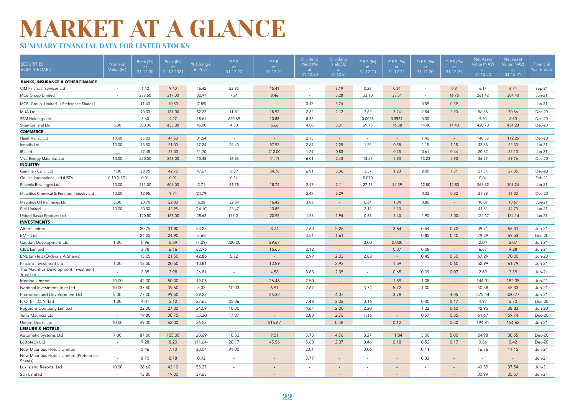### SUMMARY FINANCIAL DATA FOR LISTED STOCKS

| <b>BANKS, INSURANCE &amp; OTHER FINANCE</b><br>9.40<br>22.93<br>15.41<br>3.19<br>0.28<br>0.61<br>0.3<br>6.17<br>6.74<br>CIM Financial Services Ltd<br>6.42<br>46.42<br>Sep-21<br>$\sim$<br>$\sim$<br>$\sim$<br>238.50<br>317.00<br>32.91<br>7.21<br>9.46<br>5.28<br>33.10<br>33.51<br>16.75<br>261.42<br>304.40<br><b>MCB</b> Group Limited<br>$Jun-21$<br>$\sim$<br>$\sim$<br>$\sim$<br>MCB Group Limited - (Preference Shares)<br>11.40<br>10.50<br>(7.89)<br>3.45<br>3.74<br>0.39<br>0.39<br>$Jun-21$<br>$\sim$<br>$\sim$<br>$\sim$<br>$\sim$<br>$\sim$<br>$\sim$<br>2.82<br>2.12<br>2.90<br>90.00<br>137.00<br>52.22<br>11.81<br>18.92<br>7.62<br>7.24<br>2.54<br>56.68<br>70.66<br>Dec-20<br>MUA Ltd<br>$\sim$<br>3.60<br>4.27<br>18.61<br>620.69<br>10.88<br>8.33<br>0.0058<br>0.3924<br>0.30<br>9.50<br>SBM Holdings Ltd<br>8.30<br>Dec-20<br>$\sim$<br>$\sim$<br>$\sim$<br>5.00<br>300.00<br>435.00<br>45.00<br>4.30<br>5.66<br>4.80<br>3.31<br>69.75<br>14.40<br>420.70<br>454.23<br>Swan General Ltd<br>76.88<br>14.40<br>Dec-20<br><b>COMMERCE</b><br>44.50<br>2.15<br>1.40<br>10.00<br>65.00<br>(31.54)<br>140.53<br>112.25<br>Dec-20<br>Harel Mallac Ltd<br>$\sim$<br>$\sim$<br>$\sim$<br>$\sim$<br>$\sim$<br>2.64<br>10.00<br>43.50<br>51.00<br>17.24<br>28.43<br>87.93<br>2.25<br>1.53<br>0.58<br>1.15<br>1.15<br>43.66<br>52.30<br>$Jun-21$<br>Innodis Ltd<br>47.45<br>53.00<br>11.70<br>212.00<br>1.29<br>0.83<br>0.25<br>0.61<br>0.44<br>20.67<br>22.10<br>$Jun-21$<br><b>IBL Ltd</b><br>$\sim$<br>$\sim$<br>10.00<br>220.00<br>243.00<br>10.45<br>16.63<br>41.19<br>6.01<br>2.43<br>13.23<br>5.90<br>13.23<br>5.90<br>36.27<br>29.76<br>Dec-20<br>Vivo Energy Mauritius Ltd<br><b>INDUSTRY</b><br>Gamma - Civic Ltd<br>1.00<br>28.95<br>42.75<br>47.67<br>8.59<br>34.76<br>6.91<br>3.06<br>3.37<br>1.23<br>2.00<br>1.31<br>27.54<br>27.35<br>Dec-20<br>0.01<br>0.14<br>0.070<br>0.04<br>Go Life International Ltd (USD)<br>0.10 (USD)<br>0.01<br>Feb-21<br>$\sim$<br>i.<br>$\sim$<br>$\sim$<br>$\sim$<br>$\sim$<br>$\sim$<br>10.00<br>591.00<br>607.00<br>2.71<br>21.78<br>18.74<br>2.17<br>2.11<br>27.13<br>32.39<br>12.80<br>12.80<br>268.72<br>309.24<br>Phoenix Beverages Ltd<br>$Jun-21$<br>Mauritius Chemical & Fertilizer Industry Ltd<br>10.00<br>12.95<br>9.74<br>2.47<br>3.29<br>0.32<br>0.32<br>21.58<br>(24.79)<br>16.02<br>Dec-20<br>$\overline{\phantom{a}}$<br>$\sim$<br>$\sim$<br>$\sim$<br>Mauritius Oil Refineries Ltd<br>5.00<br>20.70<br>22.00<br>6.28<br>32.34<br>16.42<br>0.64<br>1.34<br>0.80<br>10.07<br>10.67<br>3.86<br>$Jun-21$<br>10.00<br>50.00<br>42.95<br>23.47<br>13.85<br>2.13<br>3.10<br>41.61<br>44.73<br>PIM Limited<br>(14.10)<br>Jun-21<br>$\sim$<br>$\sim$<br>$\sim$<br>1.58<br>United Basalt Products Ltd<br>120.50<br>155.00<br>28.63<br>177.21<br>20.95<br>1.94<br>0.68<br>7.40<br>1.90<br>3.00<br>122.17<br>134.14<br>Jun-21<br>$\sim$<br><b>INVESTMENTS</b><br>20.75<br>31.80<br>53.25<br>8.74<br>2.60<br>2.26<br>3.64<br>0.54<br>0.72<br>49.71<br>53.41<br>Alteo Limited<br>$Jun-21$<br>$\sim$<br>$\sim$<br>$\overline{\phantom{a}}$<br>2.68<br>79.39<br><b>BMH Ltd</b><br>24.25<br>24.90<br>3.51<br>1.61<br>0.85<br>0.40<br>69.53<br>Dec-20<br>$\sim$<br>÷<br>$\sim$<br>$\sim$<br>$\overline{\phantom{a}}$<br>Caudan Development Ltd<br>1.00<br>0.96<br>0.89<br>(7.29)<br>320.00<br>29.67<br>0.00<br>0.030<br>2.04<br>2.07<br>$Jun-21$<br>$\sim$<br>$\sim$<br>$\sim$<br>$\sim$<br><b>CIEL Limited</b><br>3.78<br>62.96<br>16.65<br>2.12<br>0.37<br>0.08<br>6.67<br>9.28<br>6.16<br>$Jun-21$<br>$\sim$<br>$\sim$<br>$\sim$<br>$\sim$<br>$\sim$<br>ENL Limited (Ordinary A Shares)<br>42.86<br>5.32<br>2.99<br>2.33<br>2.83<br>0.50<br>67.29<br>70.00<br>15.05<br>21.50<br>0.45<br><b>Jun-20</b><br>$\sim$<br>$\sim$<br>52.99<br>Fincorp Investment Ltd<br>1.00<br>18.50<br>20.50<br>10.81<br>12.89<br>2.93<br>1.59<br>0.60<br>61.79<br>Jun-21<br>$\overline{\phantom{a}}$<br>$\sim$<br>$\sim$<br>$\overline{\phantom{a}}$<br>The Mauritius Development Investment<br>3.83<br>0.09<br>2.69<br>2.35<br>2.98<br>26.81<br>4.58<br>2.35<br>0.65<br>0.07<br>3.39<br>$Jun-21$<br>$\overline{a}$<br>$\sim$<br><b>Trust Ltd</b><br>10.00<br>42.00<br>2.50<br>50.00<br>19.05<br>26.46<br>1.89<br>1.05<br>144.01<br>182.35<br>Medine Limited<br>$Jun-21$<br>$\sim$<br>$\sim$<br>$\sim$<br>10.00<br>37.50<br>39.50<br>5.33<br>10.03<br>6.91<br>2.67<br>3.74<br>5.72<br>1.00<br>40.88<br>45.33<br>National Investment Trust Ltd<br>$Jun-21$<br>$\sim$<br>$\sim$<br>5.00<br>77.00<br>99.50<br>29.22<br>26.32<br>4.07<br>3.78<br>275.44<br>320.77<br>Promotion and Development Ltd<br>4.05<br>$Jun-21$<br>$\sim$<br>$\sim$<br>$\sim$<br>$\sim$<br>P.O.L.I.C.Y Ltd<br>1.00<br>27.68<br>25.06<br>7.48<br>3.32<br>0.16<br>0.30<br>0.17<br>4.97<br>5.70<br>4.01<br>5.12<br>Dec-20<br>$\sim$<br>2.20<br>Rogers & Company Limited<br>22.00<br>27.30<br>24.09<br>10.00<br>4.64<br>2.20<br>1.02<br>0.60<br>42.95<br>38.83<br><b>Jun-20</b><br>$\sim$<br>$\sim$<br>$\sim$<br>19.80<br>30.75<br>55.30<br>17.07<br>2.88<br>2.76<br>0.57<br>0.85<br>61.67<br>59.74<br>Terra Mauricia Ltd<br>1.16<br>Dec-20<br>$\sim$<br>$\overline{\phantom{a}}$<br>$\sim$<br><b>United Docks Ltd</b><br>10.00<br>49.00<br>62.00<br>516.67<br>0.48<br>0.12<br>0.30<br>154.62<br>26.53<br>194.81<br>$Jun-21$<br>$\sim$<br>$\sim$<br>$\sim$<br><b>LEISURE &amp; HOTELS</b><br>5.75<br>4.76<br>5.00<br>7.00<br>87.00<br>105.00<br>20.69<br>10.52<br>9.51<br>8.27<br>11.04<br>5.00<br>24.98<br>30.55<br>Dec-20<br>Automatic Systems Ltd<br>9.28<br>8.20<br>(11.64)<br>20.17<br>45.56<br>5.60<br>2.07<br>0.46<br>0.18<br>0.52<br>0.17<br>0.56<br>0.42<br>$Dec-20$<br>Lottotech Ltd<br>$\sim$<br>91.00<br>0.11<br>New Mauritius Hotels Limited<br>5.46<br>7.10<br>30.04<br>2.01<br>0.06<br>16.36<br>11.15<br>$\sim$<br>Jun-21<br>$\sim$<br>New Mauritius Hotels Limited (Preference<br>3.79<br>0.33<br>8.70<br>8.78<br>0.92<br>Jun-21<br>$\overline{a}$<br>$\sim$<br>$\sim$<br>$\overline{\phantom{a}}$<br>$\sim$<br>$\sim$<br>$\sim$<br>$\sim$<br>$\sim$<br>Shares)<br>10.00<br>58.27<br>40.59<br>37.54<br>Lux Island Resorts Ltd<br>26.60<br>42.10<br>Jun-21<br>$\overline{a}$<br>$\sim$<br>$\sim$<br>$\overline{a}$<br>$\sim$ | <b>SECURITIES</b><br><b>EQUITY BOARD</b> | Nominal<br>Value (Rs) | Price (Rs)<br>at.<br>31.12.20 | Price (Rs)<br>at<br>31.12.2021 | % Change<br>in Price | P.E.R<br>at<br>31.12.20 | P.E.R<br>at<br>31.12.21 | <b>Dividend</b><br>Yield (%)<br>at<br>31.12.20 | Dividend<br>Yield(%)<br>at<br>31.12.21 | E.P.S (Rs)<br>at<br>31.12.20 | E.P.S (Rs)<br>at<br>31.12.21 | D.P.S (Rs)<br>at<br>31.12.20 | D.P.S (Rs)<br>at<br>31.12.21 | <b>Net Asset</b><br>Value (NAV)<br>at<br>31.12.20 | <b>Net Asset</b><br>Value (NAV)<br>at<br>31.12.21 | Financial<br>Year Ended |
|-------------------------------------------------------------------------------------------------------------------------------------------------------------------------------------------------------------------------------------------------------------------------------------------------------------------------------------------------------------------------------------------------------------------------------------------------------------------------------------------------------------------------------------------------------------------------------------------------------------------------------------------------------------------------------------------------------------------------------------------------------------------------------------------------------------------------------------------------------------------------------------------------------------------------------------------------------------------------------------------------------------------------------------------------------------------------------------------------------------------------------------------------------------------------------------------------------------------------------------------------------------------------------------------------------------------------------------------------------------------------------------------------------------------------------------------------------------------------------------------------------------------------------------------------------------------------------------------------------------------------------------------------------------------------------------------------------------------------------------------------------------------------------------------------------------------------------------------------------------------------------------------------------------------------------------------------------------------------------------------------------------------------------------------------------------------------------------------------------------------------------------------------------------------------------------------------------------------------------------------------------------------------------------------------------------------------------------------------------------------------------------------------------------------------------------------------------------------------------------------------------------------------------------------------------------------------------------------------------------------------------------------------------------------------------------------------------------------------------------------------------------------------------------------------------------------------------------------------------------------------------------------------------------------------------------------------------------------------------------------------------------------------------------------------------------------------------------------------------------------------------------------------------------------------------------------------------------------------------------------------------------------------------------------------------------------------------------------------------------------------------------------------------------------------------------------------------------------------------------------------------------------------------------------------------------------------------------------------------------------------------------------------------------------------------------------------------------------------------------------------------------------------------------------------------------------------------------------------------------------------------------------------------------------------------------------------------------------------------------------------------------------------------------------------------------------------------------------------------------------------------------------------------------------------------------------------------------------------------------------------------------------------------------------------------------------------------------------------------------------------------------------------------------------------------------------------------------------------------------------------------------------------------------------------------------------------------------------------------------------------------------------------------------------------------------------------------------------------------------------------------------------------------------------------------------------------------------------------------------------------------------------------------------------------------------------------------------------------------------------------------------------------------------------------------------------------------------------------------------------------------------------------------------------------------------------------------------------------------------------------------------------------------------------------------------------------------------------------------------------------------------------------------------------------------------------------------------------------------------------------------------------------------------------------------------------------------------------------------------------------------------------------------------------------------------------------------------------------------------------------------------------------------------------------------------------------------------------------------------------------------------------------------------------------------------------------------------------------------------------------------------------------------------------------------------------------------------------------------------------------------------------------------------------------------------------------------------------------------------------------|------------------------------------------|-----------------------|-------------------------------|--------------------------------|----------------------|-------------------------|-------------------------|------------------------------------------------|----------------------------------------|------------------------------|------------------------------|------------------------------|------------------------------|---------------------------------------------------|---------------------------------------------------|-------------------------|
|                                                                                                                                                                                                                                                                                                                                                                                                                                                                                                                                                                                                                                                                                                                                                                                                                                                                                                                                                                                                                                                                                                                                                                                                                                                                                                                                                                                                                                                                                                                                                                                                                                                                                                                                                                                                                                                                                                                                                                                                                                                                                                                                                                                                                                                                                                                                                                                                                                                                                                                                                                                                                                                                                                                                                                                                                                                                                                                                                                                                                                                                                                                                                                                                                                                                                                                                                                                                                                                                                                                                                                                                                                                                                                                                                                                                                                                                                                                                                                                                                                                                                                                                                                                                                                                                                                                                                                                                                                                                                                                                                                                                                                                                                                                                                                                                                                                                                                                                                                                                                                                                                                                                                                                                                                                                                                                                                                                                                                                                                                                                                                                                                                                                                                                                                                                                                                                                                                                                                                                                                                                                                                                                                                                                                                                 |                                          |                       |                               |                                |                      |                         |                         |                                                |                                        |                              |                              |                              |                              |                                                   |                                                   |                         |
|                                                                                                                                                                                                                                                                                                                                                                                                                                                                                                                                                                                                                                                                                                                                                                                                                                                                                                                                                                                                                                                                                                                                                                                                                                                                                                                                                                                                                                                                                                                                                                                                                                                                                                                                                                                                                                                                                                                                                                                                                                                                                                                                                                                                                                                                                                                                                                                                                                                                                                                                                                                                                                                                                                                                                                                                                                                                                                                                                                                                                                                                                                                                                                                                                                                                                                                                                                                                                                                                                                                                                                                                                                                                                                                                                                                                                                                                                                                                                                                                                                                                                                                                                                                                                                                                                                                                                                                                                                                                                                                                                                                                                                                                                                                                                                                                                                                                                                                                                                                                                                                                                                                                                                                                                                                                                                                                                                                                                                                                                                                                                                                                                                                                                                                                                                                                                                                                                                                                                                                                                                                                                                                                                                                                                                                 |                                          |                       |                               |                                |                      |                         |                         |                                                |                                        |                              |                              |                              |                              |                                                   |                                                   |                         |
|                                                                                                                                                                                                                                                                                                                                                                                                                                                                                                                                                                                                                                                                                                                                                                                                                                                                                                                                                                                                                                                                                                                                                                                                                                                                                                                                                                                                                                                                                                                                                                                                                                                                                                                                                                                                                                                                                                                                                                                                                                                                                                                                                                                                                                                                                                                                                                                                                                                                                                                                                                                                                                                                                                                                                                                                                                                                                                                                                                                                                                                                                                                                                                                                                                                                                                                                                                                                                                                                                                                                                                                                                                                                                                                                                                                                                                                                                                                                                                                                                                                                                                                                                                                                                                                                                                                                                                                                                                                                                                                                                                                                                                                                                                                                                                                                                                                                                                                                                                                                                                                                                                                                                                                                                                                                                                                                                                                                                                                                                                                                                                                                                                                                                                                                                                                                                                                                                                                                                                                                                                                                                                                                                                                                                                                 |                                          |                       |                               |                                |                      |                         |                         |                                                |                                        |                              |                              |                              |                              |                                                   |                                                   |                         |
|                                                                                                                                                                                                                                                                                                                                                                                                                                                                                                                                                                                                                                                                                                                                                                                                                                                                                                                                                                                                                                                                                                                                                                                                                                                                                                                                                                                                                                                                                                                                                                                                                                                                                                                                                                                                                                                                                                                                                                                                                                                                                                                                                                                                                                                                                                                                                                                                                                                                                                                                                                                                                                                                                                                                                                                                                                                                                                                                                                                                                                                                                                                                                                                                                                                                                                                                                                                                                                                                                                                                                                                                                                                                                                                                                                                                                                                                                                                                                                                                                                                                                                                                                                                                                                                                                                                                                                                                                                                                                                                                                                                                                                                                                                                                                                                                                                                                                                                                                                                                                                                                                                                                                                                                                                                                                                                                                                                                                                                                                                                                                                                                                                                                                                                                                                                                                                                                                                                                                                                                                                                                                                                                                                                                                                                 |                                          |                       |                               |                                |                      |                         |                         |                                                |                                        |                              |                              |                              |                              |                                                   |                                                   |                         |
|                                                                                                                                                                                                                                                                                                                                                                                                                                                                                                                                                                                                                                                                                                                                                                                                                                                                                                                                                                                                                                                                                                                                                                                                                                                                                                                                                                                                                                                                                                                                                                                                                                                                                                                                                                                                                                                                                                                                                                                                                                                                                                                                                                                                                                                                                                                                                                                                                                                                                                                                                                                                                                                                                                                                                                                                                                                                                                                                                                                                                                                                                                                                                                                                                                                                                                                                                                                                                                                                                                                                                                                                                                                                                                                                                                                                                                                                                                                                                                                                                                                                                                                                                                                                                                                                                                                                                                                                                                                                                                                                                                                                                                                                                                                                                                                                                                                                                                                                                                                                                                                                                                                                                                                                                                                                                                                                                                                                                                                                                                                                                                                                                                                                                                                                                                                                                                                                                                                                                                                                                                                                                                                                                                                                                                                 |                                          |                       |                               |                                |                      |                         |                         |                                                |                                        |                              |                              |                              |                              |                                                   |                                                   |                         |
|                                                                                                                                                                                                                                                                                                                                                                                                                                                                                                                                                                                                                                                                                                                                                                                                                                                                                                                                                                                                                                                                                                                                                                                                                                                                                                                                                                                                                                                                                                                                                                                                                                                                                                                                                                                                                                                                                                                                                                                                                                                                                                                                                                                                                                                                                                                                                                                                                                                                                                                                                                                                                                                                                                                                                                                                                                                                                                                                                                                                                                                                                                                                                                                                                                                                                                                                                                                                                                                                                                                                                                                                                                                                                                                                                                                                                                                                                                                                                                                                                                                                                                                                                                                                                                                                                                                                                                                                                                                                                                                                                                                                                                                                                                                                                                                                                                                                                                                                                                                                                                                                                                                                                                                                                                                                                                                                                                                                                                                                                                                                                                                                                                                                                                                                                                                                                                                                                                                                                                                                                                                                                                                                                                                                                                                 |                                          |                       |                               |                                |                      |                         |                         |                                                |                                        |                              |                              |                              |                              |                                                   |                                                   |                         |
|                                                                                                                                                                                                                                                                                                                                                                                                                                                                                                                                                                                                                                                                                                                                                                                                                                                                                                                                                                                                                                                                                                                                                                                                                                                                                                                                                                                                                                                                                                                                                                                                                                                                                                                                                                                                                                                                                                                                                                                                                                                                                                                                                                                                                                                                                                                                                                                                                                                                                                                                                                                                                                                                                                                                                                                                                                                                                                                                                                                                                                                                                                                                                                                                                                                                                                                                                                                                                                                                                                                                                                                                                                                                                                                                                                                                                                                                                                                                                                                                                                                                                                                                                                                                                                                                                                                                                                                                                                                                                                                                                                                                                                                                                                                                                                                                                                                                                                                                                                                                                                                                                                                                                                                                                                                                                                                                                                                                                                                                                                                                                                                                                                                                                                                                                                                                                                                                                                                                                                                                                                                                                                                                                                                                                                                 |                                          |                       |                               |                                |                      |                         |                         |                                                |                                        |                              |                              |                              |                              |                                                   |                                                   |                         |
|                                                                                                                                                                                                                                                                                                                                                                                                                                                                                                                                                                                                                                                                                                                                                                                                                                                                                                                                                                                                                                                                                                                                                                                                                                                                                                                                                                                                                                                                                                                                                                                                                                                                                                                                                                                                                                                                                                                                                                                                                                                                                                                                                                                                                                                                                                                                                                                                                                                                                                                                                                                                                                                                                                                                                                                                                                                                                                                                                                                                                                                                                                                                                                                                                                                                                                                                                                                                                                                                                                                                                                                                                                                                                                                                                                                                                                                                                                                                                                                                                                                                                                                                                                                                                                                                                                                                                                                                                                                                                                                                                                                                                                                                                                                                                                                                                                                                                                                                                                                                                                                                                                                                                                                                                                                                                                                                                                                                                                                                                                                                                                                                                                                                                                                                                                                                                                                                                                                                                                                                                                                                                                                                                                                                                                                 |                                          |                       |                               |                                |                      |                         |                         |                                                |                                        |                              |                              |                              |                              |                                                   |                                                   |                         |
|                                                                                                                                                                                                                                                                                                                                                                                                                                                                                                                                                                                                                                                                                                                                                                                                                                                                                                                                                                                                                                                                                                                                                                                                                                                                                                                                                                                                                                                                                                                                                                                                                                                                                                                                                                                                                                                                                                                                                                                                                                                                                                                                                                                                                                                                                                                                                                                                                                                                                                                                                                                                                                                                                                                                                                                                                                                                                                                                                                                                                                                                                                                                                                                                                                                                                                                                                                                                                                                                                                                                                                                                                                                                                                                                                                                                                                                                                                                                                                                                                                                                                                                                                                                                                                                                                                                                                                                                                                                                                                                                                                                                                                                                                                                                                                                                                                                                                                                                                                                                                                                                                                                                                                                                                                                                                                                                                                                                                                                                                                                                                                                                                                                                                                                                                                                                                                                                                                                                                                                                                                                                                                                                                                                                                                                 |                                          |                       |                               |                                |                      |                         |                         |                                                |                                        |                              |                              |                              |                              |                                                   |                                                   |                         |
|                                                                                                                                                                                                                                                                                                                                                                                                                                                                                                                                                                                                                                                                                                                                                                                                                                                                                                                                                                                                                                                                                                                                                                                                                                                                                                                                                                                                                                                                                                                                                                                                                                                                                                                                                                                                                                                                                                                                                                                                                                                                                                                                                                                                                                                                                                                                                                                                                                                                                                                                                                                                                                                                                                                                                                                                                                                                                                                                                                                                                                                                                                                                                                                                                                                                                                                                                                                                                                                                                                                                                                                                                                                                                                                                                                                                                                                                                                                                                                                                                                                                                                                                                                                                                                                                                                                                                                                                                                                                                                                                                                                                                                                                                                                                                                                                                                                                                                                                                                                                                                                                                                                                                                                                                                                                                                                                                                                                                                                                                                                                                                                                                                                                                                                                                                                                                                                                                                                                                                                                                                                                                                                                                                                                                                                 |                                          |                       |                               |                                |                      |                         |                         |                                                |                                        |                              |                              |                              |                              |                                                   |                                                   |                         |
|                                                                                                                                                                                                                                                                                                                                                                                                                                                                                                                                                                                                                                                                                                                                                                                                                                                                                                                                                                                                                                                                                                                                                                                                                                                                                                                                                                                                                                                                                                                                                                                                                                                                                                                                                                                                                                                                                                                                                                                                                                                                                                                                                                                                                                                                                                                                                                                                                                                                                                                                                                                                                                                                                                                                                                                                                                                                                                                                                                                                                                                                                                                                                                                                                                                                                                                                                                                                                                                                                                                                                                                                                                                                                                                                                                                                                                                                                                                                                                                                                                                                                                                                                                                                                                                                                                                                                                                                                                                                                                                                                                                                                                                                                                                                                                                                                                                                                                                                                                                                                                                                                                                                                                                                                                                                                                                                                                                                                                                                                                                                                                                                                                                                                                                                                                                                                                                                                                                                                                                                                                                                                                                                                                                                                                                 |                                          |                       |                               |                                |                      |                         |                         |                                                |                                        |                              |                              |                              |                              |                                                   |                                                   |                         |
|                                                                                                                                                                                                                                                                                                                                                                                                                                                                                                                                                                                                                                                                                                                                                                                                                                                                                                                                                                                                                                                                                                                                                                                                                                                                                                                                                                                                                                                                                                                                                                                                                                                                                                                                                                                                                                                                                                                                                                                                                                                                                                                                                                                                                                                                                                                                                                                                                                                                                                                                                                                                                                                                                                                                                                                                                                                                                                                                                                                                                                                                                                                                                                                                                                                                                                                                                                                                                                                                                                                                                                                                                                                                                                                                                                                                                                                                                                                                                                                                                                                                                                                                                                                                                                                                                                                                                                                                                                                                                                                                                                                                                                                                                                                                                                                                                                                                                                                                                                                                                                                                                                                                                                                                                                                                                                                                                                                                                                                                                                                                                                                                                                                                                                                                                                                                                                                                                                                                                                                                                                                                                                                                                                                                                                                 |                                          |                       |                               |                                |                      |                         |                         |                                                |                                        |                              |                              |                              |                              |                                                   |                                                   |                         |
|                                                                                                                                                                                                                                                                                                                                                                                                                                                                                                                                                                                                                                                                                                                                                                                                                                                                                                                                                                                                                                                                                                                                                                                                                                                                                                                                                                                                                                                                                                                                                                                                                                                                                                                                                                                                                                                                                                                                                                                                                                                                                                                                                                                                                                                                                                                                                                                                                                                                                                                                                                                                                                                                                                                                                                                                                                                                                                                                                                                                                                                                                                                                                                                                                                                                                                                                                                                                                                                                                                                                                                                                                                                                                                                                                                                                                                                                                                                                                                                                                                                                                                                                                                                                                                                                                                                                                                                                                                                                                                                                                                                                                                                                                                                                                                                                                                                                                                                                                                                                                                                                                                                                                                                                                                                                                                                                                                                                                                                                                                                                                                                                                                                                                                                                                                                                                                                                                                                                                                                                                                                                                                                                                                                                                                                 |                                          |                       |                               |                                |                      |                         |                         |                                                |                                        |                              |                              |                              |                              |                                                   |                                                   |                         |
|                                                                                                                                                                                                                                                                                                                                                                                                                                                                                                                                                                                                                                                                                                                                                                                                                                                                                                                                                                                                                                                                                                                                                                                                                                                                                                                                                                                                                                                                                                                                                                                                                                                                                                                                                                                                                                                                                                                                                                                                                                                                                                                                                                                                                                                                                                                                                                                                                                                                                                                                                                                                                                                                                                                                                                                                                                                                                                                                                                                                                                                                                                                                                                                                                                                                                                                                                                                                                                                                                                                                                                                                                                                                                                                                                                                                                                                                                                                                                                                                                                                                                                                                                                                                                                                                                                                                                                                                                                                                                                                                                                                                                                                                                                                                                                                                                                                                                                                                                                                                                                                                                                                                                                                                                                                                                                                                                                                                                                                                                                                                                                                                                                                                                                                                                                                                                                                                                                                                                                                                                                                                                                                                                                                                                                                 |                                          |                       |                               |                                |                      |                         |                         |                                                |                                        |                              |                              |                              |                              |                                                   |                                                   |                         |
|                                                                                                                                                                                                                                                                                                                                                                                                                                                                                                                                                                                                                                                                                                                                                                                                                                                                                                                                                                                                                                                                                                                                                                                                                                                                                                                                                                                                                                                                                                                                                                                                                                                                                                                                                                                                                                                                                                                                                                                                                                                                                                                                                                                                                                                                                                                                                                                                                                                                                                                                                                                                                                                                                                                                                                                                                                                                                                                                                                                                                                                                                                                                                                                                                                                                                                                                                                                                                                                                                                                                                                                                                                                                                                                                                                                                                                                                                                                                                                                                                                                                                                                                                                                                                                                                                                                                                                                                                                                                                                                                                                                                                                                                                                                                                                                                                                                                                                                                                                                                                                                                                                                                                                                                                                                                                                                                                                                                                                                                                                                                                                                                                                                                                                                                                                                                                                                                                                                                                                                                                                                                                                                                                                                                                                                 |                                          |                       |                               |                                |                      |                         |                         |                                                |                                        |                              |                              |                              |                              |                                                   |                                                   |                         |
|                                                                                                                                                                                                                                                                                                                                                                                                                                                                                                                                                                                                                                                                                                                                                                                                                                                                                                                                                                                                                                                                                                                                                                                                                                                                                                                                                                                                                                                                                                                                                                                                                                                                                                                                                                                                                                                                                                                                                                                                                                                                                                                                                                                                                                                                                                                                                                                                                                                                                                                                                                                                                                                                                                                                                                                                                                                                                                                                                                                                                                                                                                                                                                                                                                                                                                                                                                                                                                                                                                                                                                                                                                                                                                                                                                                                                                                                                                                                                                                                                                                                                                                                                                                                                                                                                                                                                                                                                                                                                                                                                                                                                                                                                                                                                                                                                                                                                                                                                                                                                                                                                                                                                                                                                                                                                                                                                                                                                                                                                                                                                                                                                                                                                                                                                                                                                                                                                                                                                                                                                                                                                                                                                                                                                                                 |                                          |                       |                               |                                |                      |                         |                         |                                                |                                        |                              |                              |                              |                              |                                                   |                                                   |                         |
|                                                                                                                                                                                                                                                                                                                                                                                                                                                                                                                                                                                                                                                                                                                                                                                                                                                                                                                                                                                                                                                                                                                                                                                                                                                                                                                                                                                                                                                                                                                                                                                                                                                                                                                                                                                                                                                                                                                                                                                                                                                                                                                                                                                                                                                                                                                                                                                                                                                                                                                                                                                                                                                                                                                                                                                                                                                                                                                                                                                                                                                                                                                                                                                                                                                                                                                                                                                                                                                                                                                                                                                                                                                                                                                                                                                                                                                                                                                                                                                                                                                                                                                                                                                                                                                                                                                                                                                                                                                                                                                                                                                                                                                                                                                                                                                                                                                                                                                                                                                                                                                                                                                                                                                                                                                                                                                                                                                                                                                                                                                                                                                                                                                                                                                                                                                                                                                                                                                                                                                                                                                                                                                                                                                                                                                 |                                          |                       |                               |                                |                      |                         |                         |                                                |                                        |                              |                              |                              |                              |                                                   |                                                   |                         |
|                                                                                                                                                                                                                                                                                                                                                                                                                                                                                                                                                                                                                                                                                                                                                                                                                                                                                                                                                                                                                                                                                                                                                                                                                                                                                                                                                                                                                                                                                                                                                                                                                                                                                                                                                                                                                                                                                                                                                                                                                                                                                                                                                                                                                                                                                                                                                                                                                                                                                                                                                                                                                                                                                                                                                                                                                                                                                                                                                                                                                                                                                                                                                                                                                                                                                                                                                                                                                                                                                                                                                                                                                                                                                                                                                                                                                                                                                                                                                                                                                                                                                                                                                                                                                                                                                                                                                                                                                                                                                                                                                                                                                                                                                                                                                                                                                                                                                                                                                                                                                                                                                                                                                                                                                                                                                                                                                                                                                                                                                                                                                                                                                                                                                                                                                                                                                                                                                                                                                                                                                                                                                                                                                                                                                                                 |                                          |                       |                               |                                |                      |                         |                         |                                                |                                        |                              |                              |                              |                              |                                                   |                                                   |                         |
|                                                                                                                                                                                                                                                                                                                                                                                                                                                                                                                                                                                                                                                                                                                                                                                                                                                                                                                                                                                                                                                                                                                                                                                                                                                                                                                                                                                                                                                                                                                                                                                                                                                                                                                                                                                                                                                                                                                                                                                                                                                                                                                                                                                                                                                                                                                                                                                                                                                                                                                                                                                                                                                                                                                                                                                                                                                                                                                                                                                                                                                                                                                                                                                                                                                                                                                                                                                                                                                                                                                                                                                                                                                                                                                                                                                                                                                                                                                                                                                                                                                                                                                                                                                                                                                                                                                                                                                                                                                                                                                                                                                                                                                                                                                                                                                                                                                                                                                                                                                                                                                                                                                                                                                                                                                                                                                                                                                                                                                                                                                                                                                                                                                                                                                                                                                                                                                                                                                                                                                                                                                                                                                                                                                                                                                 |                                          |                       |                               |                                |                      |                         |                         |                                                |                                        |                              |                              |                              |                              |                                                   |                                                   |                         |
|                                                                                                                                                                                                                                                                                                                                                                                                                                                                                                                                                                                                                                                                                                                                                                                                                                                                                                                                                                                                                                                                                                                                                                                                                                                                                                                                                                                                                                                                                                                                                                                                                                                                                                                                                                                                                                                                                                                                                                                                                                                                                                                                                                                                                                                                                                                                                                                                                                                                                                                                                                                                                                                                                                                                                                                                                                                                                                                                                                                                                                                                                                                                                                                                                                                                                                                                                                                                                                                                                                                                                                                                                                                                                                                                                                                                                                                                                                                                                                                                                                                                                                                                                                                                                                                                                                                                                                                                                                                                                                                                                                                                                                                                                                                                                                                                                                                                                                                                                                                                                                                                                                                                                                                                                                                                                                                                                                                                                                                                                                                                                                                                                                                                                                                                                                                                                                                                                                                                                                                                                                                                                                                                                                                                                                                 |                                          |                       |                               |                                |                      |                         |                         |                                                |                                        |                              |                              |                              |                              |                                                   |                                                   |                         |
|                                                                                                                                                                                                                                                                                                                                                                                                                                                                                                                                                                                                                                                                                                                                                                                                                                                                                                                                                                                                                                                                                                                                                                                                                                                                                                                                                                                                                                                                                                                                                                                                                                                                                                                                                                                                                                                                                                                                                                                                                                                                                                                                                                                                                                                                                                                                                                                                                                                                                                                                                                                                                                                                                                                                                                                                                                                                                                                                                                                                                                                                                                                                                                                                                                                                                                                                                                                                                                                                                                                                                                                                                                                                                                                                                                                                                                                                                                                                                                                                                                                                                                                                                                                                                                                                                                                                                                                                                                                                                                                                                                                                                                                                                                                                                                                                                                                                                                                                                                                                                                                                                                                                                                                                                                                                                                                                                                                                                                                                                                                                                                                                                                                                                                                                                                                                                                                                                                                                                                                                                                                                                                                                                                                                                                                 |                                          |                       |                               |                                |                      |                         |                         |                                                |                                        |                              |                              |                              |                              |                                                   |                                                   |                         |
|                                                                                                                                                                                                                                                                                                                                                                                                                                                                                                                                                                                                                                                                                                                                                                                                                                                                                                                                                                                                                                                                                                                                                                                                                                                                                                                                                                                                                                                                                                                                                                                                                                                                                                                                                                                                                                                                                                                                                                                                                                                                                                                                                                                                                                                                                                                                                                                                                                                                                                                                                                                                                                                                                                                                                                                                                                                                                                                                                                                                                                                                                                                                                                                                                                                                                                                                                                                                                                                                                                                                                                                                                                                                                                                                                                                                                                                                                                                                                                                                                                                                                                                                                                                                                                                                                                                                                                                                                                                                                                                                                                                                                                                                                                                                                                                                                                                                                                                                                                                                                                                                                                                                                                                                                                                                                                                                                                                                                                                                                                                                                                                                                                                                                                                                                                                                                                                                                                                                                                                                                                                                                                                                                                                                                                                 |                                          |                       |                               |                                |                      |                         |                         |                                                |                                        |                              |                              |                              |                              |                                                   |                                                   |                         |
|                                                                                                                                                                                                                                                                                                                                                                                                                                                                                                                                                                                                                                                                                                                                                                                                                                                                                                                                                                                                                                                                                                                                                                                                                                                                                                                                                                                                                                                                                                                                                                                                                                                                                                                                                                                                                                                                                                                                                                                                                                                                                                                                                                                                                                                                                                                                                                                                                                                                                                                                                                                                                                                                                                                                                                                                                                                                                                                                                                                                                                                                                                                                                                                                                                                                                                                                                                                                                                                                                                                                                                                                                                                                                                                                                                                                                                                                                                                                                                                                                                                                                                                                                                                                                                                                                                                                                                                                                                                                                                                                                                                                                                                                                                                                                                                                                                                                                                                                                                                                                                                                                                                                                                                                                                                                                                                                                                                                                                                                                                                                                                                                                                                                                                                                                                                                                                                                                                                                                                                                                                                                                                                                                                                                                                                 |                                          |                       |                               |                                |                      |                         |                         |                                                |                                        |                              |                              |                              |                              |                                                   |                                                   |                         |
|                                                                                                                                                                                                                                                                                                                                                                                                                                                                                                                                                                                                                                                                                                                                                                                                                                                                                                                                                                                                                                                                                                                                                                                                                                                                                                                                                                                                                                                                                                                                                                                                                                                                                                                                                                                                                                                                                                                                                                                                                                                                                                                                                                                                                                                                                                                                                                                                                                                                                                                                                                                                                                                                                                                                                                                                                                                                                                                                                                                                                                                                                                                                                                                                                                                                                                                                                                                                                                                                                                                                                                                                                                                                                                                                                                                                                                                                                                                                                                                                                                                                                                                                                                                                                                                                                                                                                                                                                                                                                                                                                                                                                                                                                                                                                                                                                                                                                                                                                                                                                                                                                                                                                                                                                                                                                                                                                                                                                                                                                                                                                                                                                                                                                                                                                                                                                                                                                                                                                                                                                                                                                                                                                                                                                                                 |                                          |                       |                               |                                |                      |                         |                         |                                                |                                        |                              |                              |                              |                              |                                                   |                                                   |                         |
|                                                                                                                                                                                                                                                                                                                                                                                                                                                                                                                                                                                                                                                                                                                                                                                                                                                                                                                                                                                                                                                                                                                                                                                                                                                                                                                                                                                                                                                                                                                                                                                                                                                                                                                                                                                                                                                                                                                                                                                                                                                                                                                                                                                                                                                                                                                                                                                                                                                                                                                                                                                                                                                                                                                                                                                                                                                                                                                                                                                                                                                                                                                                                                                                                                                                                                                                                                                                                                                                                                                                                                                                                                                                                                                                                                                                                                                                                                                                                                                                                                                                                                                                                                                                                                                                                                                                                                                                                                                                                                                                                                                                                                                                                                                                                                                                                                                                                                                                                                                                                                                                                                                                                                                                                                                                                                                                                                                                                                                                                                                                                                                                                                                                                                                                                                                                                                                                                                                                                                                                                                                                                                                                                                                                                                                 |                                          |                       |                               |                                |                      |                         |                         |                                                |                                        |                              |                              |                              |                              |                                                   |                                                   |                         |
|                                                                                                                                                                                                                                                                                                                                                                                                                                                                                                                                                                                                                                                                                                                                                                                                                                                                                                                                                                                                                                                                                                                                                                                                                                                                                                                                                                                                                                                                                                                                                                                                                                                                                                                                                                                                                                                                                                                                                                                                                                                                                                                                                                                                                                                                                                                                                                                                                                                                                                                                                                                                                                                                                                                                                                                                                                                                                                                                                                                                                                                                                                                                                                                                                                                                                                                                                                                                                                                                                                                                                                                                                                                                                                                                                                                                                                                                                                                                                                                                                                                                                                                                                                                                                                                                                                                                                                                                                                                                                                                                                                                                                                                                                                                                                                                                                                                                                                                                                                                                                                                                                                                                                                                                                                                                                                                                                                                                                                                                                                                                                                                                                                                                                                                                                                                                                                                                                                                                                                                                                                                                                                                                                                                                                                                 |                                          |                       |                               |                                |                      |                         |                         |                                                |                                        |                              |                              |                              |                              |                                                   |                                                   |                         |
|                                                                                                                                                                                                                                                                                                                                                                                                                                                                                                                                                                                                                                                                                                                                                                                                                                                                                                                                                                                                                                                                                                                                                                                                                                                                                                                                                                                                                                                                                                                                                                                                                                                                                                                                                                                                                                                                                                                                                                                                                                                                                                                                                                                                                                                                                                                                                                                                                                                                                                                                                                                                                                                                                                                                                                                                                                                                                                                                                                                                                                                                                                                                                                                                                                                                                                                                                                                                                                                                                                                                                                                                                                                                                                                                                                                                                                                                                                                                                                                                                                                                                                                                                                                                                                                                                                                                                                                                                                                                                                                                                                                                                                                                                                                                                                                                                                                                                                                                                                                                                                                                                                                                                                                                                                                                                                                                                                                                                                                                                                                                                                                                                                                                                                                                                                                                                                                                                                                                                                                                                                                                                                                                                                                                                                                 |                                          |                       |                               |                                |                      |                         |                         |                                                |                                        |                              |                              |                              |                              |                                                   |                                                   |                         |
|                                                                                                                                                                                                                                                                                                                                                                                                                                                                                                                                                                                                                                                                                                                                                                                                                                                                                                                                                                                                                                                                                                                                                                                                                                                                                                                                                                                                                                                                                                                                                                                                                                                                                                                                                                                                                                                                                                                                                                                                                                                                                                                                                                                                                                                                                                                                                                                                                                                                                                                                                                                                                                                                                                                                                                                                                                                                                                                                                                                                                                                                                                                                                                                                                                                                                                                                                                                                                                                                                                                                                                                                                                                                                                                                                                                                                                                                                                                                                                                                                                                                                                                                                                                                                                                                                                                                                                                                                                                                                                                                                                                                                                                                                                                                                                                                                                                                                                                                                                                                                                                                                                                                                                                                                                                                                                                                                                                                                                                                                                                                                                                                                                                                                                                                                                                                                                                                                                                                                                                                                                                                                                                                                                                                                                                 |                                          |                       |                               |                                |                      |                         |                         |                                                |                                        |                              |                              |                              |                              |                                                   |                                                   |                         |
|                                                                                                                                                                                                                                                                                                                                                                                                                                                                                                                                                                                                                                                                                                                                                                                                                                                                                                                                                                                                                                                                                                                                                                                                                                                                                                                                                                                                                                                                                                                                                                                                                                                                                                                                                                                                                                                                                                                                                                                                                                                                                                                                                                                                                                                                                                                                                                                                                                                                                                                                                                                                                                                                                                                                                                                                                                                                                                                                                                                                                                                                                                                                                                                                                                                                                                                                                                                                                                                                                                                                                                                                                                                                                                                                                                                                                                                                                                                                                                                                                                                                                                                                                                                                                                                                                                                                                                                                                                                                                                                                                                                                                                                                                                                                                                                                                                                                                                                                                                                                                                                                                                                                                                                                                                                                                                                                                                                                                                                                                                                                                                                                                                                                                                                                                                                                                                                                                                                                                                                                                                                                                                                                                                                                                                                 |                                          |                       |                               |                                |                      |                         |                         |                                                |                                        |                              |                              |                              |                              |                                                   |                                                   |                         |
|                                                                                                                                                                                                                                                                                                                                                                                                                                                                                                                                                                                                                                                                                                                                                                                                                                                                                                                                                                                                                                                                                                                                                                                                                                                                                                                                                                                                                                                                                                                                                                                                                                                                                                                                                                                                                                                                                                                                                                                                                                                                                                                                                                                                                                                                                                                                                                                                                                                                                                                                                                                                                                                                                                                                                                                                                                                                                                                                                                                                                                                                                                                                                                                                                                                                                                                                                                                                                                                                                                                                                                                                                                                                                                                                                                                                                                                                                                                                                                                                                                                                                                                                                                                                                                                                                                                                                                                                                                                                                                                                                                                                                                                                                                                                                                                                                                                                                                                                                                                                                                                                                                                                                                                                                                                                                                                                                                                                                                                                                                                                                                                                                                                                                                                                                                                                                                                                                                                                                                                                                                                                                                                                                                                                                                                 |                                          |                       |                               |                                |                      |                         |                         |                                                |                                        |                              |                              |                              |                              |                                                   |                                                   |                         |
|                                                                                                                                                                                                                                                                                                                                                                                                                                                                                                                                                                                                                                                                                                                                                                                                                                                                                                                                                                                                                                                                                                                                                                                                                                                                                                                                                                                                                                                                                                                                                                                                                                                                                                                                                                                                                                                                                                                                                                                                                                                                                                                                                                                                                                                                                                                                                                                                                                                                                                                                                                                                                                                                                                                                                                                                                                                                                                                                                                                                                                                                                                                                                                                                                                                                                                                                                                                                                                                                                                                                                                                                                                                                                                                                                                                                                                                                                                                                                                                                                                                                                                                                                                                                                                                                                                                                                                                                                                                                                                                                                                                                                                                                                                                                                                                                                                                                                                                                                                                                                                                                                                                                                                                                                                                                                                                                                                                                                                                                                                                                                                                                                                                                                                                                                                                                                                                                                                                                                                                                                                                                                                                                                                                                                                                 |                                          |                       |                               |                                |                      |                         |                         |                                                |                                        |                              |                              |                              |                              |                                                   |                                                   |                         |
|                                                                                                                                                                                                                                                                                                                                                                                                                                                                                                                                                                                                                                                                                                                                                                                                                                                                                                                                                                                                                                                                                                                                                                                                                                                                                                                                                                                                                                                                                                                                                                                                                                                                                                                                                                                                                                                                                                                                                                                                                                                                                                                                                                                                                                                                                                                                                                                                                                                                                                                                                                                                                                                                                                                                                                                                                                                                                                                                                                                                                                                                                                                                                                                                                                                                                                                                                                                                                                                                                                                                                                                                                                                                                                                                                                                                                                                                                                                                                                                                                                                                                                                                                                                                                                                                                                                                                                                                                                                                                                                                                                                                                                                                                                                                                                                                                                                                                                                                                                                                                                                                                                                                                                                                                                                                                                                                                                                                                                                                                                                                                                                                                                                                                                                                                                                                                                                                                                                                                                                                                                                                                                                                                                                                                                                 |                                          |                       |                               |                                |                      |                         |                         |                                                |                                        |                              |                              |                              |                              |                                                   |                                                   |                         |
|                                                                                                                                                                                                                                                                                                                                                                                                                                                                                                                                                                                                                                                                                                                                                                                                                                                                                                                                                                                                                                                                                                                                                                                                                                                                                                                                                                                                                                                                                                                                                                                                                                                                                                                                                                                                                                                                                                                                                                                                                                                                                                                                                                                                                                                                                                                                                                                                                                                                                                                                                                                                                                                                                                                                                                                                                                                                                                                                                                                                                                                                                                                                                                                                                                                                                                                                                                                                                                                                                                                                                                                                                                                                                                                                                                                                                                                                                                                                                                                                                                                                                                                                                                                                                                                                                                                                                                                                                                                                                                                                                                                                                                                                                                                                                                                                                                                                                                                                                                                                                                                                                                                                                                                                                                                                                                                                                                                                                                                                                                                                                                                                                                                                                                                                                                                                                                                                                                                                                                                                                                                                                                                                                                                                                                                 |                                          |                       |                               |                                |                      |                         |                         |                                                |                                        |                              |                              |                              |                              |                                                   |                                                   |                         |
|                                                                                                                                                                                                                                                                                                                                                                                                                                                                                                                                                                                                                                                                                                                                                                                                                                                                                                                                                                                                                                                                                                                                                                                                                                                                                                                                                                                                                                                                                                                                                                                                                                                                                                                                                                                                                                                                                                                                                                                                                                                                                                                                                                                                                                                                                                                                                                                                                                                                                                                                                                                                                                                                                                                                                                                                                                                                                                                                                                                                                                                                                                                                                                                                                                                                                                                                                                                                                                                                                                                                                                                                                                                                                                                                                                                                                                                                                                                                                                                                                                                                                                                                                                                                                                                                                                                                                                                                                                                                                                                                                                                                                                                                                                                                                                                                                                                                                                                                                                                                                                                                                                                                                                                                                                                                                                                                                                                                                                                                                                                                                                                                                                                                                                                                                                                                                                                                                                                                                                                                                                                                                                                                                                                                                                                 |                                          |                       |                               |                                |                      |                         |                         |                                                |                                        |                              |                              |                              |                              |                                                   |                                                   |                         |
|                                                                                                                                                                                                                                                                                                                                                                                                                                                                                                                                                                                                                                                                                                                                                                                                                                                                                                                                                                                                                                                                                                                                                                                                                                                                                                                                                                                                                                                                                                                                                                                                                                                                                                                                                                                                                                                                                                                                                                                                                                                                                                                                                                                                                                                                                                                                                                                                                                                                                                                                                                                                                                                                                                                                                                                                                                                                                                                                                                                                                                                                                                                                                                                                                                                                                                                                                                                                                                                                                                                                                                                                                                                                                                                                                                                                                                                                                                                                                                                                                                                                                                                                                                                                                                                                                                                                                                                                                                                                                                                                                                                                                                                                                                                                                                                                                                                                                                                                                                                                                                                                                                                                                                                                                                                                                                                                                                                                                                                                                                                                                                                                                                                                                                                                                                                                                                                                                                                                                                                                                                                                                                                                                                                                                                                 |                                          |                       |                               |                                |                      |                         |                         |                                                |                                        |                              |                              |                              |                              |                                                   |                                                   |                         |
|                                                                                                                                                                                                                                                                                                                                                                                                                                                                                                                                                                                                                                                                                                                                                                                                                                                                                                                                                                                                                                                                                                                                                                                                                                                                                                                                                                                                                                                                                                                                                                                                                                                                                                                                                                                                                                                                                                                                                                                                                                                                                                                                                                                                                                                                                                                                                                                                                                                                                                                                                                                                                                                                                                                                                                                                                                                                                                                                                                                                                                                                                                                                                                                                                                                                                                                                                                                                                                                                                                                                                                                                                                                                                                                                                                                                                                                                                                                                                                                                                                                                                                                                                                                                                                                                                                                                                                                                                                                                                                                                                                                                                                                                                                                                                                                                                                                                                                                                                                                                                                                                                                                                                                                                                                                                                                                                                                                                                                                                                                                                                                                                                                                                                                                                                                                                                                                                                                                                                                                                                                                                                                                                                                                                                                                 |                                          |                       |                               |                                |                      |                         |                         |                                                |                                        |                              |                              |                              |                              |                                                   |                                                   |                         |
|                                                                                                                                                                                                                                                                                                                                                                                                                                                                                                                                                                                                                                                                                                                                                                                                                                                                                                                                                                                                                                                                                                                                                                                                                                                                                                                                                                                                                                                                                                                                                                                                                                                                                                                                                                                                                                                                                                                                                                                                                                                                                                                                                                                                                                                                                                                                                                                                                                                                                                                                                                                                                                                                                                                                                                                                                                                                                                                                                                                                                                                                                                                                                                                                                                                                                                                                                                                                                                                                                                                                                                                                                                                                                                                                                                                                                                                                                                                                                                                                                                                                                                                                                                                                                                                                                                                                                                                                                                                                                                                                                                                                                                                                                                                                                                                                                                                                                                                                                                                                                                                                                                                                                                                                                                                                                                                                                                                                                                                                                                                                                                                                                                                                                                                                                                                                                                                                                                                                                                                                                                                                                                                                                                                                                                                 |                                          |                       |                               |                                |                      |                         |                         |                                                |                                        |                              |                              |                              |                              |                                                   |                                                   |                         |
|                                                                                                                                                                                                                                                                                                                                                                                                                                                                                                                                                                                                                                                                                                                                                                                                                                                                                                                                                                                                                                                                                                                                                                                                                                                                                                                                                                                                                                                                                                                                                                                                                                                                                                                                                                                                                                                                                                                                                                                                                                                                                                                                                                                                                                                                                                                                                                                                                                                                                                                                                                                                                                                                                                                                                                                                                                                                                                                                                                                                                                                                                                                                                                                                                                                                                                                                                                                                                                                                                                                                                                                                                                                                                                                                                                                                                                                                                                                                                                                                                                                                                                                                                                                                                                                                                                                                                                                                                                                                                                                                                                                                                                                                                                                                                                                                                                                                                                                                                                                                                                                                                                                                                                                                                                                                                                                                                                                                                                                                                                                                                                                                                                                                                                                                                                                                                                                                                                                                                                                                                                                                                                                                                                                                                                                 |                                          |                       |                               |                                |                      |                         |                         |                                                |                                        |                              |                              |                              |                              |                                                   |                                                   |                         |
|                                                                                                                                                                                                                                                                                                                                                                                                                                                                                                                                                                                                                                                                                                                                                                                                                                                                                                                                                                                                                                                                                                                                                                                                                                                                                                                                                                                                                                                                                                                                                                                                                                                                                                                                                                                                                                                                                                                                                                                                                                                                                                                                                                                                                                                                                                                                                                                                                                                                                                                                                                                                                                                                                                                                                                                                                                                                                                                                                                                                                                                                                                                                                                                                                                                                                                                                                                                                                                                                                                                                                                                                                                                                                                                                                                                                                                                                                                                                                                                                                                                                                                                                                                                                                                                                                                                                                                                                                                                                                                                                                                                                                                                                                                                                                                                                                                                                                                                                                                                                                                                                                                                                                                                                                                                                                                                                                                                                                                                                                                                                                                                                                                                                                                                                                                                                                                                                                                                                                                                                                                                                                                                                                                                                                                                 |                                          |                       |                               |                                |                      |                         |                         |                                                |                                        |                              |                              |                              |                              |                                                   |                                                   |                         |
|                                                                                                                                                                                                                                                                                                                                                                                                                                                                                                                                                                                                                                                                                                                                                                                                                                                                                                                                                                                                                                                                                                                                                                                                                                                                                                                                                                                                                                                                                                                                                                                                                                                                                                                                                                                                                                                                                                                                                                                                                                                                                                                                                                                                                                                                                                                                                                                                                                                                                                                                                                                                                                                                                                                                                                                                                                                                                                                                                                                                                                                                                                                                                                                                                                                                                                                                                                                                                                                                                                                                                                                                                                                                                                                                                                                                                                                                                                                                                                                                                                                                                                                                                                                                                                                                                                                                                                                                                                                                                                                                                                                                                                                                                                                                                                                                                                                                                                                                                                                                                                                                                                                                                                                                                                                                                                                                                                                                                                                                                                                                                                                                                                                                                                                                                                                                                                                                                                                                                                                                                                                                                                                                                                                                                                                 |                                          |                       |                               |                                |                      |                         |                         |                                                |                                        |                              |                              |                              |                              |                                                   |                                                   |                         |
| Sun Limited<br>13.80<br>19.00<br>37.68<br>30.99<br>35.57<br>Jun-21                                                                                                                                                                                                                                                                                                                                                                                                                                                                                                                                                                                                                                                                                                                                                                                                                                                                                                                                                                                                                                                                                                                                                                                                                                                                                                                                                                                                                                                                                                                                                                                                                                                                                                                                                                                                                                                                                                                                                                                                                                                                                                                                                                                                                                                                                                                                                                                                                                                                                                                                                                                                                                                                                                                                                                                                                                                                                                                                                                                                                                                                                                                                                                                                                                                                                                                                                                                                                                                                                                                                                                                                                                                                                                                                                                                                                                                                                                                                                                                                                                                                                                                                                                                                                                                                                                                                                                                                                                                                                                                                                                                                                                                                                                                                                                                                                                                                                                                                                                                                                                                                                                                                                                                                                                                                                                                                                                                                                                                                                                                                                                                                                                                                                                                                                                                                                                                                                                                                                                                                                                                                                                                                                                              |                                          |                       |                               |                                |                      |                         |                         |                                                |                                        |                              |                              |                              |                              |                                                   |                                                   |                         |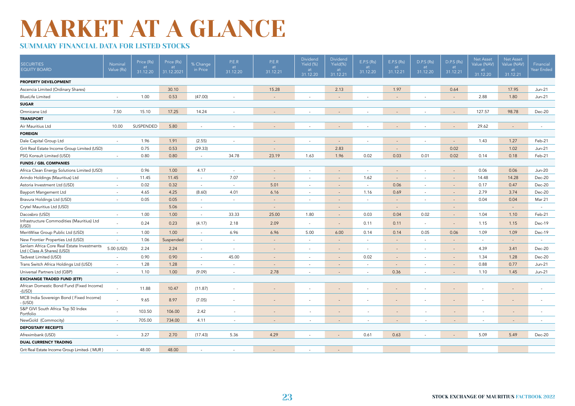### SUMMARY FINANCIAL DATA FOR LISTED STOCKS

| <b>SECURITIES</b><br><b>EQUITY BOARD</b>                                 | Nominal<br>Value (Rs)    | Price (Rs)<br>at<br>31.12.20 | Price (Rs)<br>at<br>31.12.2021 | % Change<br>in Price     | P.E.R<br>at<br>31.12.20  | P.E.R<br>at<br>31.12.21 | <b>Dividend</b><br>Yield (%)<br>at<br>31.12.20 | Dividend<br>Yield(%)<br>at<br>31.12.21 | E.P.S (Rs)<br>at<br>31.12.20 | E.P.S (Rs)<br>at<br>31.12.21 | D.P.S (Rs)<br>at<br>31.12.20 | D.P.S (Rs)<br>at<br>31.12.21 | <b>Net Asset</b><br>Value (NAV)<br>at<br>31.12.20 | <b>Net Asset</b><br>Value (NAV)<br>at<br>31.12.21 | Financial<br>Year Ended |
|--------------------------------------------------------------------------|--------------------------|------------------------------|--------------------------------|--------------------------|--------------------------|-------------------------|------------------------------------------------|----------------------------------------|------------------------------|------------------------------|------------------------------|------------------------------|---------------------------------------------------|---------------------------------------------------|-------------------------|
| PROPERTY DEVELOPMENT                                                     |                          |                              |                                |                          |                          |                         |                                                |                                        |                              |                              |                              |                              |                                                   |                                                   |                         |
| Ascencia Limited (Ordinary Shares)                                       |                          |                              | 30.10                          |                          |                          | 15.28                   |                                                | 2.13                                   |                              | 1.97                         |                              | 0.64                         |                                                   | 17.95                                             | $Jun-21$                |
| <b>BlueLife Limited</b>                                                  | ٠                        | 1.00                         | 0.53                           | (47.00)                  |                          |                         |                                                | $\overline{a}$                         |                              | $\overline{\phantom{a}}$     |                              | $\overline{\phantom{a}}$     | 2.88                                              | 1.80                                              | $Jun-21$                |
| <b>SUGAR</b>                                                             |                          |                              |                                |                          |                          |                         |                                                |                                        |                              |                              |                              |                              |                                                   |                                                   |                         |
| Omnicane Ltd                                                             | 7.50                     | 15.10                        | 17.25                          | 14.24                    |                          |                         |                                                |                                        |                              |                              |                              |                              | 127.57                                            | 98.78                                             | Dec-20                  |
| <b>TRANSPORT</b>                                                         |                          |                              |                                |                          |                          |                         |                                                |                                        |                              |                              |                              |                              |                                                   |                                                   |                         |
| Air Mauritius Ltd                                                        | 10.00                    | SUSPENDED                    | 5.80                           | $\overline{\phantom{a}}$ |                          |                         |                                                |                                        |                              |                              |                              |                              | 29.62                                             |                                                   |                         |
| <b>FOREIGN</b>                                                           |                          |                              |                                |                          |                          |                         |                                                |                                        |                              |                              |                              |                              |                                                   |                                                   |                         |
| Dale Capital Group Ltd                                                   | $\sim$                   | 1.96                         | 1.91                           | (2.55)                   | ٠                        |                         | $\sim$                                         | $\sim$                                 | $\overline{\phantom{a}}$     | $\overline{\phantom{a}}$     | ٠                            | $\sim$                       | 1.43                                              | 1.27                                              | Feb-21                  |
| Grit Real Estate Income Group Limited (USD)                              |                          | 0.75                         | 0.53                           | (29.33)                  |                          |                         |                                                | 2.83                                   |                              | $\overline{\phantom{a}}$     |                              | 0.02                         |                                                   | 1.02                                              | Jun-21                  |
| PSG Konsult Limited (USD)                                                | $\sim$                   | 0.80                         | 0.80                           | $\sim$                   | 34.78                    | 23.19                   | 1.63                                           | 1.96                                   | 0.02                         | 0.03                         | 0.01                         | 0.02                         | 0.14                                              | 0.18                                              | Feb-21                  |
| <b>FUNDS / GBL COMPANIES</b>                                             |                          |                              |                                |                          |                          |                         |                                                |                                        |                              |                              |                              |                              |                                                   |                                                   |                         |
| Africa Clean Energy Solutions Limited (USD)                              |                          | 0.96                         | 1.00                           | 4.17                     | $\sim$                   |                         | $\sim$                                         | н.                                     | $\overline{\phantom{a}}$     | $\overline{\phantom{a}}$     | ٠                            | $\overline{\phantom{a}}$     | 0.06                                              | 0.06                                              | <b>Jun-20</b>           |
| Arindo Holdings (Mauritius) Ltd                                          | ٠                        | 11.45                        | 11.45                          | $\sim$                   | 7.07                     |                         | $\overline{\phantom{a}}$                       | $\overline{\phantom{a}}$               | 1.62                         | $\overline{\phantom{a}}$     | ٠                            | $\overline{\phantom{a}}$     | 14.48                                             | 14.28                                             | Dec-20                  |
| Astoria Investment Ltd (USD)                                             | $\sim$                   | 0.02                         | 0.32                           | $\sim$                   | ÷                        | 5.01                    | $\sim$                                         | $\overline{a}$                         | $\sim$                       | 0.06                         | ٠                            | $\overline{\phantom{a}}$     | 0.17                                              | 0.47                                              | Dec-20                  |
| <b>Bayport Mangement Ltd</b>                                             | $\sim$                   | 4.65                         | 4.25                           | (8.60)                   | 4.01                     | 6.16                    | $\sim$                                         | $\overline{\phantom{a}}$               | 1.16                         | 0.69                         | $\sim$                       | $\overline{\phantom{a}}$     | 2.79                                              | 3.74                                              | Dec-20                  |
| Bravura Holdings Ltd (USD)                                               | ٠                        | 0.05                         | 0.05                           | $\sim$                   | $\overline{\phantom{a}}$ |                         | $\overline{\phantom{a}}$                       |                                        | $\overline{\phantom{a}}$     | $\overline{\phantom{a}}$     | ٠                            | $\overline{a}$               | 0.04                                              | 0.04                                              | Mar 21                  |
| Crytel Mauritius Ltd (USD)                                               |                          |                              | 5.06                           | $\sim$                   |                          |                         |                                                | $\sim$                                 |                              | $\sim$                       |                              | $\overline{\phantom{a}}$     |                                                   | $\overline{a}$                                    | $\sim$                  |
| Dacosbro (USD)                                                           | ٠                        | 1.00                         | 1.00                           | $\sim$                   | 33.33                    | 25.00                   | 1.80                                           | $\overline{\phantom{a}}$               | 0.03                         | 0.04                         | 0.02                         | $\overline{\phantom{a}}$     | 1.04                                              | 1.10                                              | Feb-21                  |
| Infrastructure Commodities (Mauritius) Ltd<br>(USD)                      | ٠                        | 0.24                         | 0.23                           | (4.17)                   | 2.18                     | 2.09                    | $\sim$                                         | $\sim$                                 | 0.11                         | 0.11                         | $\sim$                       | $\sim$                       | 1.15                                              | 1.15                                              | Dec-19                  |
| MeritWise Group Public Ltd (USD)                                         | $\sim$                   | 1.00                         | 1.00                           | $\sim$                   | 6.96                     | 6.96                    | 5.00                                           | 6.00                                   | 0.14                         | 0.14                         | 0.05                         | 0.06                         | 1.09                                              | 1.09                                              | Dec-19                  |
| New Frontier Properties Ltd (USD)                                        | $\sim$                   | 1.06                         | Suspended                      | $\sim$                   | $\sim$                   | $\sim$                  | $\sim$                                         | $\sim$                                 | $\overline{a}$               | $\sim$                       | $\overline{\phantom{a}}$     | $\sim$                       | $\sim$                                            | $\sim$                                            | $\overline{a}$          |
| Sanlam Africa Core Real Estate Investments<br>Ltd (Class A Shares) (USD) | 5.00 (USD)               | 2.24                         | 2.24                           | $\sim$                   | $\overline{\phantom{a}}$ |                         | $\overline{\phantom{a}}$                       |                                        |                              | $\overline{\phantom{a}}$     | ٠                            | $\overline{\phantom{a}}$     | 4.39                                              | 3.41                                              | Dec-20                  |
| Tadvest Limited (USD)                                                    | $\overline{\phantom{a}}$ | 0.90                         | 0.90                           | $\sim$                   | 45.00                    |                         | $\overline{\phantom{a}}$                       | $\overline{\phantom{a}}$               | 0.02                         | $\sim$                       | $\sim$                       | $\sim$                       | 1.34                                              | 1.28                                              | Dec-20                  |
| Trans Switch Africa Holdings Ltd (USD)                                   | $\sim$                   | 1.28                         | 1.28                           | $\sim$                   | $\overline{\phantom{a}}$ |                         | $\overline{\phantom{a}}$                       |                                        | $\sim$                       | $\overline{\phantom{a}}$     | $\sim$                       | $\overline{\phantom{a}}$     | 0.88                                              | 0.77                                              | Jun-21                  |
| Universal Partners Ltd (GBP)                                             | $\sim$                   | 1.10                         | 1.00                           | (9.09)                   | $\sim$                   | 2.78                    | $\overline{\phantom{a}}$                       | $\sim$                                 | $\overline{\phantom{a}}$     | 0.36                         | $\overline{\phantom{a}}$     | $\sim$                       | 1.10                                              | 1.45                                              | $Jun-21$                |
| <b>EXCHANGE TRADED FUND (ETF)</b>                                        |                          |                              |                                |                          |                          |                         |                                                |                                        |                              |                              |                              |                              |                                                   |                                                   |                         |
| African Domestic Bond Fund (Fixed Income)<br>$-(USD)$                    |                          | 11.88                        | 10.47                          | (11.87)                  | $\overline{\phantom{a}}$ |                         | $\overline{\phantom{a}}$                       |                                        |                              |                              | $\overline{\phantom{a}}$     |                              |                                                   |                                                   |                         |
| MCB India Sovereign Bond (Fixed Income)<br>- (USD)                       |                          | 9.65                         | 8.97                           | (7.05)                   | $\overline{\phantom{a}}$ |                         | $\overline{\phantom{a}}$                       |                                        |                              |                              |                              | $\overline{a}$               |                                                   |                                                   |                         |
| S&P GIVI South Africa Top 50 Index<br>Portfolio                          |                          | 103.50                       | 106.00                         | 2.42                     | $\sim$                   |                         | $\sim$                                         | $\overline{\phantom{a}}$               | $\overline{\phantom{a}}$     | $\overline{\phantom{a}}$     | $\overline{\phantom{a}}$     | $\sim$                       | $\sim$                                            | $\overline{\phantom{a}}$                          |                         |
| NewGold (Commocity)                                                      | $\overline{a}$           | 705.00                       | 734.00                         | 4.11                     | $\sim$                   |                         |                                                |                                        | ÷                            | $\overline{\phantom{a}}$     |                              |                              |                                                   |                                                   |                         |
| <b>DEPOSITARY RECEIPTS</b>                                               |                          |                              |                                |                          |                          |                         |                                                |                                        |                              |                              |                              |                              |                                                   |                                                   |                         |
| Afreximbank (USD)                                                        | $\overline{\phantom{a}}$ | 3.27                         | 2.70                           | (17.43)                  | 5.36                     | 4.29                    | $\overline{\phantom{a}}$                       |                                        | 0.61                         | 0.63                         | ٠                            | $\sim$                       | 5.09                                              | 5.49                                              | Dec-20                  |
| <b>DUAL CURRENCY TRADING</b>                                             |                          |                              |                                |                          |                          |                         |                                                |                                        |                              |                              |                              |                              |                                                   |                                                   |                         |
| Grit Real Estate Income Group Limited- (MUR)                             | ٠                        | 48.00                        | 48.00                          | ÷.                       |                          |                         | $\sim$                                         | $\sim$                                 |                              |                              |                              |                              |                                                   |                                                   |                         |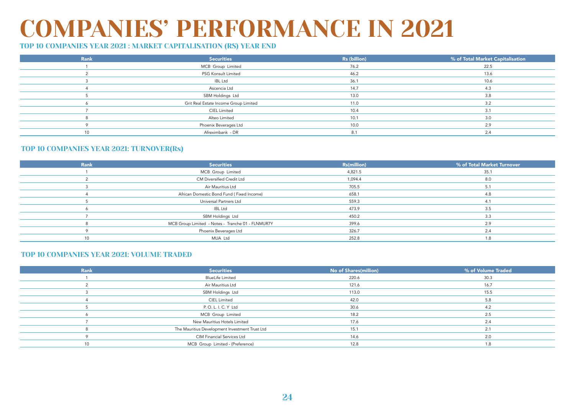### COMPANIES' PERFORMANCE IN 2021

### TOP 10 COMPANIES YEAR 2021 : MARKET CAPITALISATION (RS) YEAR END

| Rank            | <b>Securities</b>                     | Rs (billion) | % of Total Market Capitalisation |
|-----------------|---------------------------------------|--------------|----------------------------------|
|                 | MCB Group Limited                     | 76.2         | 22.5                             |
|                 | PSG Konsult Limited                   | 46.2         | 13.6                             |
|                 | <b>IBL Ltd</b>                        | 36.1         | 10.6                             |
|                 | Ascencia Ltd                          | 14.7         | 4.3                              |
|                 | SBM Holdings Ltd                      | 13.0         | 3.8                              |
|                 | Grit Real Estate Income Group Limited | 11.0         | 3.2                              |
|                 | <b>CIEL Limited</b>                   | 10.4         | 3.1                              |
|                 | Alteo Limited                         | 10.1         | 3.0                              |
|                 | Phoenix Beverages Ltd                 | 10.0         | 2.9                              |
| 10 <sup>1</sup> | Afreximbank - DR                      | 8.1          | 2.4                              |

#### TOP 10 COMPANIES YEAR 2021: TURNOVER(Rs)

| <b>Rank</b>     | <b>Securities</b>                                 | <b>Rs(million)</b> | % of Total Market Turnover |
|-----------------|---------------------------------------------------|--------------------|----------------------------|
|                 | MCB Group Limited                                 | 4,821.5            | 35.1                       |
|                 | CM Diversified Credit Ltd                         | 1,094.4            | 8.0                        |
|                 | Air Mauritius Ltd                                 | 705.5              | 5.1                        |
|                 | African Domestic Bond Fund (Fixed Income)         | 658.1              | 4.8                        |
|                 | Universal Partners Ltd                            | 559.3              | 4.1                        |
|                 | <b>IBL Ltd</b>                                    | 473.9              | 3.5                        |
|                 | SBM Holdings Ltd                                  | 450.2              | 3.3                        |
|                 | MCB Group Limited - Notes - Tranche 01 - FLNMUR7Y | 399.6              | 2.9                        |
|                 | Phoenix Beverages Ltd                             | 326.7              | 2.4                        |
| 10 <sup>1</sup> | MUA Ltd                                           | 252.8              | 1 R                        |

#### TOP 10 COMPANIES YEAR 2021: VOLUME TRADED

| <b>Rank</b>     | <b>Securities</b>                              | No of Shares(million) | % of Volume Traded |
|-----------------|------------------------------------------------|-----------------------|--------------------|
|                 | <b>BlueLife Limited</b>                        | 220.6                 | 30.3               |
|                 | Air Mauritius Ltd                              | 121.6                 | 16.7               |
|                 | SBM Holdings Ltd                               | 113.0                 | 15.5               |
|                 | <b>CIEL Limited</b>                            | 42.0                  | 5.8                |
|                 | P. O. L. I. C. Y Ltd                           | 30.6                  | 4.2                |
|                 | MCB Group Limited                              | 18.2                  | 2.5                |
|                 | New Mauritius Hotels Limited                   | 17.6                  | 2.4                |
|                 | The Mauritius Development Investment Trust Ltd | 15.1                  | 2.1                |
|                 | CIM Financial Services Ltd                     | 14.6                  | 2.0                |
| 10 <sup>1</sup> | MCB Group Limited - (Preference)               | 12.8                  | 18                 |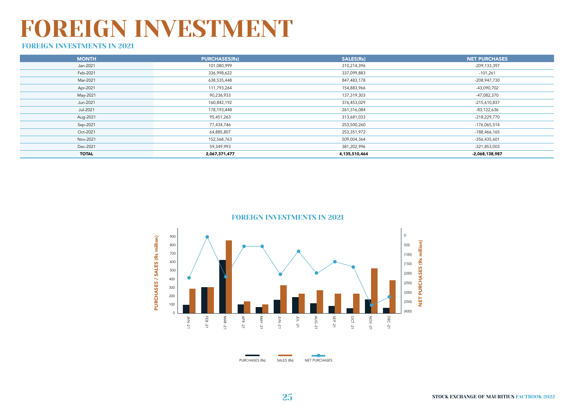### FOREIGN INVESTMENT

### FOREIGN INVESTMENTS IN 2021

| <b>MONTH</b> | <b>PURCHASES(Rs)</b> | SALES(Rs)     | <b>NET PURCHASES</b> |
|--------------|----------------------|---------------|----------------------|
| Jan-2021     | 101,080,999          | 310,214,396   | -209,133,397         |
| Feb-2021     | 336,998,622          | 337,099,883   | $-101,261$           |
| Mar-2021     | 638,535,448          | 847,483,178   | -208,947,730         |
| Apr-2021     | 111,793,264          | 154,883,966   | -43,090,702          |
| May-2021     | 90,236,933           | 137,319,303   | -47,082,370          |
| Jun-2021     | 160,842,192          | 376,453,029   | $-215,610,837$       |
| Jul-2021     | 178,193,448          | 261,316,084   | $-83,122,636$        |
| Aug-2021     | 95,451,263           | 313,681,033   | -218,229,770         |
| Sep-2021     | 77,434,746           | 253,500,260   | -176,065,514         |
| Oct-2021     | 64,885,807           | 253,351,972   | -188,466,165         |
| Nov-2021     | 152,568,763          | 509,004,364   | -356,435,601         |
| Dec-2021     | 59,349,993           | 381,202,996   | -321,853,003         |
| <b>TOTAL</b> | 2,067,371,477        | 4,135,510,464 | -2,068,138,987       |

FOREIGN INVESTMENTS IN 2021



PURCHASES (Rs) SALES (Rs) NET PURCHASES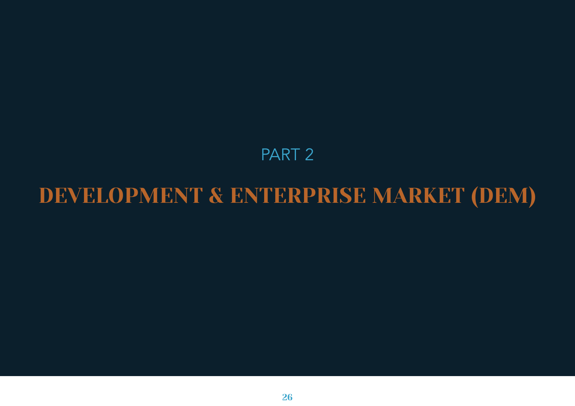### PART 2

### DEVELOPMENT & ENTERPRISE MARKET (DEM)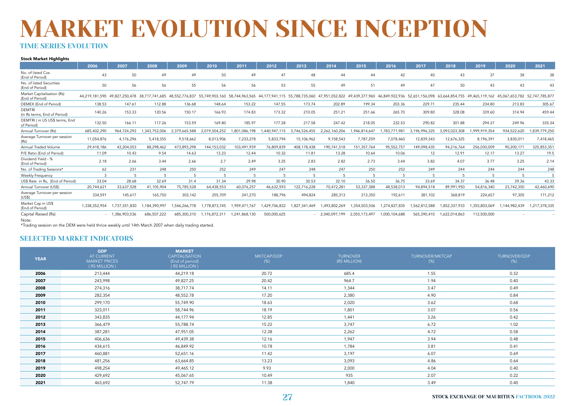### MARKET EVOLUTION SINCE INCEPTION TIME SERIES EVOLUTION

#### Stock Market Highlights

|                                               | 2006          | 2007             | 2008         | 2009          | 2010          | 2011          | 2012          | 2013          | 2014             | 2015          | 2016          | 2017          | 2018          | 2019          | 2020                                                                                                                                                                                                                            | 2021          |
|-----------------------------------------------|---------------|------------------|--------------|---------------|---------------|---------------|---------------|---------------|------------------|---------------|---------------|---------------|---------------|---------------|---------------------------------------------------------------------------------------------------------------------------------------------------------------------------------------------------------------------------------|---------------|
| No. of listed Cos<br>(End of Period)          | 43            | 50               | 49           | 49            | 50            | 49            | 47            | 48            | 44               | 44            | 42            | 40            | 43            | 37            | 38                                                                                                                                                                                                                              | 38            |
| No. of listed Securities<br>(End of Period)   | 50            | 56               | 56           | 55            | 56            | 56            | 53            | 55            | 49               | 51            | 49            | 47            | 50            | 43            | 43                                                                                                                                                                                                                              | 43            |
| Market Capitalisation (Rs)<br>(End of Period) |               |                  |              |               |               |               |               |               |                  |               |               |               |               |               | 44,219,181,590 49,827,250,478 38,717,741,685 48,552,776,837 55,749,903,160 58,744,963,565 44,177,941,115 55,788,735,060 47,951,052,822 49,439,377,960 46,849,922,936 52,651,156,098 63,664,854,755 49,465,119,162 45,067,653,78 |               |
| DEMEX (End of Period)                         | 138.53        | 147.61           | 112.88       | 136.68        | 148.64        | 153.22        | 147.55        | 173.74        | 202.89           | 199.34        | 203.36        | 229.71        | 235.44        | 234.80        | 213.83                                                                                                                                                                                                                          | 305.67        |
| <b>DEMTRI</b><br>(in Rs terms, End of Period) | 140.26        | 153.33           | 120.56       | 150.17        | 166.93        | 174.83        | 173.32        | 210.05        | 251.21           | 251.66        | 265.70        | 309.80        | 328.08        | 339.60        | 314.94                                                                                                                                                                                                                          | 459.44        |
| DEMTRI ( in US US\$ terms, End<br>of Period)  | 132.50        | 166.11           | 117.26       | 153.59        | 169.80        | 185.97        | 177.38        | 217.58        | 247.42           | 218.05        | 232.53        | 290.82        | 301.88        | 294.37        | 249.96                                                                                                                                                                                                                          | 335.34        |
| Annual Turnover (Rs)                          | 685,402,290   | 964.724.292      | .343.752.006 | 2.379.665.588 | 2.019.504.252 | .801.086.198  | .440.947.115  | 3.746.526.455 | 2,262,160,206    | ,946,814,647  | 783,771,98    | 3,196,996,325 | 3,093,023,308 | ,999,919,354  | 934,522,620                                                                                                                                                                                                                     | ,839,779,250  |
| Average Turnover per session<br>(Rs)          | 11,054,876    | 4,176,296        | 5,418,355    | 9,518,662     | 8,013,906     | 7,233,278     | 5,833,794     | 15,106,962    | 9,158,543        | 7,787,259     | 7,078,460     | 12,839,343    | 12,676,325    | 8,196,391     | 3,830,011                                                                                                                                                                                                                       | 7,418,465     |
| Annual Traded Volume                          | 29,418,186    | 43,204,053       | 88,298,462   | 473,893,298   | 144,153,032   | 103,491,939   | 76,809,839    | 408,178,438   | 190,741,518      | 151,357,764   | 95,552,757    | 149,098,435   | 94,216,764    | 256,030,009   | 90,200,171                                                                                                                                                                                                                      | 325,853,351   |
| P/E Ratio (End of Period)                     | 11.09         | 10.43            | 9.54         | 14.63         | 13.23         | 12.44         | 10.32         | 11.81         | 13.28            | 10.64         | 10.06         | 12            | 12.91         | 12.17         | 13.27                                                                                                                                                                                                                           | 19.5          |
| Dividend Yield - %<br>(End of Period)         | 2.18          | 2.66             | 3.44         | 2.66          | 2.7           | 2.49          | 3.25          | 2.83          | 2.82             | 2.73          | 3.44          | 3.82          | 4.07          | 3.77          | 3.25                                                                                                                                                                                                                            | 2.14          |
| No. of Trading Sessions*                      | 62            | 231              | 248          | 250           | 252           | 249           | 247           | 248           | 247              | 250           | 252           | 249           | 244           | 244           | 244                                                                                                                                                                                                                             | 248           |
| Weekly Frequency                              |               | 5                |              | 5             |               |               |               |               | 5                |               |               |               |               |               | 5                                                                                                                                                                                                                               |               |
| US\$ Rate in Rs, (End of Period)              | 33.04         | 28.68            | 32.69        | 31.4          | 31.34         | 29.98         | 30.90         | 30.53         | 32.10            | 36.50         | 36.75         | 33.69         | 34.37         | 36.48         | 39.36                                                                                                                                                                                                                           | 43.33         |
| Annual Turnover (US\$)                        | 20,744,621    | 33,637,528       | 41,105,904   | 75,785,528    | 64,438,553    | 60,076,257    | 46,632,593    | 122,716,228   | 70,472,281       | 53,337,388    | 48,538,013    | 94,894,518    | 89,991,950    | 54,816,340    | 23,742,350                                                                                                                                                                                                                      | 42,460,690    |
| Average Turnover per session<br>(US\$)        | 334,591       | 145,617          | 165,750      | 303,142       | 255,709       | 241,270       | 188,796       | 494,824       | 285,313          | 213,350       | 192,611       | 381,102       | 368,819       | 224,657       | 97,305                                                                                                                                                                                                                          | 171,212       |
| Market Cap in US\$<br>(End of Period)         | 1,338,352,954 | 1,737,351,830    | ,184,390,997 | 1,546,266,778 | 1,778,873,745 | 1.959.471.767 | 1,429,706,832 | 1,827,341,469 | ,493,802,269     | 1,354,503,506 | 1,274,827,835 | ,562,812,588  | 1,852,337,933 | 1,355,803,069 | 1,144,982,439                                                                                                                                                                                                                   | 1,217,378,335 |
| Capital Raised (Rs)<br>Note:                  |               | $-1,386,903,536$ | 686,507,222  | 685,300,310   | 1,176,872,311 | 1,241,868,130 | 500,000,625   |               | $-2,040,097,199$ | 2,055,173,497 | 1,000,104,688 | 565,390,410   | 1,622,014,863 | 112,500,000   |                                                                                                                                                                                                                                 |               |

\*Trading session on the DEM were held thrice weekly until 14th March 2007 when daily trading started.

#### SELECTED MARKET INDICATORS

| <b>YEAR</b> | <b>GDP</b><br>AT CURRENT<br><b>MARKET PRICES</b><br>(RS MILLION) | <b>MARKET</b><br><b>CAPITALISATION</b><br>(End of period)<br>(RS MILLION) | MKTCAP/GDP<br>$(\%)$ | <b>TURNOVER</b><br>(RS MILLION) | TURNOVER/MKTCAP<br>$(\%)$ | TURNOVER/GDP<br>$(\%)$ |
|-------------|------------------------------------------------------------------|---------------------------------------------------------------------------|----------------------|---------------------------------|---------------------------|------------------------|
| 2006        | 213,444                                                          | 44,219.18                                                                 | 20.72                | 685.4                           | 1.55                      | 0.32                   |
| 2007        | 243,998                                                          | 49,827.25                                                                 | 20.42                | 964.7                           | 1.94                      | 0.40                   |
| 2008        | 274,316                                                          | 38,717.74                                                                 | 14.11                | 1,344                           | 3.47                      | 0.49                   |
| 2009        | 282,354                                                          | 48,552.78                                                                 | 17.20                | 2,380                           | 4.90                      | 0.84                   |
| 2010        | 299,170                                                          | 55,749.90                                                                 | 18.63                | 2,020                           | 3.62                      | 0.68                   |
| 2011        | 323,011                                                          | 58,744.96                                                                 | 18.19                | 1,801                           | 3.07                      | 0.56                   |
| 2012        | 343,835                                                          | 44,177.94                                                                 | 12.85                | 1,441                           | 3.26                      | 0.42                   |
| 2013        | 366,479                                                          | 55,788.74                                                                 | 15.22                | 3,747                           | 6.72                      | 1.02                   |
| 2014        | 387,281                                                          | 47,951.05                                                                 | 12.38                | 2,262                           | 4.72                      | 0.58                   |
| 2015        | 406,636                                                          | 49,439.38                                                                 | 12.16                | 1,947                           | 3.94                      | 0.48                   |
| 2016        | 434,615                                                          | 46,849.92                                                                 | 10.78                | 1,784                           | 3.81                      | 0.41                   |
| 2017        | 460,881                                                          | 52,651.16                                                                 | 11.42                | 3,197                           | 6.07                      | 0.69                   |
| 2018        | 481,256                                                          | 63,664.85                                                                 | 13.23                | 3,093                           | 4.86                      | 0.64                   |
| 2019        | 498,254                                                          | 49,465.12                                                                 | 9.93                 | 2,000                           | 4.04                      | 0.40                   |
| 2020        | 429,692                                                          | 45,067.65                                                                 | 10.49                | 935                             | 2.07                      | 0.22                   |
| 2021        | 463,692                                                          | 52,747.79                                                                 | 11.38                | 1,840                           | 3.49                      | 0.40                   |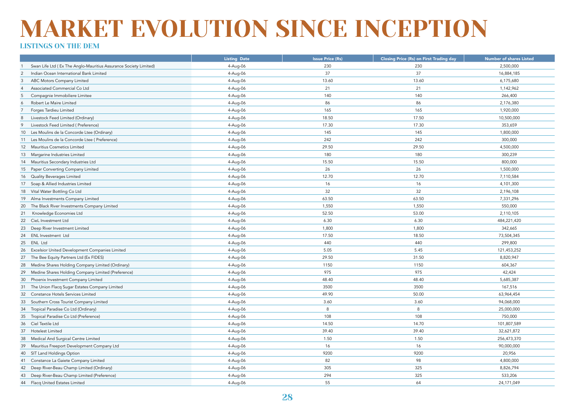#### LISTINGS ON THE DEM

|                                                                  | <b>Listing Date</b> | <b>Issue Price (Rs)</b> | <b>Closing Price (Rs) on First Trading day</b> | <b>Number of shares Listed</b> |
|------------------------------------------------------------------|---------------------|-------------------------|------------------------------------------------|--------------------------------|
| Swan Life Ltd (Ex The Anglo-Mauritius Assurance Society Limited) | 4-Aug-06            | 230                     | 230                                            | 2,500,000                      |
| 2<br>Indian Ocean International Bank Limited                     | 4-Aug-06            | 37                      | 37                                             | 16,884,185                     |
| ABC Motors Company Limited<br>3                                  | 4-Aug-06            | 13.60                   | 13.60                                          | 6,175,680                      |
| Associated Commercial Co Ltd<br>$\overline{4}$                   | 4-Aug-06            | 21                      | 21                                             | 1,142,962                      |
| Compagnie Immobiliere Limitee<br>5                               | 4-Aug-06            | 140                     | 140                                            | 266,400                        |
| Robert Le Maire Limited<br>6                                     | 4-Aug-06            | 86                      | 86                                             | 2,176,380                      |
| Forges Tardieu Limited<br>$\overline{7}$                         | 4-Aug-06            | 165                     | 165                                            | 1,920,000                      |
| Livestock Feed Limited (Ordinary)<br>8                           | 4-Aug-06            | 18.50                   | 17.50                                          | 10,500,000                     |
| Livestock Feed Limited (Preference)<br>9                         | 4-Aug-06            | 17.30                   | 17.30                                          | 353,659                        |
| Les Moulins de la Concorde Ltee (Ordinary)<br>10 <sup>1</sup>    | 4-Aug-06            | 145                     | 145                                            | 1,800,000                      |
| 11 Les Moulins de la Concorde Ltee (Preference)                  | 4-Aug-06            | 242                     | 242                                            | 300,000                        |
| 12 Mauritius Cosmetics Limited                                   | 4-Aug-06            | 29.50                   | 29.50                                          | 4,500,000                      |
| 13 Margarine Industries Limited                                  | 4-Aug-06            | 180                     | 180                                            | 300,239                        |
| 14 Mauritius Secondary Industries Ltd                            | 4-Aug-06            | 15.50                   | 15.50                                          | 800,000                        |
| 15 Paper Converting Company Limited                              | 4-Aug-06            | 26                      | 26                                             | 1,500,000                      |
| 16 Quality Beverages Limited                                     | 4-Aug-06            | 12.70                   | 12.70                                          | 7,110,584                      |
| 17 Soap & Allied Industries Limited                              | 4-Aug-06            | 16                      | 16                                             | 4,101,300                      |
| 18 Vital Water Bottling Co Ltd                                   | 4-Aug-06            | 32                      | 32                                             | 2,196,108                      |
| 19 Alma Investments Company Limited                              | 4-Aug-06            | 63.50                   | 63.50                                          | 7,331,296                      |
| The Black River Investments Company Limited<br>20                | 4-Aug-06            | 1,550                   | 1,550                                          | 550,000                        |
| Knowledge Economies Ltd<br>21                                    | 4-Aug-06            | 52.50                   | 53.00                                          | 2,110,105                      |
| 22 CieL Investment Ltd                                           | 4-Aug-06            | 6.30                    | 6.30                                           | 484,221,420                    |
| Deep River Investment Limited<br>23                              | 4-Aug-06            | 1,800                   | 1,800                                          | 342,665                        |
| 24 ENL Investment Ltd                                            | 4-Aug-06            | 17.50                   | 18.50                                          | 73,504,345                     |
| 25 ENL Ltd                                                       | 4-Aug-06            | 440                     | 440                                            | 299,800                        |
| Excelsior United Development Companies Limited<br>26             | 4-Aug-06            | 5.05                    | 5.45                                           | 121,453,252                    |
| The Bee Equity Partners Ltd (Ex FIDES)<br>27                     | 4-Aug-06            | 29.50                   | 31.50                                          | 8,820,947                      |
| Medine Shares Holding Company Limited (Ordinary)<br>28           | 4-Aug-06            | 1150                    | 1150                                           | 604,367                        |
| 29<br>Medine Shares Holding Company Limited (Preference)         | 4-Aug-06            | 975                     | 975                                            | 42,424                         |
| 30<br>Phoenix Investment Company Limited                         | 4-Aug-06            | 48.40                   | 48.40                                          | 5,685,387                      |
| 31 The Union Flacq Sugar Estates Company Limited                 | 4-Aug-06            | 3500                    | 3500                                           | 167,516                        |
| 32<br>Constance Hotels Services Limited                          | 4-Aug-06            | 49.90                   | 50.00                                          | 63,964,454                     |
| 33 Southern Cross Tourist Company Limited                        | 4-Aug-06            | 3.60                    | 3.60                                           | 94,068,000                     |
| 34 Tropical Paradise Co Ltd (Ordinary)                           | 4-Aug-06            | 8                       | 8                                              | 25,000,000                     |
| Tropical Paradise Co Ltd (Preference)<br>35                      | 4-Aug-06            | 108                     | 108                                            | 750,000                        |
| 36 Ciel Textile Ltd                                              | 4-Aug-06            | 14.50                   | 14.70                                          | 101,807,589                    |
| 37 Hotelest Limited                                              | 4-Aug-06            | 39.40                   | 39.40                                          | 32,621,872                     |
| 38<br>Medical And Surgical Centre Limited                        | 4-Aug-06            | 1.50                    | 1.50                                           | 256,473,370                    |
| 39<br>Mauritius Freeport Development Company Ltd                 | 4-Aug-06            | 16                      | 16                                             | 90,000,000                     |
| 40 SIT Land Holdings Option                                      | 4-Aug-06            | 9200                    | 9200                                           | 20,956                         |
| Constance La Gaiete Company Limited<br>41                        | 4-Aug-06            | 82                      | 98                                             | 4,800,000                      |
| Deep River-Beau Champ Limited (Ordinary)<br>42                   | 4-Aug-06            | 305                     | 325                                            | 8,826,794                      |
| Deep River-Beau Champ Limited (Preference)<br>43                 | 4-Aug-06            | 294                     | 325                                            | 533,206                        |
| 44 Flacq United Estates Limited                                  | 4-Aug-06            | 55                      | 64                                             | 24,171,049                     |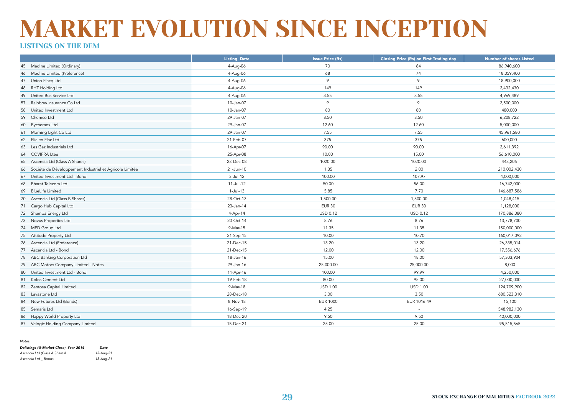#### LISTINGS ON THE DEM

|                                                               | <b>Listing Date</b> | <b>Issue Price (Rs)</b> | <b>Closing Price (Rs) on First Trading day</b> | <b>Number of shares Listed</b> |
|---------------------------------------------------------------|---------------------|-------------------------|------------------------------------------------|--------------------------------|
| Medine Limited (Ordinary)<br>45                               | 4-Aug-06            | 70                      | 84                                             | 86,940,600                     |
| Medine Limited (Preference)<br>46                             | 4-Aug-06            | 68                      | 74                                             | 18,059,400                     |
| Union Flacq Ltd<br>47                                         | 4-Aug-06            | 9                       | $\circ$                                        | 18,900,000                     |
| RHT Holding Ltd<br>48                                         | 4-Aug-06            | 149                     | 149                                            | 2,432,430                      |
| United Bus Service Ltd<br>49                                  | 4-Aug-06            | 3.55                    | 3.55                                           | 4,969,489                      |
| Rainbow Insurance Co Ltd<br>57                                | 10-Jan-07           | 9                       | $\circ$                                        | 2,500,000                      |
| 58<br>United Investment Ltd                                   | 10-Jan-07           | 80                      | 80                                             | 480,000                        |
| 59<br>Chemco Ltd                                              | 29-Jan-07           | 8.50                    | 8.50                                           | 6,208,722                      |
| <b>Bychemex Ltd</b><br>60                                     | 29-Jan-07           | 12.60                   | 12.60                                          | 5,000,000                      |
| 61 Morning Light Co Ltd                                       | 29-Jan-07           | 7.55                    | 7.55                                           | 45,961,580                     |
| 62 Flic en Flac Ltd                                           | 21-Feb-07           | 375                     | 375                                            | 600,000                        |
| Les Gaz Industriels Ltd<br>63                                 | 16-Apr-07           | 90.00                   | 90.00                                          | 2,611,392                      |
| 64 COVIFRA Ltee                                               | 25-Apr-08           | 10.00                   | 15.00                                          | 56,610,000                     |
| Ascencia Ltd (Class A Shares)<br>65                           | 23-Dec-08           | 1020.00                 | 1020.00                                        | 443,206                        |
| Société de Développement Industriel et Agricole Limitée<br>66 | 21-Jun-10           | 1.35                    | 2.00                                           | 210,002,430                    |
| 67 United Investment Ltd - Bond                               | $3-Jul-12$          | 100.00                  | 107.97                                         | 4,000,000                      |
| 68 Bharat Telecom Ltd                                         | 11-Jul-12           | 50.00                   | 56.00                                          | 16,742,000                     |
| 69 BlueLife Limited                                           | $1-Ju-13$           | 5.85                    | 7.70                                           | 146,687,586                    |
| 70 Ascencia Ltd (Class B Shares)                              | 28-Oct-13           | 1,500.00                | 1,500.00                                       | 1,048,415                      |
| 71 Cargo Hub Capital Ltd                                      | 23-Jan-14           | <b>EUR 30</b>           | <b>EUR 30</b>                                  | 1,128,000                      |
| 72 Shumba Energy Ltd                                          | 4-Apr-14            | USD 0.12                | <b>USD 0.12</b>                                | 170,886,080                    |
| 73 Novus Properties Ltd                                       | 20-Oct-14           | 8.76                    | 8.76                                           | 13,778,700                     |
| 74 MFD Group Ltd                                              | 9-Mar-15            | 11.35                   | 11.35                                          | 150,000,000                    |
| 75 Attitude Property Ltd                                      | 21-Sep-15           | 10.00                   | 10.70                                          | 160,017,092                    |
| 76 Ascencia Ltd (Preference)                                  | 21-Dec-15           | 13.20                   | 13.20                                          | 26,335,014                     |
| 77 Ascencia Ltd - Bond                                        | 21-Dec-15           | 12.00                   | 12.00                                          | 17,556,676                     |
| 78 ABC Banking Corporation Ltd                                | 18-Jan-16           | 15.00                   | 18.00                                          | 57,303,904                     |
| ABC Motors Company Limited - Notes<br>79                      | 29-Jan-16           | 25,000.00               | 25,000.00                                      | 8,000                          |
| United Investment Ltd - Bond<br>80                            | 11-Apr-16           | 100.00                  | 99.99                                          | 4,250,000                      |
| 81 Kolos Cement Ltd                                           | 19-Feb-18           | 80.00                   | 95.00                                          | 27,000,000                     |
| 82<br>Zentosa Capital Limited                                 | 9-Mar-18            | <b>USD 1.00</b>         | <b>USD 1.00</b>                                | 124,709,900                    |
| 83<br>Lavastone Ltd                                           | 28-Dec-18           | 3.00                    | 3.50                                           | 680,523,310                    |
| 84<br>New Futures Ltd (Bonds)                                 | 8-Nov-18            | <b>EUR 1000</b>         | EUR 1016.49                                    | 15,100                         |
| 85<br>Semaris Ltd                                             | 16-Sep-19           | 4.25                    |                                                | 548,982,130                    |
| 86<br>Happy World Property Ltd                                | 18-Dec-20           | 9.50                    | 9.50                                           | 40,000,000                     |
| 87 Velogic Holding Company Limited                            | 15-Dec-21           | 25.00                   | 25.00                                          | 95,515,565                     |

*Notes:*

| Delistings (@ Market Close) -Year 2014 | Date      |
|----------------------------------------|-----------|
| Ascencia Ltd (Class A Shares)          | 13-Aug-21 |
| Ascencia Ltd _ Bonds                   | 13-Aug-21 |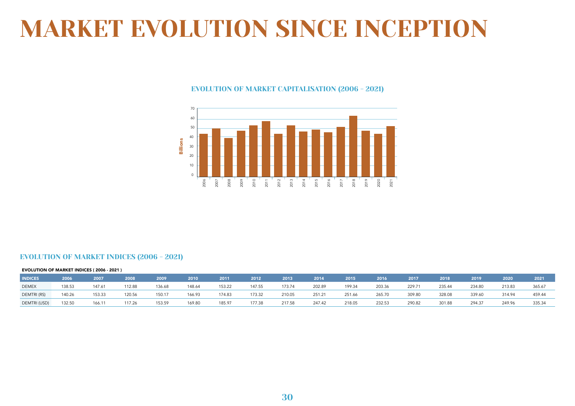#### EVOLUTION OF MARKET CAPITALISATION (2006 - 2021)



#### EVOLUTION OF MARKET INDICES (2006 - 2021)

|                | <b>EVOLUTION OF MARKET INDICES (2006 - 2021)</b> |        |        |        |        |        |        |        |        |        |        |        |        |        |        |        |
|----------------|--------------------------------------------------|--------|--------|--------|--------|--------|--------|--------|--------|--------|--------|--------|--------|--------|--------|--------|
| <b>INDICES</b> | 2006                                             | 2007   | 2008   | 2009   | 2010   | 2011   | 2012   | 2013   | 2014   | 2015   | 2016   | 2017   | 2018   | 2019   | 2020   | 2021   |
| <b>DEMEX</b>   | 138.53                                           | 147.61 | 112.88 | 136.68 | 148.64 | 153.22 | 147.55 | 173.74 | 202.89 | 199.34 | 203.36 | 229.71 | 235.44 | 234.80 | 213.83 | 365.67 |
| DEMTRI(RS)     | 140.26                                           | 153.33 | 120.56 | 150.17 | 166.93 | 174.83 | 173.32 | 210.05 | 251.21 | 251.66 | 265.70 | 309.80 | 328.08 | 339.60 | 314.94 | 459.44 |
| DEMTRI (USD)   | 132.50                                           | 166.11 | 117.26 | 153.59 | 169.80 | 185.97 | 177.38 | 217.58 | 247.42 | 218.05 | 232.53 | 290.82 | 301.88 | 294.37 | 249.96 | 335.34 |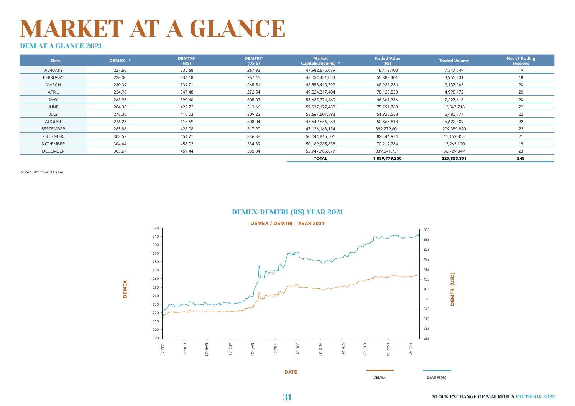### DEM AT A GLANCE 2021

| Date            | DEMEX * | <b>DEMTRI*</b><br>(RS) | <b>DEMTRI*</b><br>(US S) | <b>Market</b><br>Capitalisation(Rs) * | <b>Traded Value</b><br>(Rs) | <b>Traded Volume</b> | No. of Trading<br><b>Sessions</b> |
|-----------------|---------|------------------------|--------------------------|---------------------------------------|-----------------------------|----------------------|-----------------------------------|
| <b>JANUARY</b>  | 227.66  | 335.68                 | 267.93                   | 47,982,675,089                        | 18,419,103                  | 7,347,549            | 19                                |
| FEBRUARY        | 228.00  | 336.18                 | 267.45                   | 48,054,421,023                        | 55,882,401                  | 3,955,331            | 18                                |
| <b>MARCH</b>    | 230.39  | 339.71                 | 265.51                   | 48,558,410,799                        | 68,927,284                  | 9,137,265            | 20                                |
| APRIL           | 234.98  | 347.48                 | 272.54                   | 49,524,317,404                        | 78,129,833                  | 4,998,172            | 20                                |
| MAY             | 263.93  | 390.40                 | 305.03                   | 55,627,374,460                        | 46,361,386                  | 7,227,618            | 20                                |
| JUNE            | 284.38  | 422.72                 | 313.66                   | 59,937,177,488                        | 75,791,768                  | 12,547,716           | 22                                |
| JULY            | 278.36  | 416.03                 | 309.22                   | 58,667,607,893                        | 51,920,568                  | 5,480,177            | 22                                |
| AUGUST          | 276.26  | 413.69                 | 308.04                   | 45,542,656,283                        | 52,865,818                  | 5,622,309            | 22                                |
| SEPTEMBER       | 285.86  | 428.08                 | 317.90                   | 47,126,163,134                        | 399,279,601                 | 209,389,890          | 22                                |
| <b>OCTOBER</b>  | 303.57  | 454.71                 | 336.36                   | 50,044,815,501                        | 82,446,974                  | 11,152,355           | 21                                |
| <b>NOVEMBER</b> | 304.44  | 456.02                 | 334.89                   | 50,189,285,638                        | 70,212,784                  | 12,265,120           | 19                                |
| <b>DECEMBER</b> | 305.67  | 459.44                 | 335.34                   | 52,747,785,877                        | 839,541,731                 | 36,729,849           | 23                                |
|                 |         |                        |                          | <b>TOTAL</b>                          | 1,839,779,250               | 325,853,351          | 248                               |

Note \* : Month-end figures



DEMEX/DEMTRI (RS) YEAR 2021

DEMEX DEMTRI (Rs)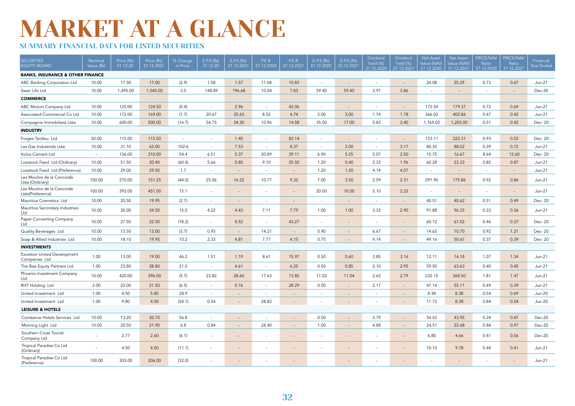### SUMMARY FINANCIAL DATA FOR LISTED SECURITIES

| <b>SECURITIES</b><br><b>EQUITY BOARD</b>             | Nominal<br>Value (Rs) | Price (Rs)<br>31.12.20 | Price (Rs)<br>31.12.2021 | % Change<br>in Price | E.P.S (Rs)<br>31.12.20   | E.P.S (Rs)<br>27.12.2021 | P.E.R<br>31.12.2020      | P.E.R<br>27.12.2021      | D.P.S (Rs)<br>31.12.2020 | D.P.S (Rs)<br>27.12.2021 | Dividend<br>Yield (%)<br>31.12.2020 | <b>Dividend</b><br>Yield (%)<br>27.12.2021 | <b>Net Asset</b><br>Value (NAV<br>27.12.2020 | <b>Net Asset</b><br>Value (NAV)<br>31.12.2021 | <b>PRICE/NAV</b><br>Ratio<br>27.12.2020 | <b>PRICE/NAV</b><br>Ratio<br>31.12.202 | Financial<br>Year Ended |
|------------------------------------------------------|-----------------------|------------------------|--------------------------|----------------------|--------------------------|--------------------------|--------------------------|--------------------------|--------------------------|--------------------------|-------------------------------------|--------------------------------------------|----------------------------------------------|-----------------------------------------------|-----------------------------------------|----------------------------------------|-------------------------|
| <b>BANKS, INSURANCE &amp; OTHER FINANCE</b>          |                       |                        |                          |                      |                          |                          |                          |                          |                          |                          |                                     |                                            |                                              |                                               |                                         |                                        |                         |
| ABC Banking Corporation Ltd                          | 10.00                 | 17.50                  | 17.00                    | (2.9)                | 1.58                     | 1.57                     | 11.08                    | 10.83                    | ٠                        |                          | $\sim$                              |                                            | 24.08                                        | 25.29                                         | 0.73                                    | 0.67                                   | $Jun-21$                |
| Swan Life Ltd                                        | 10.00                 | 1,495.00               | 1,540.00                 | 3.0                  | 148.89                   | 196.68                   | 10.04                    | 7.83                     | 59.40                    | 59.40                    | 3.97                                | 3.86                                       |                                              | $\overline{a}$                                | $\sim$                                  | $\sim$                                 | Dec-20                  |
| <b>COMMERCE</b>                                      |                       |                        |                          |                      |                          |                          |                          |                          |                          |                          |                                     |                                            |                                              |                                               |                                         |                                        |                         |
| ABC Motors Company Ltd                               | 10.00                 | 125.00                 | 124.50                   | (0.4)                | $\overline{\phantom{a}}$ | 2.96                     | $\sim$                   | 42.06                    | $\sim$                   | $\sim$                   | $\overline{a}$                      | $\sim$                                     | 172.54                                       | 179.37                                        | 0.72                                    | 0.69                                   | $Jun-21$                |
| Associated Commercial Co Ltd                         | 10.00                 | 172.00                 | 169.00                   | (1.7)                | 20.67                    | 35.63                    | 8.32                     | 4.74                     | 3.00                     | 3.00                     | 1.74                                | 1.78                                       | 366.03                                       | 402.86                                        | 0.47                                    | 0.42                                   | $Jun-21$                |
| Compagnie Immobiliere Ltée                           | 10.00                 | 600.00                 | 500.00                   | (16.7)               | 54.75                    | 34.30                    | 10.96                    | 14.58                    | 35.00                    | 17.00                    | 5.83                                | 3.40                                       | 1,169.02                                     | 1,203.00                                      | 0.51                                    | 0.42                                   | Dec-20                  |
| <b>INDUSTRY</b>                                      |                       |                        |                          |                      |                          |                          |                          |                          |                          |                          |                                     |                                            |                                              |                                               |                                         |                                        |                         |
| Forges Tardieu Ltd                                   | 50.00                 | 115.00                 | 115.00                   | $\sim$               | $\sim$                   | 1.40                     | $\sim$                   | 82.14                    | $\sim$                   | $\sim$                   | $\sim$                              | $\overline{\phantom{a}}$                   | 123.11                                       | 222.31                                        | 0.93                                    | 0.52                                   | Dec-20                  |
| Les Gaz Industriels Ltée                             | 10.00                 | 31.10                  | 63.00                    | 102.6                | $\overline{\phantom{a}}$ | 7.53                     | $\sim$                   | 8.37                     | $\overline{\phantom{a}}$ | 2.00                     | $\overline{a}$                      | 3.17                                       | 80.35                                        | 88.02                                         | 0.39                                    | 0.72                                   | $Jun-21$                |
| Kolos Cement Ltd                                     | $\sim$                | 136.00                 | 210.00                   | 54.4                 | 6.51                     | 5.37                     | 20.89                    | 39.11                    | 6.90                     | 5.25                     | 5.07                                | 2.50                                       | 15.75                                        | 16.67                                         | 8.64                                    | 12.60                                  | Dec-20                  |
| Livestock Feed Ltd (Ordinary)                        | 10.00                 | 51.50                  | 20.40                    | (60.4)               | 5.66                     | 0.80                     | 9.10                     | 25.50                    | 1.20                     | 0.40                     | 2.33                                | 1.96                                       | 60.28                                        | 23.33                                         | 0.85                                    | 0.87                                   | $Jun-21$                |
| Livestock Feed Ltd (Preference)                      | 10.00                 | 29.00                  | 29.50                    | 1.7                  | $\sim$                   | $\overline{\phantom{a}}$ | $\sim$                   | $\sim$                   | 1.20                     | 1.20                     | 4.14                                | 4.07                                       | $\sim$                                       | $\mathcal{L}$                                 | $\sim$                                  | $\sim$                                 | Jun-21                  |
| Les Moulins de la Concorde<br>Ltée (Ordinary)        | 100.00                | 270.00                 | 151.25                   | (44.0)               | 25.06                    | 16.22                    | 10.77                    | 9.32                     | 7.00                     | 3.50                     | 2.59                                | 2.31                                       | 291.90                                       | 175.86                                        | 0.92                                    | 0.86                                   | $Jun-21$                |
| Les Moulins de la Concorde<br>Ltée(Preference)       | 100.00                | 392.00                 | 451.00                   | 15.1                 | $\overline{a}$           | $\overline{a}$           | $\sim$                   | $\sim$                   | 20.00                    | 10.00                    | 5.10                                | 2.22                                       | $\sim$                                       | $\overline{\phantom{a}}$                      | $\sim$                                  | $\sim$                                 | $Jun-21$                |
| Mauritius Cosmetics Ltd                              | 10.00                 | 20.50                  | 19.95                    | (2.7)                | $\overline{\phantom{a}}$ | $\overline{\phantom{a}}$ | $\overline{\phantom{a}}$ | $\overline{\phantom{a}}$ | $\overline{\phantom{a}}$ | $\sim$                   | $\overline{\phantom{a}}$            | $\sim$                                     | 40.51                                        | 40.62                                         | 0.51                                    | 0.49                                   | Dec-20                  |
| Mauritius Secondary Industries<br>Ltd                | 10.00                 | 30.00                  | 34.50                    | 15.0                 | 4.22                     | 4.43                     | 7.11                     | 7.79                     | 1.00                     | 1.00                     | 3.33                                | 2.90                                       | 91.88                                        | 96.33                                         | 0.33                                    | 0.36                                   | $Jun-21$                |
| Paper Converting Company<br>Ltd                      | 10.00                 | 27.50                  | 22.50                    | (18.2)               | $\overline{a}$           | 0.52                     | $\overline{\phantom{a}}$ | 43.27                    | ٠                        |                          |                                     | $\overline{a}$                             | 60.12                                        | 61.02                                         | 0.46                                    | 0.37                                   | Dec-20                  |
| Quality Beverages Ltd                                | 10.00                 | 13.50                  | 13.00                    | (3.7)                | 0.95                     | $\overline{\phantom{a}}$ | 14.21                    | $\sim$                   | 0.90                     |                          | 6.67                                | $\overline{\phantom{a}}$                   | 14.65                                        | 10.70                                         | 0.92                                    | 1.21                                   | Dec-20                  |
| Soap & Allied Industries Ltd                         | 10.00                 | 18.10                  | 19.95                    | 10.2                 | 2.33                     | 4.81                     | 7.77                     | 4.15                     | 0.75                     |                          | 4.14                                |                                            | 49.16                                        | 50.67                                         | 0.37                                    | 0.39                                   | Dec-20                  |
| <b>INVESTMENTS</b>                                   |                       |                        |                          |                      |                          |                          |                          |                          |                          |                          |                                     |                                            |                                              |                                               |                                         |                                        |                         |
| <b>Excelsior United Development</b><br>Companies Ltd | 1.00                  | 13.00                  | 19.00                    | 46.2                 | 1.51                     | 1.19                     | 8.61                     | 15.97                    | 0.50                     | 0.60                     | 3.85                                | 3.16                                       | 12.11                                        | 14.18                                         | 1.07                                    | 1.34                                   | Jun-21                  |
| The Bee Equity Partners Ltd                          | 1.00                  | 23.80                  | 28.80                    | 21.0                 | $\sim$                   | 4.61                     | $\sim$                   | 6.25                     | 0.50                     | 0.85                     | 2.10                                | 2.95                                       | 59.50                                        | 63.63                                         | 0.40                                    | 0.45                                   | $Jun-21$                |
| Phoenix Investment Company<br>Ltd                    | 10.00                 | 420.00                 | 396.00                   | (5.7)                | 23.82                    | 28.60                    | 17.63                    | 13.85                    | 11.02                    | 11.04                    | 2.62                                | 2.79                                       | 232.15                                       | 268.50                                        | 1.81                                    | 1.47                                   | $Jun-21$                |
| RHT Holding Ltd                                      | 2.00                  | 23.00                  | 21.50                    | (6.5)                | $\overline{a}$           | 0.76                     | $\sim$                   | 28.29                    | 0.50                     | $\sim$                   | 2.17                                | $\sim$                                     | 47.14                                        | 55.11                                         | 0.49                                    | 0.39                                   | $Jun-21$                |
| United Investment Ltd                                | 1.00                  | 4.50                   | 5.80                     | 28.9                 | $\sim$                   | $\overline{a}$           | $\sim$                   | $\overline{a}$           |                          |                          |                                     | $\sim$                                     | 8.38                                         | 8.38                                          | 0.54                                    | 0.69                                   | <b>Jun-20</b>           |
| United Investment Ltd                                | 1.00                  | 9.80                   | 4.50                     | (54.1)               | 0.34                     |                          | 28.82                    |                          |                          |                          |                                     |                                            | 11.73                                        | 8.38                                          | 0.84                                    | 0.54                                   | <b>Jun-20</b>           |
| <b>LEISURE &amp; HOTELS</b>                          |                       |                        |                          |                      |                          |                          |                          |                          |                          |                          |                                     |                                            |                                              |                                               |                                         |                                        |                         |
| Constance Hotels Services Ltd                        | 10.00                 | 13.20                  | 20.70                    | 56.8                 | $\sim$                   | $\overline{\phantom{a}}$ | $\overline{\phantom{a}}$ | $\sim$                   | 0.50                     |                          | 3.79                                | $\overline{\phantom{a}}$                   | 54.52                                        | 43.95                                         | 0.24                                    | 0.47                                   | Dec-20                  |
| Morning Light Ltd                                    | 10.00                 | 20.50                  | 21.90                    | 6.8                  | 0.84                     | $\overline{\phantom{a}}$ | 24.40                    |                          | 1.00                     |                          | 4.88                                |                                            | 24.51                                        | 22.68                                         | 0.84                                    | 0.97                                   | Dec-20                  |
| Southern Cross Tourist<br>Company Ltd                |                       | 2.77                   | 2.60                     | (6.1)                |                          | $\overline{\phantom{a}}$ | $\sim$                   |                          | $\overline{\phantom{a}}$ | $\sim$                   | $\overline{\phantom{a}}$            |                                            | 6.80                                         | 4.66                                          | 0.41                                    | 0.56                                   | Dec-20                  |
| Tropical Paradise Co Ltd<br>(Ordinary)               |                       | 4.50                   | 4.00                     | (11.1)               |                          | $\overline{\phantom{a}}$ | $\overline{\phantom{a}}$ |                          | $\overline{\phantom{a}}$ |                          | ٠                                   |                                            | 10.15                                        | 9.78                                          | 0.44                                    | 0.41                                   | $Jun-21$                |
| Tropical Paradise Co Ltd<br>(Preference)             | 100.00                | 303.00                 | 206.00                   | (32.0)               |                          |                          |                          |                          |                          |                          |                                     |                                            |                                              |                                               |                                         |                                        | Jun-21                  |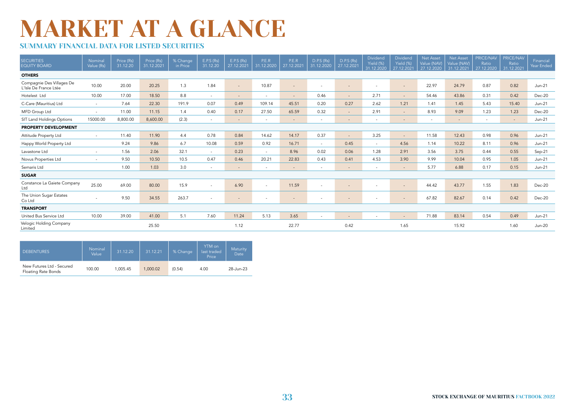### SUMMARY FINANCIAL DATA FOR LISTED SECURITIES

| <b>SECURITIES</b><br><b>EQUITY BOARD</b>           | Nominal<br>Value (Rs) | Price (Rs)<br>31.12.20 | Price (Rs)<br>31.12.2021 | % Change<br>in Price | E.P.S (Rs)<br>31.12.20 | E.P.S (Rs)<br>27.12.2021 | P.E.R<br>31.12.2020      | P.E.R<br>27.12.2021      | D.P.S (Rs)<br>31.12.2020 | D.P.S (Rs)<br>27.12.2021 | Dividend<br>Yield (%)<br>31.12.2020 | Dividend<br>Yield (%)<br>27.12.2021 | Net Asset<br>Value (NAV)<br>27.12.2020 | <b>Net Asset</b><br>Value (NAV)<br>31.12.2021 | PRICE/NAV<br>Ratio<br>27.12.2020 | PRICE/NAV<br>Ratio<br>31.12.2021 | Financial<br>Year Ended |
|----------------------------------------------------|-----------------------|------------------------|--------------------------|----------------------|------------------------|--------------------------|--------------------------|--------------------------|--------------------------|--------------------------|-------------------------------------|-------------------------------------|----------------------------------------|-----------------------------------------------|----------------------------------|----------------------------------|-------------------------|
| <b>OTHERS</b>                                      |                       |                        |                          |                      |                        |                          |                          |                          |                          |                          |                                     |                                     |                                        |                                               |                                  |                                  |                         |
| Compagnie Des Villages De<br>L'Isle De France Ltée | 10.00                 | 20.00                  | 20.25                    | 1.3                  | 1.84                   | $\sim$                   | 10.87                    | $\overline{\phantom{a}}$ | $\overline{\phantom{a}}$ | $\sim$                   | $\overline{\phantom{a}}$            |                                     | 22.97                                  | 24.79                                         | 0.87                             | 0.82                             | $Jun-21$                |
| Hotelest Ltd                                       | 10.00                 | 17.00                  | 18.50                    | 8.8                  | $\sim$                 | $\sim$                   | $\overline{\phantom{a}}$ | $\sim$                   | 0.46                     | $\sim$                   | 2.71                                | $\sim$                              | 54.46                                  | 43.86                                         | 0.31                             | 0.42                             | Dec-20                  |
| C-Care (Mauritius) Ltd                             | $\sim$                | 7.64                   | 22.30                    | 191.9                | 0.07                   | 0.49                     | 109.14                   | 45.51                    | 0.20                     | 0.27                     | 2.62                                | 1.21                                | 1.41                                   | 1.45                                          | 5.43                             | 15.40                            | $Jun-21$                |
| MFD Group Ltd                                      | $\sim$                | 11.00                  | 11.15                    | 1.4                  | 0.40                   | 0.17                     | 27.50                    | 65.59                    | 0.32                     | $\sim$ 10 $\sigma$       | 2.91                                | $\sim$                              | 8.93                                   | 9.09                                          | 1.23                             | 1.23                             | Dec-20                  |
| SIT Land Holdings Options                          | 15000.00              | 8,800.00               | 8,600.00                 | (2.3)                | $\sim$                 | $\overline{\phantom{a}}$ | $\sim$                   | $\sim$                   | $\sim$                   | $\sim$                   | $\overline{\phantom{a}}$            | $\sim$                              | $\sim$                                 | $\sim$                                        | $\sim$                           | $\sim$                           | $Jun-21$                |
| <b>PROPERTY DEVELOPMENT</b>                        |                       |                        |                          |                      |                        |                          |                          |                          |                          |                          |                                     |                                     |                                        |                                               |                                  |                                  |                         |
| Attitude Property Ltd                              | $\sim$                | 11.40                  | 11.90                    | 4.4                  | 0.78                   | 0.84                     | 14.62                    | 14.17                    | 0.37                     | $\sim$                   | 3.25                                | $\sim$                              | 11.58                                  | 12.43                                         | 0.98                             | 0.96                             | $Jun-21$                |
| Happy World Property Ltd                           |                       | 9.24                   | 9.86                     | 6.7                  | 10.08                  | 0.59                     | 0.92                     | 16.71                    | $\sim$                   | 0.45                     | $\overline{\phantom{a}}$            | 4.56                                | 1.14                                   | 10.22                                         | 8.11                             | 0.96                             | $Jun-21$                |
| Lavastone Ltd                                      | $\sim$                | 1.56                   | 2.06                     | 32.1                 | $\sim$                 | 0.23                     | $\sim$                   | 8.96                     | 0.02                     | 0.06                     | 1.28                                | 2.91                                | 3.56                                   | 3.75                                          | 0.44                             | 0.55                             | $Sep-21$                |
| Novus Properties Ltd                               | $\sim$                | 9.50                   | 10.50                    | 10.5                 | 0.47                   | 0.46                     | 20.21                    | 22.83                    | 0.43                     | 0.41                     | 4.53                                | 3.90                                | 9.99                                   | 10.04                                         | 0.95                             | 1.05                             | $Jun-21$                |
| Semaris Ltd                                        |                       | 1.00                   | 1.03                     | 3.0                  | $\sim$                 | $\overline{\phantom{a}}$ | $\overline{\phantom{a}}$ | $\sim$                   | $\overline{\phantom{a}}$ | $\sim$                   | $\overline{\phantom{a}}$            | $\sim$                              | 5.77                                   | 6.88                                          | 0.17                             | 0.15                             | $Jun-21$                |
| <b>SUGAR</b>                                       |                       |                        |                          |                      |                        |                          |                          |                          |                          |                          |                                     |                                     |                                        |                                               |                                  |                                  |                         |
| Constance La Gaiete Company<br>Ltd                 | 25.00                 | 69.00                  | 80.00                    | 15.9                 | $\sim$                 | 6.90                     | $\sim$                   | 11.59                    | $\overline{\phantom{a}}$ | $\sim$                   | $\overline{\phantom{a}}$            |                                     | 44.42                                  | 43.77                                         | 1.55                             | 1.83                             | Dec-20                  |
| The Union Sugar Estates<br>Co Ltd                  |                       | 9.50                   | 34.55                    | 263.7                | $\sim$                 | $\overline{\phantom{a}}$ | $\sim$                   | $\sim$                   | $\overline{\phantom{a}}$ | $\sim$                   | $\overline{\phantom{a}}$            | $\sim$                              | 67.82                                  | 82.67                                         | 0.14                             | 0.42                             | Dec-20                  |
| <b>TRANSPORT</b>                                   |                       |                        |                          |                      |                        |                          |                          |                          |                          |                          |                                     |                                     |                                        |                                               |                                  |                                  |                         |
| United Bus Service Ltd                             | 10.00                 | 39.00                  | 41.00                    | 5.1                  | 7.60                   | 11.24                    | 5.13                     | 3.65                     | $\overline{\phantom{a}}$ | $\sim$                   |                                     | $\sim$                              | 71.88                                  | 83.14                                         | 0.54                             | 0.49                             | $Jun-21$                |
| Velogic Holding Company<br>Limited                 |                       |                        | 25.50                    |                      |                        | 1.12                     |                          | 22.77                    |                          | 0.42                     |                                     | 1.65                                |                                        | 15.92                                         |                                  | 1.60                             | <b>Jun-20</b>           |

| <b>DEBENTURES</b>                                | Nominal<br>Value | 31.12.20 | 31.12.21 | % Change | YTM on<br>last traded<br>Price | Maturity<br>Date |
|--------------------------------------------------|------------------|----------|----------|----------|--------------------------------|------------------|
| New Futures Ltd - Secured<br>Floating Rate Bonds | 100.00           | 1.005.45 | 1.000.02 | (0.54)   | 4.00                           | 28-Jun-23        |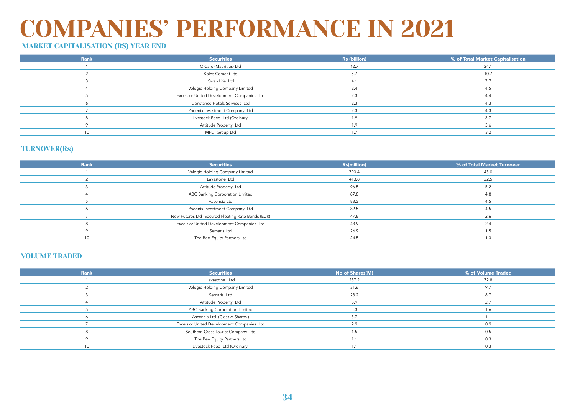### COMPANIES' PERFORMANCE IN 2021

### MARKET CAPITALISATION (RS) YEAR END

| Rank | <b>Securities</b>                          | Rs (billion) | % of Total Market Capitalisation |
|------|--------------------------------------------|--------------|----------------------------------|
|      | C-Care (Mauritius) Ltd                     | 12.7         | 24.1                             |
|      | Kolos Cement Ltd                           | 5.7          | 10.7                             |
|      | Swan Life Ltd                              | 4.1          | 7.7                              |
|      | Velogic Holding Company Limited            | 2.4          |                                  |
|      | Excelsior United Development Companies Ltd | 2.3          | 4.4                              |
|      | Constance Hotels Services Ltd              | 2.3          | 4.3                              |
|      | Phoenix Investment Company Ltd             | 2.3          | 4.3                              |
|      | Livestock Feed Ltd (Ordinary)              | 1.9          | 3.7                              |
|      | Attitude Property Ltd                      | 1.9          | 3.6                              |
| 10   | MFD Group Ltd                              |              | 32                               |

### TURNOVER(Rs)

| Rank | <b>Securities</b>                                  | <b>Rs(million)</b> | % of Total Market Turnover |
|------|----------------------------------------------------|--------------------|----------------------------|
|      | Velogic Holding Company Limited                    | 790.4              | 43.0                       |
|      | Lavastone Ltd                                      | 413.8              | 22.5                       |
|      | Attitude Property Ltd                              | 96.5               | 5.2                        |
|      | ABC Banking Corporation Limited                    | 87.8               | 4.8                        |
|      | Ascencia Ltd                                       | 83.3               |                            |
|      | Phoenix Investment Company Ltd                     | 82.5               | 4.5                        |
|      | New Futures Ltd -Secured Floating Rate Bonds (EUR) | 47.8               | 2.6                        |
|      | Excelsior United Development Companies Ltd         | 43.9               | 2.4                        |
|      | Semaris Ltd                                        | 26.9               |                            |
| 10   | The Bee Equity Partners Ltd                        | 24.5               | 1.3                        |

#### VOLUME TRADED

| <b>Rank</b> | <b>Securities</b>                          | No of Shares(M) | % of Volume Traded |
|-------------|--------------------------------------------|-----------------|--------------------|
|             | Lavastone Ltd                              | 237.2           | 72.8               |
|             | Velogic Holding Company Limited            | 31.6            | 9.7                |
|             | Semaris Ltd                                | 28.2            | 8.7                |
|             | Attitude Property Ltd                      | 8.9             | 2.7                |
|             | ABC Banking Corporation Limited            | 5.3             | 1.6                |
|             | Ascencia Ltd (Class A Shares)              | 3.7             |                    |
|             | Excelsior United Development Companies Ltd | 2.9             | 0.9                |
|             | Southern Cross Tourist Company Ltd         |                 | 0.5                |
|             | The Bee Equity Partners Ltd                |                 | 0.3                |
|             | Livestock Feed Ltd (Ordinary)              |                 | 0.3                |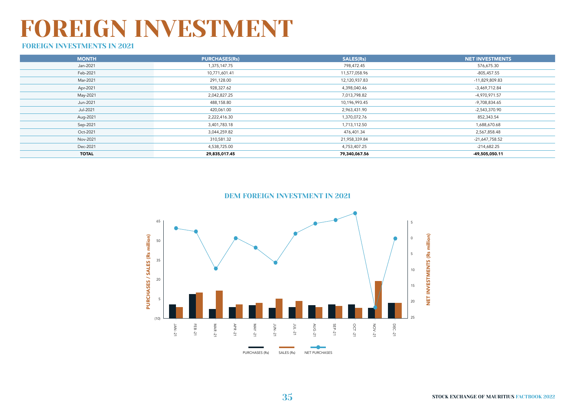### FOREIGN INVESTMENT

### FOREIGN INVESTMENTS IN 2021

| <b>MONTH</b> | <b>PURCHASES(Rs)</b> | SALES(Rs)     | <b>NET INVESTMENTS</b> |
|--------------|----------------------|---------------|------------------------|
| Jan-2021     | 1,375,147.75         | 798,472.45    | 576,675.30             |
| Feb-2021     | 10,771,601.41        | 11,577,058.96 | $-805,457.55$          |
| Mar-2021     | 291,128.00           | 12,120,937.83 | -11,829,809.83         |
| Apr-2021     | 928,327.62           | 4,398,040.46  | -3,469,712.84          |
| May-2021     | 2,042,827.25         | 7,013,798.82  | -4,970,971.57          |
| Jun-2021     | 488,158.80           | 10,196,993.45 | -9,708,834.65          |
| Jul-2021     | 420,061.00           | 2,963,431.90  | -2,543,370.90          |
| Aug-2021     | 2,222,416.30         | 1,370,072.76  | 852,343.54             |
| Sep-2021     | 3,401,783.18         | 1,713,112.50  | 1,688,670.68           |
| Oct-2021     | 3,044,259.82         | 476,401.34    | 2,567,858.48           |
| Nov-2021     | 310,581.32           | 21,958,339.84 | -21,647,758.52         |
| Dec-2021     | 4,538,725.00         | 4,753,407.25  | $-214,682.25$          |
| <b>TOTAL</b> | 29,835,017.45        | 79,340,067.56 | -49,505,050.11         |

#### DEM FOREIGN INVESTMENT IN 2021